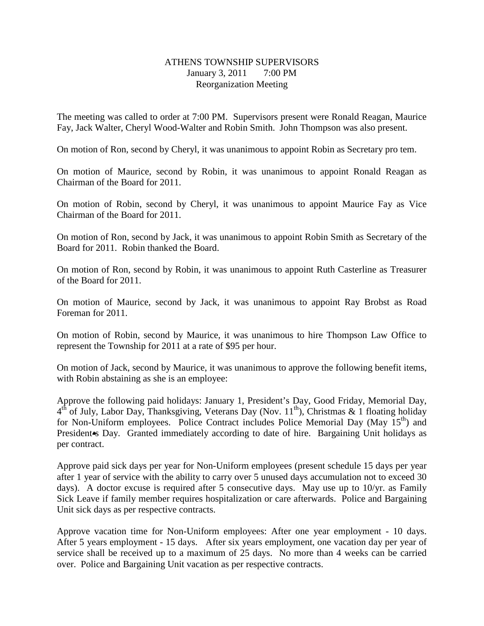#### ATHENS TOWNSHIP SUPERVISORS January 3, 2011 7:00 PM Reorganization Meeting

The meeting was called to order at 7:00 PM. Supervisors present were Ronald Reagan, Maurice Fay, Jack Walter, Cheryl Wood-Walter and Robin Smith. John Thompson was also present.

On motion of Ron, second by Cheryl, it was unanimous to appoint Robin as Secretary pro tem.

On motion of Maurice, second by Robin, it was unanimous to appoint Ronald Reagan as Chairman of the Board for 2011.

On motion of Robin, second by Cheryl, it was unanimous to appoint Maurice Fay as Vice Chairman of the Board for 2011.

On motion of Ron, second by Jack, it was unanimous to appoint Robin Smith as Secretary of the Board for 2011. Robin thanked the Board.

On motion of Ron, second by Robin, it was unanimous to appoint Ruth Casterline as Treasurer of the Board for 2011.

On motion of Maurice, second by Jack, it was unanimous to appoint Ray Brobst as Road Foreman for 2011.

On motion of Robin, second by Maurice, it was unanimous to hire Thompson Law Office to represent the Township for 2011 at a rate of \$95 per hour.

On motion of Jack, second by Maurice, it was unanimous to approve the following benefit items, with Robin abstaining as she is an employee:

Approve the following paid holidays: January 1, President's Day, Good Friday, Memorial Day,  $4<sup>th</sup>$  of July, Labor Day, Thanksgiving, Veterans Day (Nov. 11<sup>th</sup>), Christmas & 1 floating holiday for Non-Uniform employees. Police Contract includes Police Memorial Day (May  $15<sup>th</sup>$ ) and President Servelson. Granted immediately according to date of hire. Bargaining Unit holidays as per contract.

Approve paid sick days per year for Non-Uniform employees (present schedule 15 days per year after 1 year of service with the ability to carry over 5 unused days accumulation not to exceed 30 days). A doctor excuse is required after 5 consecutive days. May use up to 10/yr. as Family Sick Leave if family member requires hospitalization or care afterwards. Police and Bargaining Unit sick days as per respective contracts.

Approve vacation time for Non-Uniform employees: After one year employment - 10 days. After 5 years employment - 15 days. After six years employment, one vacation day per year of service shall be received up to a maximum of 25 days. No more than 4 weeks can be carried over. Police and Bargaining Unit vacation as per respective contracts.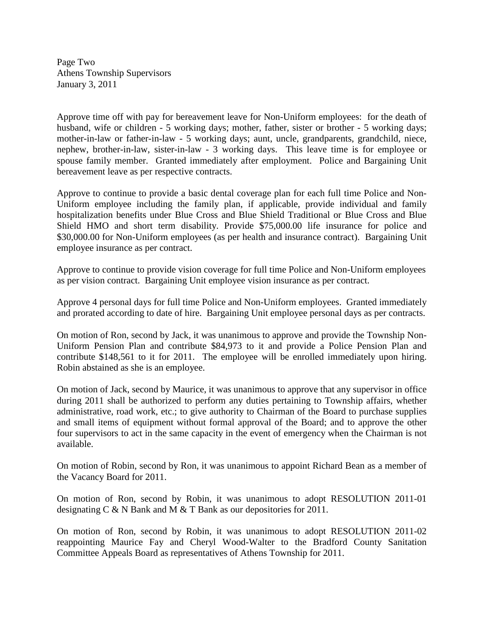Page Two Athens Township Supervisors January 3, 2011

Approve time off with pay for bereavement leave for Non-Uniform employees: for the death of husband, wife or children - 5 working days; mother, father, sister or brother - 5 working days; mother-in-law or father-in-law - 5 working days; aunt, uncle, grandparents, grandchild, niece, nephew, brother-in-law, sister-in-law - 3 working days. This leave time is for employee or spouse family member. Granted immediately after employment. Police and Bargaining Unit bereavement leave as per respective contracts.

Approve to continue to provide a basic dental coverage plan for each full time Police and Non-Uniform employee including the family plan, if applicable, provide individual and family hospitalization benefits under Blue Cross and Blue Shield Traditional or Blue Cross and Blue Shield HMO and short term disability. Provide \$75,000.00 life insurance for police and \$30,000.00 for Non-Uniform employees (as per health and insurance contract). Bargaining Unit employee insurance as per contract.

Approve to continue to provide vision coverage for full time Police and Non-Uniform employees as per vision contract. Bargaining Unit employee vision insurance as per contract.

Approve 4 personal days for full time Police and Non-Uniform employees. Granted immediately and prorated according to date of hire. Bargaining Unit employee personal days as per contracts.

On motion of Ron, second by Jack, it was unanimous to approve and provide the Township Non-Uniform Pension Plan and contribute \$84,973 to it and provide a Police Pension Plan and contribute \$148,561 to it for 2011. The employee will be enrolled immediately upon hiring. Robin abstained as she is an employee.

On motion of Jack, second by Maurice, it was unanimous to approve that any supervisor in office during 2011 shall be authorized to perform any duties pertaining to Township affairs, whether administrative, road work, etc.; to give authority to Chairman of the Board to purchase supplies and small items of equipment without formal approval of the Board; and to approve the other four supervisors to act in the same capacity in the event of emergency when the Chairman is not available.

On motion of Robin, second by Ron, it was unanimous to appoint Richard Bean as a member of the Vacancy Board for 2011.

On motion of Ron, second by Robin, it was unanimous to adopt RESOLUTION 2011-01 designating C & N Bank and M & T Bank as our depositories for 2011.

On motion of Ron, second by Robin, it was unanimous to adopt RESOLUTION 2011-02 reappointing Maurice Fay and Cheryl Wood-Walter to the Bradford County Sanitation Committee Appeals Board as representatives of Athens Township for 2011.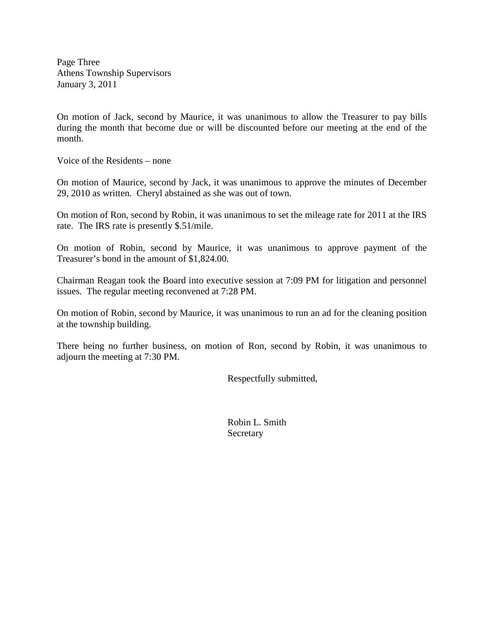Page Three Athens Township Supervisors January 3, 2011

On motion of Jack, second by Maurice, it was unanimous to allow the Treasurer to pay bills during the month that become due or will be discounted before our meeting at the end of the month.

Voice of the Residents – none

On motion of Maurice, second by Jack, it was unanimous to approve the minutes of December 29, 2010 as written. Cheryl abstained as she was out of town.

On motion of Ron, second by Robin, it was unanimous to set the mileage rate for 2011 at the IRS rate. The IRS rate is presently \$.51/mile.

On motion of Robin, second by Maurice, it was unanimous to approve payment of the Treasurer's bond in the amount of \$1,824.00.

Chairman Reagan took the Board into executive session at 7:09 PM for litigation and personnel issues. The regular meeting reconvened at 7:28 PM.

On motion of Robin, second by Maurice, it was unanimous to run an ad for the cleaning position at the township building.

There being no further business, on motion of Ron, second by Robin, it was unanimous to adjourn the meeting at 7:30 PM.

Respectfully submitted,

 Robin L. Smith Secretary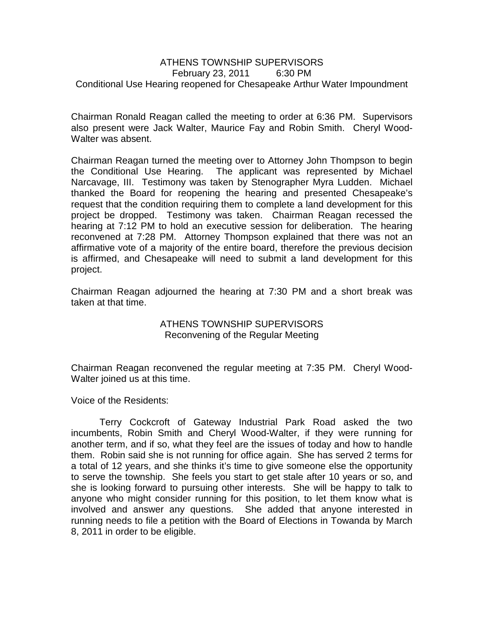## ATHENS TOWNSHIP SUPERVISORS February 23, 2011 6:30 PM Conditional Use Hearing reopened for Chesapeake Arthur Water Impoundment

Chairman Ronald Reagan called the meeting to order at 6:36 PM. Supervisors also present were Jack Walter, Maurice Fay and Robin Smith. Cheryl Wood-Walter was absent.

Chairman Reagan turned the meeting over to Attorney John Thompson to begin the Conditional Use Hearing. The applicant was represented by Michael Narcavage, III. Testimony was taken by Stenographer Myra Ludden. Michael thanked the Board for reopening the hearing and presented Chesapeake's request that the condition requiring them to complete a land development for this project be dropped. Testimony was taken. Chairman Reagan recessed the hearing at 7:12 PM to hold an executive session for deliberation. The hearing reconvened at 7:28 PM. Attorney Thompson explained that there was not an affirmative vote of a majority of the entire board, therefore the previous decision is affirmed, and Chesapeake will need to submit a land development for this project.

Chairman Reagan adjourned the hearing at 7:30 PM and a short break was taken at that time.

# ATHENS TOWNSHIP SUPERVISORS Reconvening of the Regular Meeting

Chairman Reagan reconvened the regular meeting at 7:35 PM. Cheryl Wood-Walter joined us at this time.

Voice of the Residents:

 Terry Cockcroft of Gateway Industrial Park Road asked the two incumbents, Robin Smith and Cheryl Wood-Walter, if they were running for another term, and if so, what they feel are the issues of today and how to handle them. Robin said she is not running for office again. She has served 2 terms for a total of 12 years, and she thinks it's time to give someone else the opportunity to serve the township. She feels you start to get stale after 10 years or so, and she is looking forward to pursuing other interests. She will be happy to talk to anyone who might consider running for this position, to let them know what is involved and answer any questions. She added that anyone interested in running needs to file a petition with the Board of Elections in Towanda by March 8, 2011 in order to be eligible.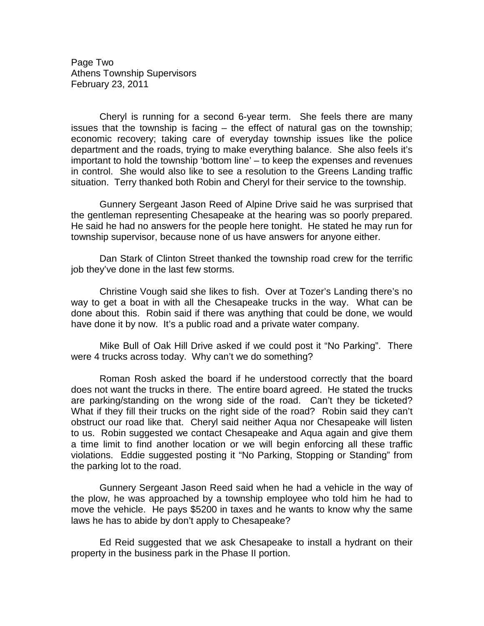Page Two Athens Township Supervisors February 23, 2011

Cheryl is running for a second 6-year term. She feels there are many issues that the township is facing – the effect of natural gas on the township; economic recovery; taking care of everyday township issues like the police department and the roads, trying to make everything balance. She also feels it's important to hold the township 'bottom line' – to keep the expenses and revenues in control. She would also like to see a resolution to the Greens Landing traffic situation. Terry thanked both Robin and Cheryl for their service to the township.

Gunnery Sergeant Jason Reed of Alpine Drive said he was surprised that the gentleman representing Chesapeake at the hearing was so poorly prepared. He said he had no answers for the people here tonight. He stated he may run for township supervisor, because none of us have answers for anyone either.

Dan Stark of Clinton Street thanked the township road crew for the terrific job they've done in the last few storms.

Christine Vough said she likes to fish. Over at Tozer's Landing there's no way to get a boat in with all the Chesapeake trucks in the way. What can be done about this. Robin said if there was anything that could be done, we would have done it by now. It's a public road and a private water company.

Mike Bull of Oak Hill Drive asked if we could post it "No Parking". There were 4 trucks across today. Why can't we do something?

Roman Rosh asked the board if he understood correctly that the board does not want the trucks in there. The entire board agreed. He stated the trucks are parking/standing on the wrong side of the road. Can't they be ticketed? What if they fill their trucks on the right side of the road? Robin said they can't obstruct our road like that. Cheryl said neither Aqua nor Chesapeake will listen to us. Robin suggested we contact Chesapeake and Aqua again and give them a time limit to find another location or we will begin enforcing all these traffic violations. Eddie suggested posting it "No Parking, Stopping or Standing" from the parking lot to the road.

Gunnery Sergeant Jason Reed said when he had a vehicle in the way of the plow, he was approached by a township employee who told him he had to move the vehicle. He pays \$5200 in taxes and he wants to know why the same laws he has to abide by don't apply to Chesapeake?

Ed Reid suggested that we ask Chesapeake to install a hydrant on their property in the business park in the Phase II portion.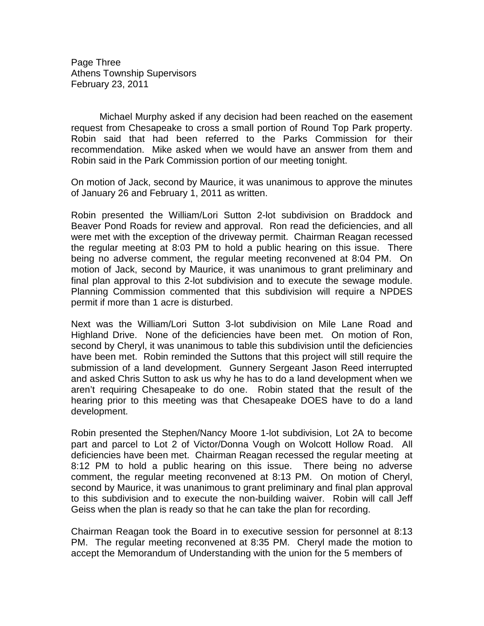Page Three Athens Township Supervisors February 23, 2011

 Michael Murphy asked if any decision had been reached on the easement request from Chesapeake to cross a small portion of Round Top Park property. Robin said that had been referred to the Parks Commission for their recommendation. Mike asked when we would have an answer from them and Robin said in the Park Commission portion of our meeting tonight.

On motion of Jack, second by Maurice, it was unanimous to approve the minutes of January 26 and February 1, 2011 as written.

Robin presented the William/Lori Sutton 2-lot subdivision on Braddock and Beaver Pond Roads for review and approval. Ron read the deficiencies, and all were met with the exception of the driveway permit. Chairman Reagan recessed the regular meeting at 8:03 PM to hold a public hearing on this issue. There being no adverse comment, the regular meeting reconvened at 8:04 PM. On motion of Jack, second by Maurice, it was unanimous to grant preliminary and final plan approval to this 2-lot subdivision and to execute the sewage module. Planning Commission commented that this subdivision will require a NPDES permit if more than 1 acre is disturbed.

Next was the William/Lori Sutton 3-lot subdivision on Mile Lane Road and Highland Drive. None of the deficiencies have been met. On motion of Ron, second by Cheryl, it was unanimous to table this subdivision until the deficiencies have been met. Robin reminded the Suttons that this project will still require the submission of a land development. Gunnery Sergeant Jason Reed interrupted and asked Chris Sutton to ask us why he has to do a land development when we aren't requiring Chesapeake to do one. Robin stated that the result of the hearing prior to this meeting was that Chesapeake DOES have to do a land development.

Robin presented the Stephen/Nancy Moore 1-lot subdivision, Lot 2A to become part and parcel to Lot 2 of Victor/Donna Vough on Wolcott Hollow Road. All deficiencies have been met. Chairman Reagan recessed the regular meeting at 8:12 PM to hold a public hearing on this issue. There being no adverse comment, the regular meeting reconvened at 8:13 PM. On motion of Cheryl, second by Maurice, it was unanimous to grant preliminary and final plan approval to this subdivision and to execute the non-building waiver. Robin will call Jeff Geiss when the plan is ready so that he can take the plan for recording.

Chairman Reagan took the Board in to executive session for personnel at 8:13 PM. The regular meeting reconvened at 8:35 PM. Cheryl made the motion to accept the Memorandum of Understanding with the union for the 5 members of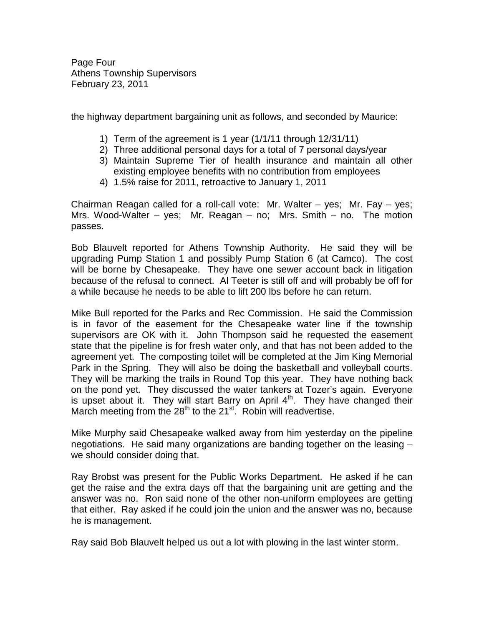Page Four Athens Township Supervisors February 23, 2011

the highway department bargaining unit as follows, and seconded by Maurice:

- 1) Term of the agreement is 1 year (1/1/11 through 12/31/11)
- 2) Three additional personal days for a total of 7 personal days/year
- 3) Maintain Supreme Tier of health insurance and maintain all other existing employee benefits with no contribution from employees
- 4) 1.5% raise for 2011, retroactive to January 1, 2011

Chairman Reagan called for a roll-call vote: Mr. Walter – yes; Mr. Fay – yes; Mrs. Wood-Walter – yes; Mr. Reagan – no; Mrs. Smith – no. The motion passes.

Bob Blauvelt reported for Athens Township Authority. He said they will be upgrading Pump Station 1 and possibly Pump Station 6 (at Camco). The cost will be borne by Chesapeake. They have one sewer account back in litigation because of the refusal to connect. Al Teeter is still off and will probably be off for a while because he needs to be able to lift 200 lbs before he can return.

Mike Bull reported for the Parks and Rec Commission. He said the Commission is in favor of the easement for the Chesapeake water line if the township supervisors are OK with it. John Thompson said he requested the easement state that the pipeline is for fresh water only, and that has not been added to the agreement yet. The composting toilet will be completed at the Jim King Memorial Park in the Spring. They will also be doing the basketball and volleyball courts. They will be marking the trails in Round Top this year. They have nothing back on the pond yet. They discussed the water tankers at Tozer's again. Everyone is upset about it. They will start Barry on April  $4<sup>th</sup>$ . They have changed their March meeting from the  $28<sup>th</sup>$  to the  $21<sup>st</sup>$ . Robin will readvertise.

Mike Murphy said Chesapeake walked away from him yesterday on the pipeline negotiations. He said many organizations are banding together on the leasing – we should consider doing that.

Ray Brobst was present for the Public Works Department. He asked if he can get the raise and the extra days off that the bargaining unit are getting and the answer was no. Ron said none of the other non-uniform employees are getting that either. Ray asked if he could join the union and the answer was no, because he is management.

Ray said Bob Blauvelt helped us out a lot with plowing in the last winter storm.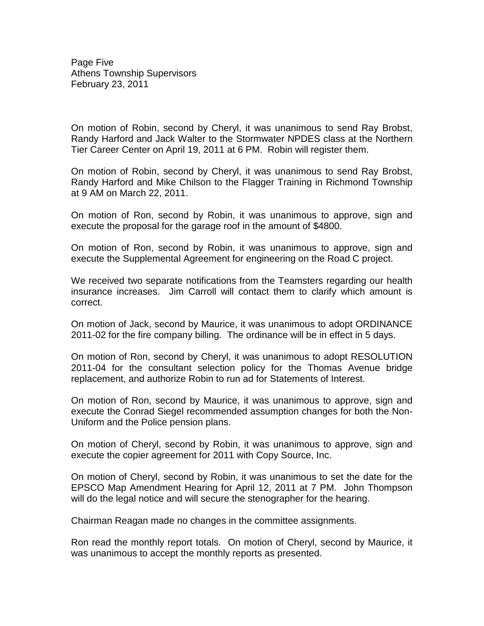Page Five Athens Township Supervisors February 23, 2011

On motion of Robin, second by Cheryl, it was unanimous to send Ray Brobst, Randy Harford and Jack Walter to the Stormwater NPDES class at the Northern Tier Career Center on April 19, 2011 at 6 PM. Robin will register them.

On motion of Robin, second by Cheryl, it was unanimous to send Ray Brobst, Randy Harford and Mike Chilson to the Flagger Training in Richmond Township at 9 AM on March 22, 2011.

On motion of Ron, second by Robin, it was unanimous to approve, sign and execute the proposal for the garage roof in the amount of \$4800.

On motion of Ron, second by Robin, it was unanimous to approve, sign and execute the Supplemental Agreement for engineering on the Road C project.

We received two separate notifications from the Teamsters regarding our health insurance increases. Jim Carroll will contact them to clarify which amount is correct.

On motion of Jack, second by Maurice, it was unanimous to adopt ORDINANCE 2011-02 for the fire company billing. The ordinance will be in effect in 5 days.

On motion of Ron, second by Cheryl, it was unanimous to adopt RESOLUTION 2011-04 for the consultant selection policy for the Thomas Avenue bridge replacement, and authorize Robin to run ad for Statements of Interest.

On motion of Ron, second by Maurice, it was unanimous to approve, sign and execute the Conrad Siegel recommended assumption changes for both the Non-Uniform and the Police pension plans.

On motion of Cheryl, second by Robin, it was unanimous to approve, sign and execute the copier agreement for 2011 with Copy Source, Inc.

On motion of Cheryl, second by Robin, it was unanimous to set the date for the EPSCO Map Amendment Hearing for April 12, 2011 at 7 PM. John Thompson will do the legal notice and will secure the stenographer for the hearing.

Chairman Reagan made no changes in the committee assignments.

Ron read the monthly report totals. On motion of Cheryl, second by Maurice, it was unanimous to accept the monthly reports as presented.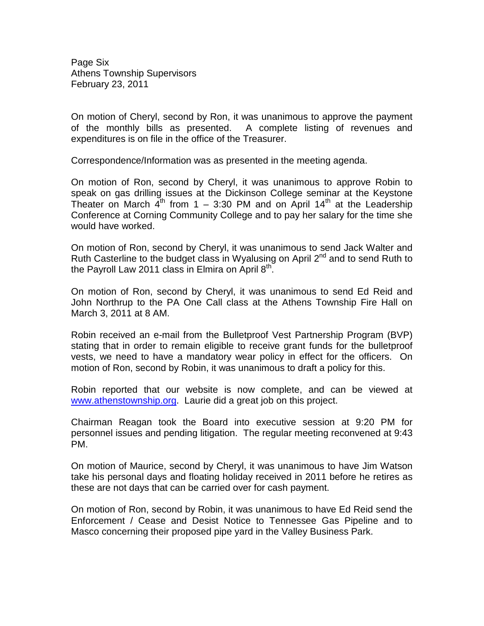Page Six Athens Township Supervisors February 23, 2011

On motion of Cheryl, second by Ron, it was unanimous to approve the payment of the monthly bills as presented. A complete listing of revenues and expenditures is on file in the office of the Treasurer.

Correspondence/Information was as presented in the meeting agenda.

On motion of Ron, second by Cheryl, it was unanimous to approve Robin to speak on gas drilling issues at the Dickinson College seminar at the Keystone Theater on March  $4<sup>th</sup>$  from 1 – 3:30 PM and on April 14<sup>th</sup> at the Leadership Conference at Corning Community College and to pay her salary for the time she would have worked.

On motion of Ron, second by Cheryl, it was unanimous to send Jack Walter and Ruth Casterline to the budget class in Wyalusing on April  $2^{nd}$  and to send Ruth to the Payroll Law 2011 class in Elmira on April  $8^{\text{th}}$ .

On motion of Ron, second by Cheryl, it was unanimous to send Ed Reid and John Northrup to the PA One Call class at the Athens Township Fire Hall on March 3, 2011 at 8 AM.

Robin received an e-mail from the Bulletproof Vest Partnership Program (BVP) stating that in order to remain eligible to receive grant funds for the bulletproof vests, we need to have a mandatory wear policy in effect for the officers. On motion of Ron, second by Robin, it was unanimous to draft a policy for this.

Robin reported that our website is now complete, and can be viewed at www.athenstownship.org. Laurie did a great job on this project.

Chairman Reagan took the Board into executive session at 9:20 PM for personnel issues and pending litigation. The regular meeting reconvened at 9:43 PM.

On motion of Maurice, second by Cheryl, it was unanimous to have Jim Watson take his personal days and floating holiday received in 2011 before he retires as these are not days that can be carried over for cash payment.

On motion of Ron, second by Robin, it was unanimous to have Ed Reid send the Enforcement / Cease and Desist Notice to Tennessee Gas Pipeline and to Masco concerning their proposed pipe yard in the Valley Business Park.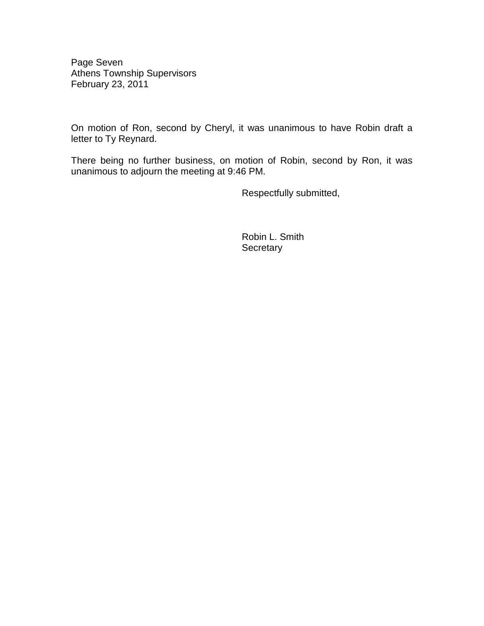Page Seven Athens Township Supervisors February 23, 2011

On motion of Ron, second by Cheryl, it was unanimous to have Robin draft a letter to Ty Reynard.

There being no further business, on motion of Robin, second by Ron, it was unanimous to adjourn the meeting at 9:46 PM.

Respectfully submitted,

 Robin L. Smith **Secretary**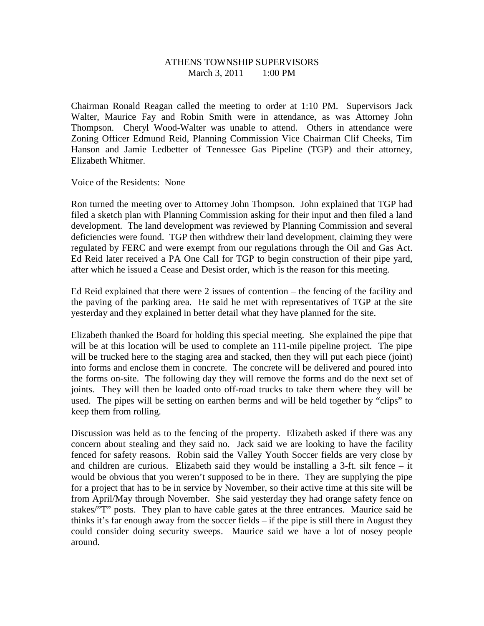#### ATHENS TOWNSHIP SUPERVISORS March 3, 2011 1:00 PM

Chairman Ronald Reagan called the meeting to order at 1:10 PM. Supervisors Jack Walter, Maurice Fay and Robin Smith were in attendance, as was Attorney John Thompson. Cheryl Wood-Walter was unable to attend. Others in attendance were Zoning Officer Edmund Reid, Planning Commission Vice Chairman Clif Cheeks, Tim Hanson and Jamie Ledbetter of Tennessee Gas Pipeline (TGP) and their attorney, Elizabeth Whitmer.

Voice of the Residents: None

Ron turned the meeting over to Attorney John Thompson. John explained that TGP had filed a sketch plan with Planning Commission asking for their input and then filed a land development. The land development was reviewed by Planning Commission and several deficiencies were found. TGP then withdrew their land development, claiming they were regulated by FERC and were exempt from our regulations through the Oil and Gas Act. Ed Reid later received a PA One Call for TGP to begin construction of their pipe yard, after which he issued a Cease and Desist order, which is the reason for this meeting.

Ed Reid explained that there were 2 issues of contention – the fencing of the facility and the paving of the parking area. He said he met with representatives of TGP at the site yesterday and they explained in better detail what they have planned for the site.

Elizabeth thanked the Board for holding this special meeting. She explained the pipe that will be at this location will be used to complete an 111-mile pipeline project. The pipe will be trucked here to the staging area and stacked, then they will put each piece (joint) into forms and enclose them in concrete. The concrete will be delivered and poured into the forms on-site. The following day they will remove the forms and do the next set of joints. They will then be loaded onto off-road trucks to take them where they will be used. The pipes will be setting on earthen berms and will be held together by "clips" to keep them from rolling.

Discussion was held as to the fencing of the property. Elizabeth asked if there was any concern about stealing and they said no. Jack said we are looking to have the facility fenced for safety reasons. Robin said the Valley Youth Soccer fields are very close by and children are curious. Elizabeth said they would be installing a 3-ft. silt fence – it would be obvious that you weren't supposed to be in there. They are supplying the pipe for a project that has to be in service by November, so their active time at this site will be from April/May through November. She said yesterday they had orange safety fence on stakes/"T" posts. They plan to have cable gates at the three entrances. Maurice said he thinks it's far enough away from the soccer fields – if the pipe is still there in August they could consider doing security sweeps. Maurice said we have a lot of nosey people around.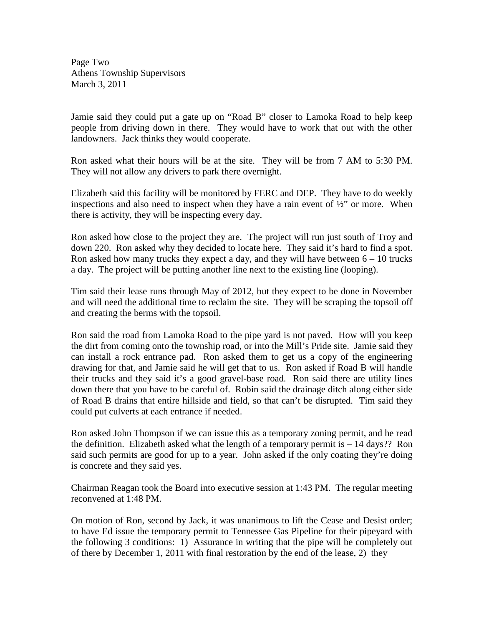Page Two Athens Township Supervisors March 3, 2011

Jamie said they could put a gate up on "Road B" closer to Lamoka Road to help keep people from driving down in there. They would have to work that out with the other landowners. Jack thinks they would cooperate.

Ron asked what their hours will be at the site. They will be from 7 AM to 5:30 PM. They will not allow any drivers to park there overnight.

Elizabeth said this facility will be monitored by FERC and DEP. They have to do weekly inspections and also need to inspect when they have a rain event of  $\frac{1}{2}$ " or more. When there is activity, they will be inspecting every day.

Ron asked how close to the project they are. The project will run just south of Troy and down 220. Ron asked why they decided to locate here. They said it's hard to find a spot. Ron asked how many trucks they expect a day, and they will have between  $6 - 10$  trucks a day. The project will be putting another line next to the existing line (looping).

Tim said their lease runs through May of 2012, but they expect to be done in November and will need the additional time to reclaim the site. They will be scraping the topsoil off and creating the berms with the topsoil.

Ron said the road from Lamoka Road to the pipe yard is not paved. How will you keep the dirt from coming onto the township road, or into the Mill's Pride site. Jamie said they can install a rock entrance pad. Ron asked them to get us a copy of the engineering drawing for that, and Jamie said he will get that to us. Ron asked if Road B will handle their trucks and they said it's a good gravel-base road. Ron said there are utility lines down there that you have to be careful of. Robin said the drainage ditch along either side of Road B drains that entire hillside and field, so that can't be disrupted. Tim said they could put culverts at each entrance if needed.

Ron asked John Thompson if we can issue this as a temporary zoning permit, and he read the definition. Elizabeth asked what the length of a temporary permit is – 14 days?? Ron said such permits are good for up to a year. John asked if the only coating they're doing is concrete and they said yes.

Chairman Reagan took the Board into executive session at 1:43 PM. The regular meeting reconvened at 1:48 PM.

On motion of Ron, second by Jack, it was unanimous to lift the Cease and Desist order; to have Ed issue the temporary permit to Tennessee Gas Pipeline for their pipeyard with the following 3 conditions: 1) Assurance in writing that the pipe will be completely out of there by December 1, 2011 with final restoration by the end of the lease, 2) they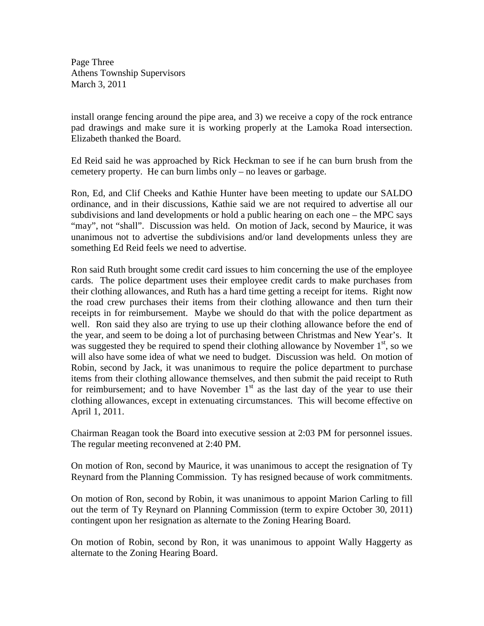Page Three Athens Township Supervisors March 3, 2011

install orange fencing around the pipe area, and 3) we receive a copy of the rock entrance pad drawings and make sure it is working properly at the Lamoka Road intersection. Elizabeth thanked the Board.

Ed Reid said he was approached by Rick Heckman to see if he can burn brush from the cemetery property. He can burn limbs only – no leaves or garbage.

Ron, Ed, and Clif Cheeks and Kathie Hunter have been meeting to update our SALDO ordinance, and in their discussions, Kathie said we are not required to advertise all our subdivisions and land developments or hold a public hearing on each one – the MPC says "may", not "shall". Discussion was held. On motion of Jack, second by Maurice, it was unanimous not to advertise the subdivisions and/or land developments unless they are something Ed Reid feels we need to advertise.

Ron said Ruth brought some credit card issues to him concerning the use of the employee cards. The police department uses their employee credit cards to make purchases from their clothing allowances, and Ruth has a hard time getting a receipt for items. Right now the road crew purchases their items from their clothing allowance and then turn their receipts in for reimbursement. Maybe we should do that with the police department as well. Ron said they also are trying to use up their clothing allowance before the end of the year, and seem to be doing a lot of purchasing between Christmas and New Year's. It was suggested they be required to spend their clothing allowance by November  $1<sup>st</sup>$ , so we will also have some idea of what we need to budget. Discussion was held. On motion of Robin, second by Jack, it was unanimous to require the police department to purchase items from their clothing allowance themselves, and then submit the paid receipt to Ruth for reimbursement; and to have November  $1<sup>st</sup>$  as the last day of the year to use their clothing allowances, except in extenuating circumstances. This will become effective on April 1, 2011.

Chairman Reagan took the Board into executive session at 2:03 PM for personnel issues. The regular meeting reconvened at 2:40 PM.

On motion of Ron, second by Maurice, it was unanimous to accept the resignation of Ty Reynard from the Planning Commission. Ty has resigned because of work commitments.

On motion of Ron, second by Robin, it was unanimous to appoint Marion Carling to fill out the term of Ty Reynard on Planning Commission (term to expire October 30, 2011) contingent upon her resignation as alternate to the Zoning Hearing Board.

On motion of Robin, second by Ron, it was unanimous to appoint Wally Haggerty as alternate to the Zoning Hearing Board.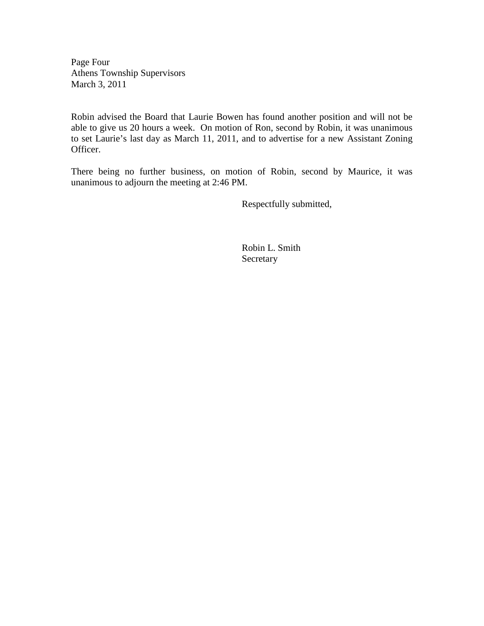Page Four Athens Township Supervisors March 3, 2011

Robin advised the Board that Laurie Bowen has found another position and will not be able to give us 20 hours a week. On motion of Ron, second by Robin, it was unanimous to set Laurie's last day as March 11, 2011, and to advertise for a new Assistant Zoning Officer.

There being no further business, on motion of Robin, second by Maurice, it was unanimous to adjourn the meeting at 2:46 PM.

Respectfully submitted,

 Robin L. Smith Secretary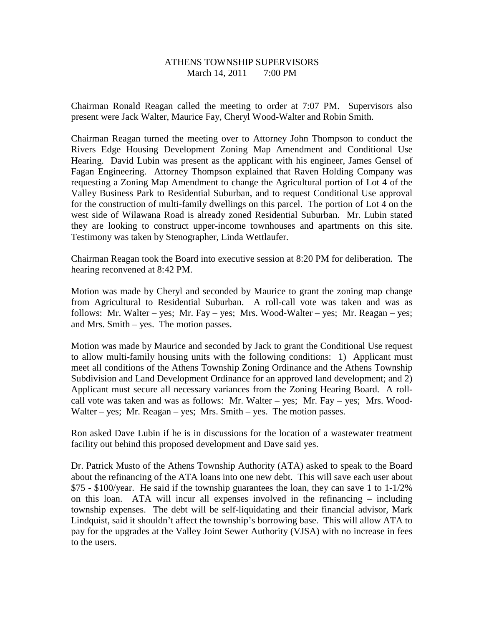## ATHENS TOWNSHIP SUPERVISORS March 14, 2011 7:00 PM

Chairman Ronald Reagan called the meeting to order at 7:07 PM. Supervisors also present were Jack Walter, Maurice Fay, Cheryl Wood-Walter and Robin Smith.

Chairman Reagan turned the meeting over to Attorney John Thompson to conduct the Rivers Edge Housing Development Zoning Map Amendment and Conditional Use Hearing. David Lubin was present as the applicant with his engineer, James Gensel of Fagan Engineering. Attorney Thompson explained that Raven Holding Company was requesting a Zoning Map Amendment to change the Agricultural portion of Lot 4 of the Valley Business Park to Residential Suburban, and to request Conditional Use approval for the construction of multi-family dwellings on this parcel. The portion of Lot 4 on the west side of Wilawana Road is already zoned Residential Suburban. Mr. Lubin stated they are looking to construct upper-income townhouses and apartments on this site. Testimony was taken by Stenographer, Linda Wettlaufer.

Chairman Reagan took the Board into executive session at 8:20 PM for deliberation. The hearing reconvened at 8:42 PM.

Motion was made by Cheryl and seconded by Maurice to grant the zoning map change from Agricultural to Residential Suburban. A roll-call vote was taken and was as follows: Mr. Walter – yes; Mr. Fay – yes; Mrs. Wood-Walter – yes; Mr. Reagan – yes; and Mrs. Smith – yes. The motion passes.

Motion was made by Maurice and seconded by Jack to grant the Conditional Use request to allow multi-family housing units with the following conditions: 1) Applicant must meet all conditions of the Athens Township Zoning Ordinance and the Athens Township Subdivision and Land Development Ordinance for an approved land development; and 2) Applicant must secure all necessary variances from the Zoning Hearing Board. A rollcall vote was taken and was as follows: Mr. Walter – yes; Mr. Fay – yes; Mrs. Wood-Walter – yes; Mr. Reagan – yes; Mrs. Smith – yes. The motion passes.

Ron asked Dave Lubin if he is in discussions for the location of a wastewater treatment facility out behind this proposed development and Dave said yes.

Dr. Patrick Musto of the Athens Township Authority (ATA) asked to speak to the Board about the refinancing of the ATA loans into one new debt. This will save each user about \$75 - \$100/year. He said if the township guarantees the loan, they can save 1 to 1-1/2% on this loan. ATA will incur all expenses involved in the refinancing – including township expenses. The debt will be self-liquidating and their financial advisor, Mark Lindquist, said it shouldn't affect the township's borrowing base. This will allow ATA to pay for the upgrades at the Valley Joint Sewer Authority (VJSA) with no increase in fees to the users.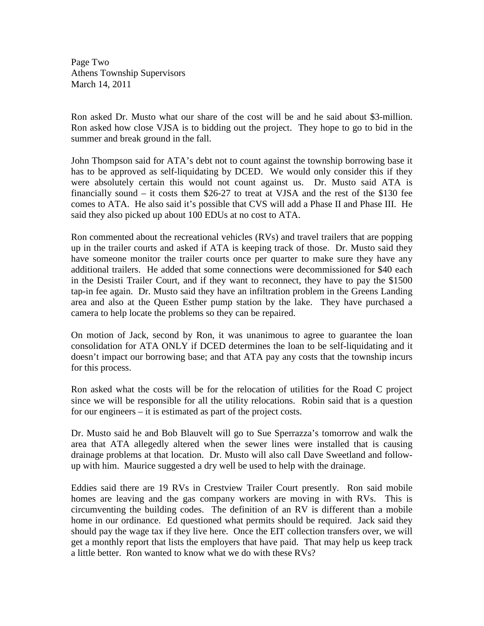Page Two Athens Township Supervisors March 14, 2011

Ron asked Dr. Musto what our share of the cost will be and he said about \$3-million. Ron asked how close VJSA is to bidding out the project. They hope to go to bid in the summer and break ground in the fall.

John Thompson said for ATA's debt not to count against the township borrowing base it has to be approved as self-liquidating by DCED. We would only consider this if they were absolutely certain this would not count against us. Dr. Musto said ATA is financially sound – it costs them \$26-27 to treat at VJSA and the rest of the \$130 fee comes to ATA. He also said it's possible that CVS will add a Phase II and Phase III. He said they also picked up about 100 EDUs at no cost to ATA.

Ron commented about the recreational vehicles (RVs) and travel trailers that are popping up in the trailer courts and asked if ATA is keeping track of those. Dr. Musto said they have someone monitor the trailer courts once per quarter to make sure they have any additional trailers. He added that some connections were decommissioned for \$40 each in the Desisti Trailer Court, and if they want to reconnect, they have to pay the \$1500 tap-in fee again. Dr. Musto said they have an infiltration problem in the Greens Landing area and also at the Queen Esther pump station by the lake. They have purchased a camera to help locate the problems so they can be repaired.

On motion of Jack, second by Ron, it was unanimous to agree to guarantee the loan consolidation for ATA ONLY if DCED determines the loan to be self-liquidating and it doesn't impact our borrowing base; and that ATA pay any costs that the township incurs for this process.

Ron asked what the costs will be for the relocation of utilities for the Road C project since we will be responsible for all the utility relocations. Robin said that is a question for our engineers – it is estimated as part of the project costs.

Dr. Musto said he and Bob Blauvelt will go to Sue Sperrazza's tomorrow and walk the area that ATA allegedly altered when the sewer lines were installed that is causing drainage problems at that location. Dr. Musto will also call Dave Sweetland and followup with him. Maurice suggested a dry well be used to help with the drainage.

Eddies said there are 19 RVs in Crestview Trailer Court presently. Ron said mobile homes are leaving and the gas company workers are moving in with RVs. This is circumventing the building codes. The definition of an RV is different than a mobile home in our ordinance. Ed questioned what permits should be required. Jack said they should pay the wage tax if they live here. Once the EIT collection transfers over, we will get a monthly report that lists the employers that have paid. That may help us keep track a little better. Ron wanted to know what we do with these RVs?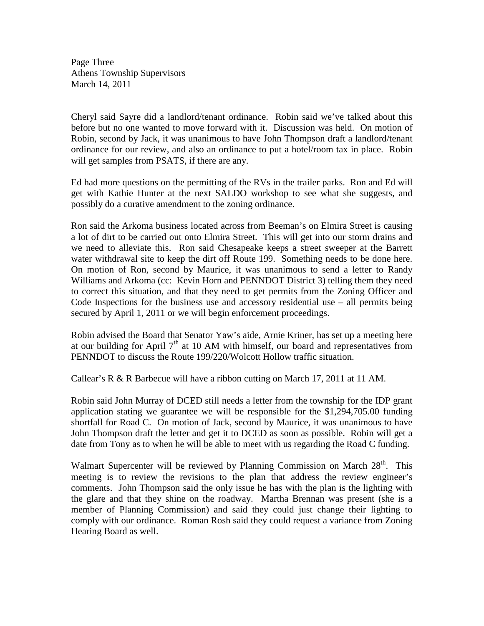Page Three Athens Township Supervisors March 14, 2011

Cheryl said Sayre did a landlord/tenant ordinance. Robin said we've talked about this before but no one wanted to move forward with it. Discussion was held. On motion of Robin, second by Jack, it was unanimous to have John Thompson draft a landlord/tenant ordinance for our review, and also an ordinance to put a hotel/room tax in place. Robin will get samples from PSATS, if there are any.

Ed had more questions on the permitting of the RVs in the trailer parks. Ron and Ed will get with Kathie Hunter at the next SALDO workshop to see what she suggests, and possibly do a curative amendment to the zoning ordinance.

Ron said the Arkoma business located across from Beeman's on Elmira Street is causing a lot of dirt to be carried out onto Elmira Street. This will get into our storm drains and we need to alleviate this. Ron said Chesapeake keeps a street sweeper at the Barrett water withdrawal site to keep the dirt off Route 199. Something needs to be done here. On motion of Ron, second by Maurice, it was unanimous to send a letter to Randy Williams and Arkoma (cc: Kevin Horn and PENNDOT District 3) telling them they need to correct this situation, and that they need to get permits from the Zoning Officer and Code Inspections for the business use and accessory residential use – all permits being secured by April 1, 2011 or we will begin enforcement proceedings.

Robin advised the Board that Senator Yaw's aide, Arnie Kriner, has set up a meeting here at our building for April  $7<sup>th</sup>$  at 10 AM with himself, our board and representatives from PENNDOT to discuss the Route 199/220/Wolcott Hollow traffic situation.

Callear's R & R Barbecue will have a ribbon cutting on March 17, 2011 at 11 AM.

Robin said John Murray of DCED still needs a letter from the township for the IDP grant application stating we guarantee we will be responsible for the \$1,294,705.00 funding shortfall for Road C. On motion of Jack, second by Maurice, it was unanimous to have John Thompson draft the letter and get it to DCED as soon as possible. Robin will get a date from Tony as to when he will be able to meet with us regarding the Road C funding.

Walmart Supercenter will be reviewed by Planning Commission on March  $28<sup>th</sup>$ . This meeting is to review the revisions to the plan that address the review engineer's comments. John Thompson said the only issue he has with the plan is the lighting with the glare and that they shine on the roadway. Martha Brennan was present (she is a member of Planning Commission) and said they could just change their lighting to comply with our ordinance. Roman Rosh said they could request a variance from Zoning Hearing Board as well.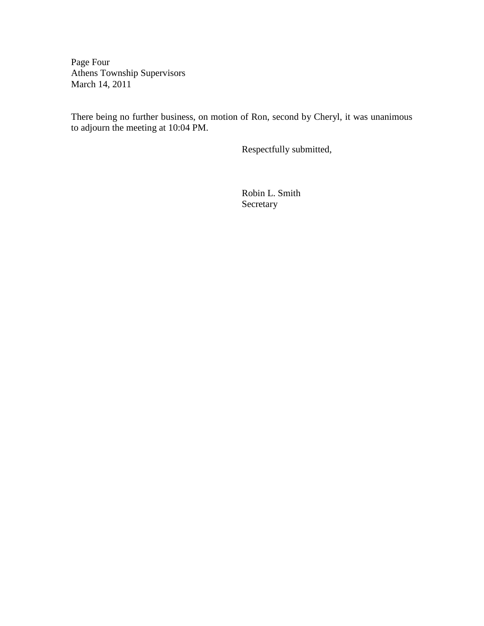Page Four Athens Township Supervisors March 14, 2011

There being no further business, on motion of Ron, second by Cheryl, it was unanimous to adjourn the meeting at 10:04 PM.

Respectfully submitted,

 Robin L. Smith Secretary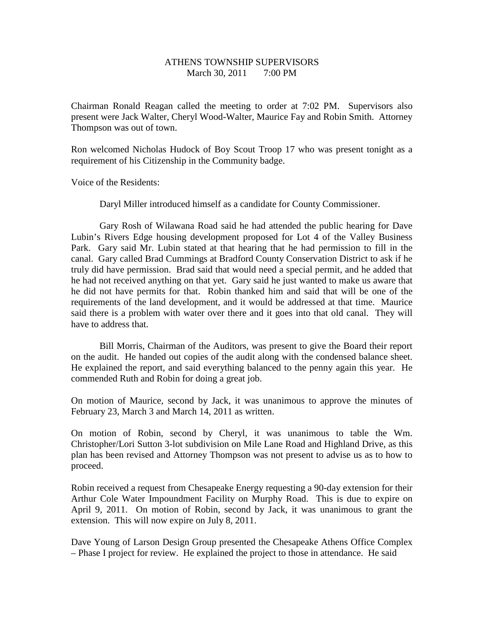## ATHENS TOWNSHIP SUPERVISORS March 30, 2011 7:00 PM

Chairman Ronald Reagan called the meeting to order at 7:02 PM. Supervisors also present were Jack Walter, Cheryl Wood-Walter, Maurice Fay and Robin Smith. Attorney Thompson was out of town.

Ron welcomed Nicholas Hudock of Boy Scout Troop 17 who was present tonight as a requirement of his Citizenship in the Community badge.

Voice of the Residents:

Daryl Miller introduced himself as a candidate for County Commissioner.

 Gary Rosh of Wilawana Road said he had attended the public hearing for Dave Lubin's Rivers Edge housing development proposed for Lot 4 of the Valley Business Park. Gary said Mr. Lubin stated at that hearing that he had permission to fill in the canal. Gary called Brad Cummings at Bradford County Conservation District to ask if he truly did have permission. Brad said that would need a special permit, and he added that he had not received anything on that yet. Gary said he just wanted to make us aware that he did not have permits for that. Robin thanked him and said that will be one of the requirements of the land development, and it would be addressed at that time. Maurice said there is a problem with water over there and it goes into that old canal. They will have to address that.

 Bill Morris, Chairman of the Auditors, was present to give the Board their report on the audit. He handed out copies of the audit along with the condensed balance sheet. He explained the report, and said everything balanced to the penny again this year. He commended Ruth and Robin for doing a great job.

On motion of Maurice, second by Jack, it was unanimous to approve the minutes of February 23, March 3 and March 14, 2011 as written.

On motion of Robin, second by Cheryl, it was unanimous to table the Wm. Christopher/Lori Sutton 3-lot subdivision on Mile Lane Road and Highland Drive, as this plan has been revised and Attorney Thompson was not present to advise us as to how to proceed.

Robin received a request from Chesapeake Energy requesting a 90-day extension for their Arthur Cole Water Impoundment Facility on Murphy Road. This is due to expire on April 9, 2011. On motion of Robin, second by Jack, it was unanimous to grant the extension. This will now expire on July 8, 2011.

Dave Young of Larson Design Group presented the Chesapeake Athens Office Complex – Phase I project for review. He explained the project to those in attendance. He said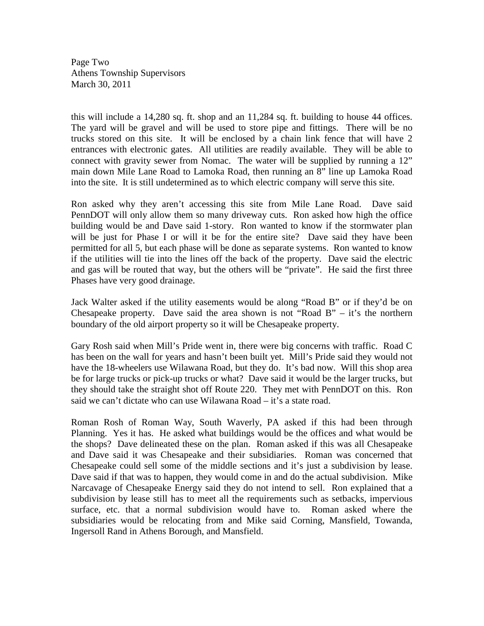Page Two Athens Township Supervisors March 30, 2011

this will include a 14,280 sq. ft. shop and an 11,284 sq. ft. building to house 44 offices. The yard will be gravel and will be used to store pipe and fittings. There will be no trucks stored on this site. It will be enclosed by a chain link fence that will have 2 entrances with electronic gates. All utilities are readily available. They will be able to connect with gravity sewer from Nomac. The water will be supplied by running a 12" main down Mile Lane Road to Lamoka Road, then running an 8" line up Lamoka Road into the site. It is still undetermined as to which electric company will serve this site.

Ron asked why they aren't accessing this site from Mile Lane Road. Dave said PennDOT will only allow them so many driveway cuts. Ron asked how high the office building would be and Dave said 1-story. Ron wanted to know if the stormwater plan will be just for Phase I or will it be for the entire site? Dave said they have been permitted for all 5, but each phase will be done as separate systems. Ron wanted to know if the utilities will tie into the lines off the back of the property. Dave said the electric and gas will be routed that way, but the others will be "private". He said the first three Phases have very good drainage.

Jack Walter asked if the utility easements would be along "Road B" or if they'd be on Chesapeake property. Dave said the area shown is not "Road  $B$ " – it's the northern boundary of the old airport property so it will be Chesapeake property.

Gary Rosh said when Mill's Pride went in, there were big concerns with traffic. Road C has been on the wall for years and hasn't been built yet. Mill's Pride said they would not have the 18-wheelers use Wilawana Road, but they do. It's bad now. Will this shop area be for large trucks or pick-up trucks or what? Dave said it would be the larger trucks, but they should take the straight shot off Route 220. They met with PennDOT on this. Ron said we can't dictate who can use Wilawana Road – it's a state road.

Roman Rosh of Roman Way, South Waverly, PA asked if this had been through Planning. Yes it has. He asked what buildings would be the offices and what would be the shops? Dave delineated these on the plan. Roman asked if this was all Chesapeake and Dave said it was Chesapeake and their subsidiaries. Roman was concerned that Chesapeake could sell some of the middle sections and it's just a subdivision by lease. Dave said if that was to happen, they would come in and do the actual subdivision. Mike Narcavage of Chesapeake Energy said they do not intend to sell. Ron explained that a subdivision by lease still has to meet all the requirements such as setbacks, impervious surface, etc. that a normal subdivision would have to. Roman asked where the subsidiaries would be relocating from and Mike said Corning, Mansfield, Towanda, Ingersoll Rand in Athens Borough, and Mansfield.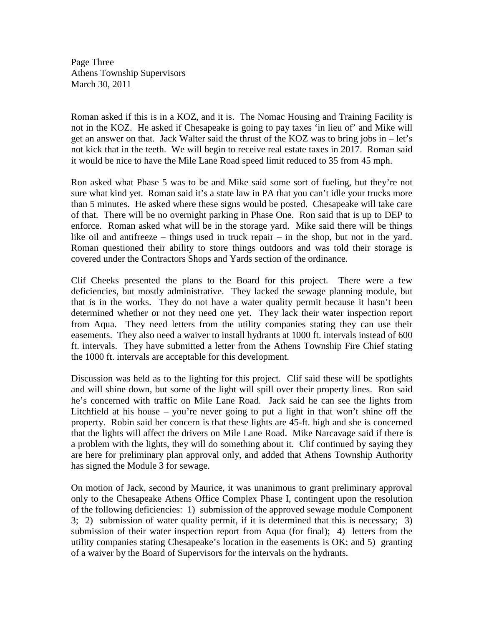Page Three Athens Township Supervisors March 30, 2011

Roman asked if this is in a KOZ, and it is. The Nomac Housing and Training Facility is not in the KOZ. He asked if Chesapeake is going to pay taxes 'in lieu of' and Mike will get an answer on that. Jack Walter said the thrust of the KOZ was to bring jobs in – let's not kick that in the teeth. We will begin to receive real estate taxes in 2017. Roman said it would be nice to have the Mile Lane Road speed limit reduced to 35 from 45 mph.

Ron asked what Phase 5 was to be and Mike said some sort of fueling, but they're not sure what kind yet. Roman said it's a state law in PA that you can't idle your trucks more than 5 minutes. He asked where these signs would be posted. Chesapeake will take care of that. There will be no overnight parking in Phase One. Ron said that is up to DEP to enforce. Roman asked what will be in the storage yard. Mike said there will be things like oil and antifreeze – things used in truck repair – in the shop, but not in the yard. Roman questioned their ability to store things outdoors and was told their storage is covered under the Contractors Shops and Yards section of the ordinance.

Clif Cheeks presented the plans to the Board for this project. There were a few deficiencies, but mostly administrative. They lacked the sewage planning module, but that is in the works. They do not have a water quality permit because it hasn't been determined whether or not they need one yet. They lack their water inspection report from Aqua. They need letters from the utility companies stating they can use their easements. They also need a waiver to install hydrants at 1000 ft. intervals instead of 600 ft. intervals. They have submitted a letter from the Athens Township Fire Chief stating the 1000 ft. intervals are acceptable for this development.

Discussion was held as to the lighting for this project. Clif said these will be spotlights and will shine down, but some of the light will spill over their property lines. Ron said he's concerned with traffic on Mile Lane Road. Jack said he can see the lights from Litchfield at his house – you're never going to put a light in that won't shine off the property. Robin said her concern is that these lights are 45-ft. high and she is concerned that the lights will affect the drivers on Mile Lane Road. Mike Narcavage said if there is a problem with the lights, they will do something about it. Clif continued by saying they are here for preliminary plan approval only, and added that Athens Township Authority has signed the Module 3 for sewage.

On motion of Jack, second by Maurice, it was unanimous to grant preliminary approval only to the Chesapeake Athens Office Complex Phase I, contingent upon the resolution of the following deficiencies: 1) submission of the approved sewage module Component 3; 2) submission of water quality permit, if it is determined that this is necessary; 3) submission of their water inspection report from Aqua (for final); 4) letters from the utility companies stating Chesapeake's location in the easements is OK; and 5) granting of a waiver by the Board of Supervisors for the intervals on the hydrants.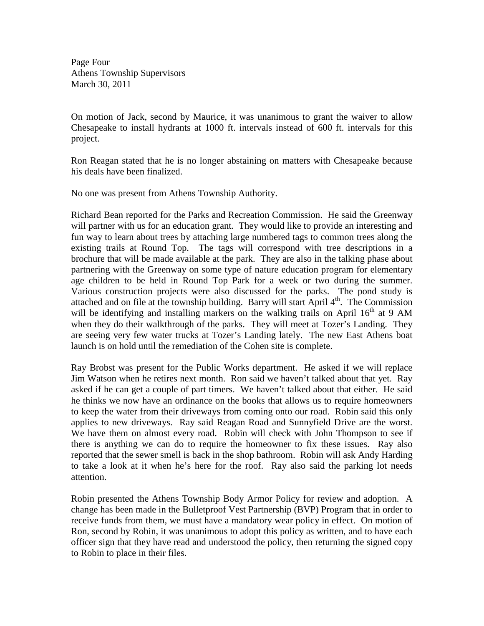Page Four Athens Township Supervisors March 30, 2011

On motion of Jack, second by Maurice, it was unanimous to grant the waiver to allow Chesapeake to install hydrants at 1000 ft. intervals instead of 600 ft. intervals for this project.

Ron Reagan stated that he is no longer abstaining on matters with Chesapeake because his deals have been finalized.

No one was present from Athens Township Authority.

Richard Bean reported for the Parks and Recreation Commission. He said the Greenway will partner with us for an education grant. They would like to provide an interesting and fun way to learn about trees by attaching large numbered tags to common trees along the existing trails at Round Top. The tags will correspond with tree descriptions in a brochure that will be made available at the park. They are also in the talking phase about partnering with the Greenway on some type of nature education program for elementary age children to be held in Round Top Park for a week or two during the summer. Various construction projects were also discussed for the parks. The pond study is attached and on file at the township building. Barry will start April  $4<sup>th</sup>$ . The Commission will be identifying and installing markers on the walking trails on April  $16<sup>th</sup>$  at 9 AM when they do their walkthrough of the parks. They will meet at Tozer's Landing. They are seeing very few water trucks at Tozer's Landing lately. The new East Athens boat launch is on hold until the remediation of the Cohen site is complete.

Ray Brobst was present for the Public Works department. He asked if we will replace Jim Watson when he retires next month. Ron said we haven't talked about that yet. Ray asked if he can get a couple of part timers. We haven't talked about that either. He said he thinks we now have an ordinance on the books that allows us to require homeowners to keep the water from their driveways from coming onto our road. Robin said this only applies to new driveways. Ray said Reagan Road and Sunnyfield Drive are the worst. We have them on almost every road. Robin will check with John Thompson to see if there is anything we can do to require the homeowner to fix these issues. Ray also reported that the sewer smell is back in the shop bathroom. Robin will ask Andy Harding to take a look at it when he's here for the roof. Ray also said the parking lot needs attention.

Robin presented the Athens Township Body Armor Policy for review and adoption. A change has been made in the Bulletproof Vest Partnership (BVP) Program that in order to receive funds from them, we must have a mandatory wear policy in effect. On motion of Ron, second by Robin, it was unanimous to adopt this policy as written, and to have each officer sign that they have read and understood the policy, then returning the signed copy to Robin to place in their files.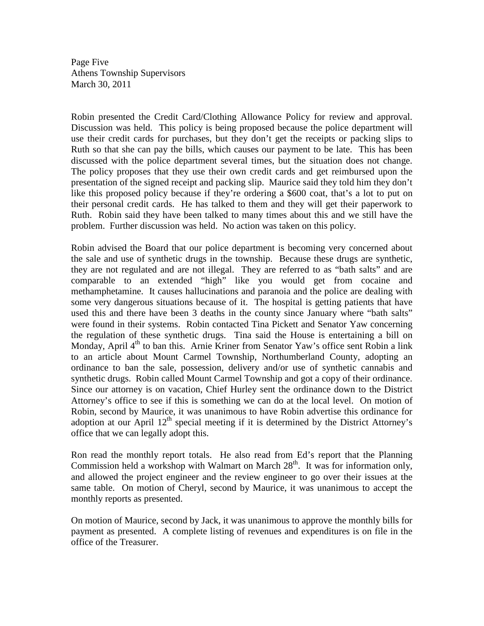Page Five Athens Township Supervisors March 30, 2011

Robin presented the Credit Card/Clothing Allowance Policy for review and approval. Discussion was held. This policy is being proposed because the police department will use their credit cards for purchases, but they don't get the receipts or packing slips to Ruth so that she can pay the bills, which causes our payment to be late. This has been discussed with the police department several times, but the situation does not change. The policy proposes that they use their own credit cards and get reimbursed upon the presentation of the signed receipt and packing slip. Maurice said they told him they don't like this proposed policy because if they're ordering a \$600 coat, that's a lot to put on their personal credit cards. He has talked to them and they will get their paperwork to Ruth. Robin said they have been talked to many times about this and we still have the problem. Further discussion was held. No action was taken on this policy.

Robin advised the Board that our police department is becoming very concerned about the sale and use of synthetic drugs in the township. Because these drugs are synthetic, they are not regulated and are not illegal. They are referred to as "bath salts" and are comparable to an extended "high" like you would get from cocaine and methamphetamine. It causes hallucinations and paranoia and the police are dealing with some very dangerous situations because of it. The hospital is getting patients that have used this and there have been 3 deaths in the county since January where "bath salts" were found in their systems. Robin contacted Tina Pickett and Senator Yaw concerning the regulation of these synthetic drugs. Tina said the House is entertaining a bill on Monday, April  $4<sup>th</sup>$  to ban this. Arnie Kriner from Senator Yaw's office sent Robin a link to an article about Mount Carmel Township, Northumberland County, adopting an ordinance to ban the sale, possession, delivery and/or use of synthetic cannabis and synthetic drugs. Robin called Mount Carmel Township and got a copy of their ordinance. Since our attorney is on vacation, Chief Hurley sent the ordinance down to the District Attorney's office to see if this is something we can do at the local level. On motion of Robin, second by Maurice, it was unanimous to have Robin advertise this ordinance for adoption at our April  $12<sup>th</sup>$  special meeting if it is determined by the District Attorney's office that we can legally adopt this.

Ron read the monthly report totals. He also read from Ed's report that the Planning Commission held a workshop with Walmart on March  $28<sup>th</sup>$ . It was for information only, and allowed the project engineer and the review engineer to go over their issues at the same table. On motion of Cheryl, second by Maurice, it was unanimous to accept the monthly reports as presented.

On motion of Maurice, second by Jack, it was unanimous to approve the monthly bills for payment as presented. A complete listing of revenues and expenditures is on file in the office of the Treasurer.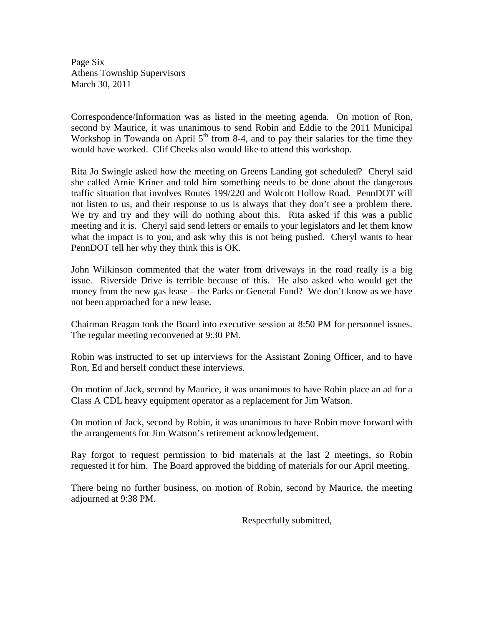Page Six Athens Township Supervisors March 30, 2011

Correspondence/Information was as listed in the meeting agenda. On motion of Ron, second by Maurice, it was unanimous to send Robin and Eddie to the 2011 Municipal Workshop in Towanda on April  $5<sup>th</sup>$  from 8-4, and to pay their salaries for the time they would have worked. Clif Cheeks also would like to attend this workshop.

Rita Jo Swingle asked how the meeting on Greens Landing got scheduled? Cheryl said she called Arnie Kriner and told him something needs to be done about the dangerous traffic situation that involves Routes 199/220 and Wolcott Hollow Road. PennDOT will not listen to us, and their response to us is always that they don't see a problem there. We try and try and they will do nothing about this. Rita asked if this was a public meeting and it is. Cheryl said send letters or emails to your legislators and let them know what the impact is to you, and ask why this is not being pushed. Cheryl wants to hear PennDOT tell her why they think this is OK.

John Wilkinson commented that the water from driveways in the road really is a big issue. Riverside Drive is terrible because of this. He also asked who would get the money from the new gas lease – the Parks or General Fund? We don't know as we have not been approached for a new lease.

Chairman Reagan took the Board into executive session at 8:50 PM for personnel issues. The regular meeting reconvened at 9:30 PM.

Robin was instructed to set up interviews for the Assistant Zoning Officer, and to have Ron, Ed and herself conduct these interviews.

On motion of Jack, second by Maurice, it was unanimous to have Robin place an ad for a Class A CDL heavy equipment operator as a replacement for Jim Watson.

On motion of Jack, second by Robin, it was unanimous to have Robin move forward with the arrangements for Jim Watson's retirement acknowledgement.

Ray forgot to request permission to bid materials at the last 2 meetings, so Robin requested it for him. The Board approved the bidding of materials for our April meeting.

There being no further business, on motion of Robin, second by Maurice, the meeting adjourned at 9:38 PM.

Respectfully submitted,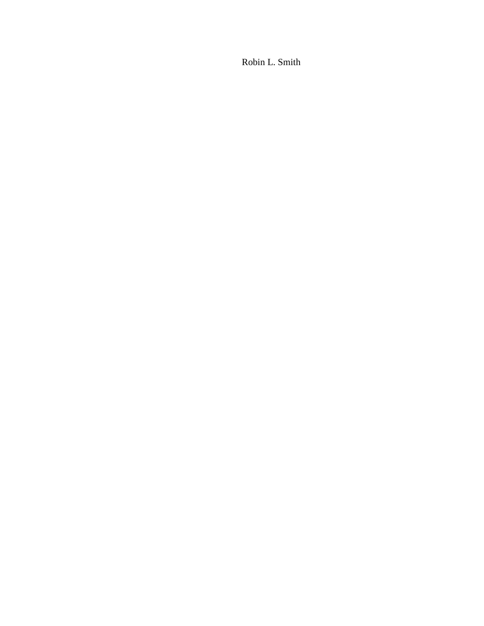Robin L. Smith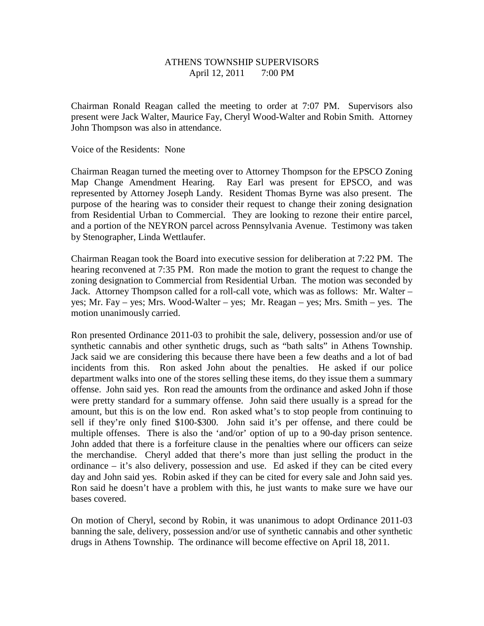### ATHENS TOWNSHIP SUPERVISORS April 12, 2011 7:00 PM

Chairman Ronald Reagan called the meeting to order at 7:07 PM. Supervisors also present were Jack Walter, Maurice Fay, Cheryl Wood-Walter and Robin Smith. Attorney John Thompson was also in attendance.

Voice of the Residents: None

Chairman Reagan turned the meeting over to Attorney Thompson for the EPSCO Zoning Map Change Amendment Hearing. Ray Earl was present for EPSCO, and was represented by Attorney Joseph Landy. Resident Thomas Byrne was also present. The purpose of the hearing was to consider their request to change their zoning designation from Residential Urban to Commercial. They are looking to rezone their entire parcel, and a portion of the NEYRON parcel across Pennsylvania Avenue. Testimony was taken by Stenographer, Linda Wettlaufer.

Chairman Reagan took the Board into executive session for deliberation at 7:22 PM. The hearing reconvened at 7:35 PM. Ron made the motion to grant the request to change the zoning designation to Commercial from Residential Urban. The motion was seconded by Jack. Attorney Thompson called for a roll-call vote, which was as follows: Mr. Walter – yes; Mr. Fay – yes; Mrs. Wood-Walter – yes; Mr. Reagan – yes; Mrs. Smith – yes. The motion unanimously carried.

Ron presented Ordinance 2011-03 to prohibit the sale, delivery, possession and/or use of synthetic cannabis and other synthetic drugs, such as "bath salts" in Athens Township. Jack said we are considering this because there have been a few deaths and a lot of bad incidents from this. Ron asked John about the penalties. He asked if our police department walks into one of the stores selling these items, do they issue them a summary offense. John said yes. Ron read the amounts from the ordinance and asked John if those were pretty standard for a summary offense. John said there usually is a spread for the amount, but this is on the low end. Ron asked what's to stop people from continuing to sell if they're only fined \$100-\$300. John said it's per offense, and there could be multiple offenses. There is also the 'and/or' option of up to a 90-day prison sentence. John added that there is a forfeiture clause in the penalties where our officers can seize the merchandise. Cheryl added that there's more than just selling the product in the ordinance – it's also delivery, possession and use. Ed asked if they can be cited every day and John said yes. Robin asked if they can be cited for every sale and John said yes. Ron said he doesn't have a problem with this, he just wants to make sure we have our bases covered.

On motion of Cheryl, second by Robin, it was unanimous to adopt Ordinance 2011-03 banning the sale, delivery, possession and/or use of synthetic cannabis and other synthetic drugs in Athens Township. The ordinance will become effective on April 18, 2011.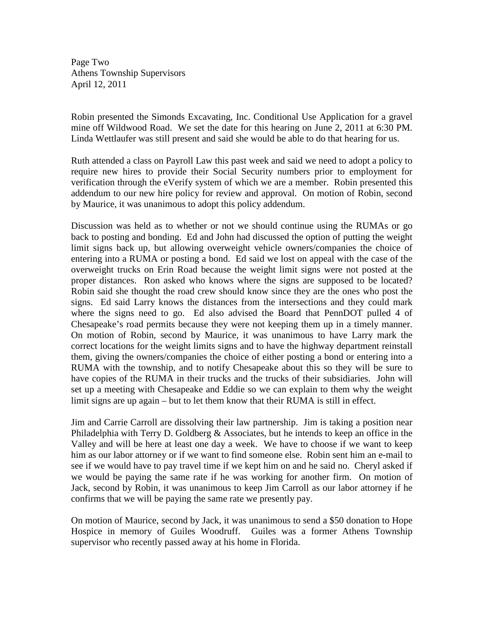Page Two Athens Township Supervisors April 12, 2011

Robin presented the Simonds Excavating, Inc. Conditional Use Application for a gravel mine off Wildwood Road. We set the date for this hearing on June 2, 2011 at 6:30 PM. Linda Wettlaufer was still present and said she would be able to do that hearing for us.

Ruth attended a class on Payroll Law this past week and said we need to adopt a policy to require new hires to provide their Social Security numbers prior to employment for verification through the eVerify system of which we are a member. Robin presented this addendum to our new hire policy for review and approval. On motion of Robin, second by Maurice, it was unanimous to adopt this policy addendum.

Discussion was held as to whether or not we should continue using the RUMAs or go back to posting and bonding. Ed and John had discussed the option of putting the weight limit signs back up, but allowing overweight vehicle owners/companies the choice of entering into a RUMA or posting a bond. Ed said we lost on appeal with the case of the overweight trucks on Erin Road because the weight limit signs were not posted at the proper distances. Ron asked who knows where the signs are supposed to be located? Robin said she thought the road crew should know since they are the ones who post the signs. Ed said Larry knows the distances from the intersections and they could mark where the signs need to go. Ed also advised the Board that PennDOT pulled 4 of Chesapeake's road permits because they were not keeping them up in a timely manner. On motion of Robin, second by Maurice, it was unanimous to have Larry mark the correct locations for the weight limits signs and to have the highway department reinstall them, giving the owners/companies the choice of either posting a bond or entering into a RUMA with the township, and to notify Chesapeake about this so they will be sure to have copies of the RUMA in their trucks and the trucks of their subsidiaries. John will set up a meeting with Chesapeake and Eddie so we can explain to them why the weight limit signs are up again – but to let them know that their RUMA is still in effect.

Jim and Carrie Carroll are dissolving their law partnership. Jim is taking a position near Philadelphia with Terry D. Goldberg  $&$  Associates, but he intends to keep an office in the Valley and will be here at least one day a week. We have to choose if we want to keep him as our labor attorney or if we want to find someone else. Robin sent him an e-mail to see if we would have to pay travel time if we kept him on and he said no. Cheryl asked if we would be paying the same rate if he was working for another firm. On motion of Jack, second by Robin, it was unanimous to keep Jim Carroll as our labor attorney if he confirms that we will be paying the same rate we presently pay.

On motion of Maurice, second by Jack, it was unanimous to send a \$50 donation to Hope Hospice in memory of Guiles Woodruff. Guiles was a former Athens Township supervisor who recently passed away at his home in Florida.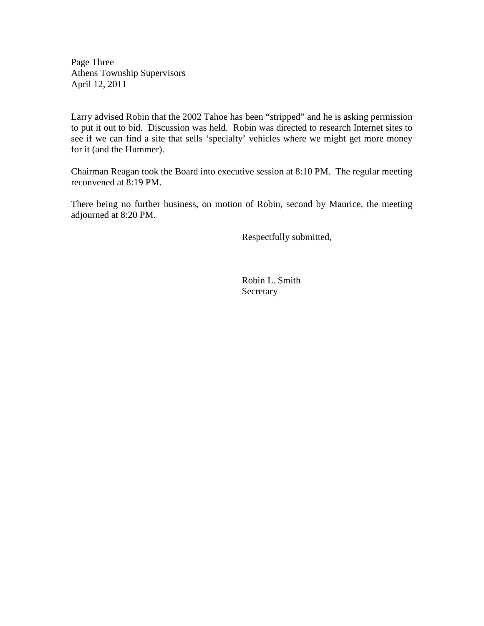Page Three Athens Township Supervisors April 12, 2011

Larry advised Robin that the 2002 Tahoe has been "stripped" and he is asking permission to put it out to bid. Discussion was held. Robin was directed to research Internet sites to see if we can find a site that sells 'specialty' vehicles where we might get more money for it (and the Hummer).

Chairman Reagan took the Board into executive session at 8:10 PM. The regular meeting reconvened at 8:19 PM.

There being no further business, on motion of Robin, second by Maurice, the meeting adjourned at 8:20 PM.

Respectfully submitted,

 Robin L. Smith **Secretary**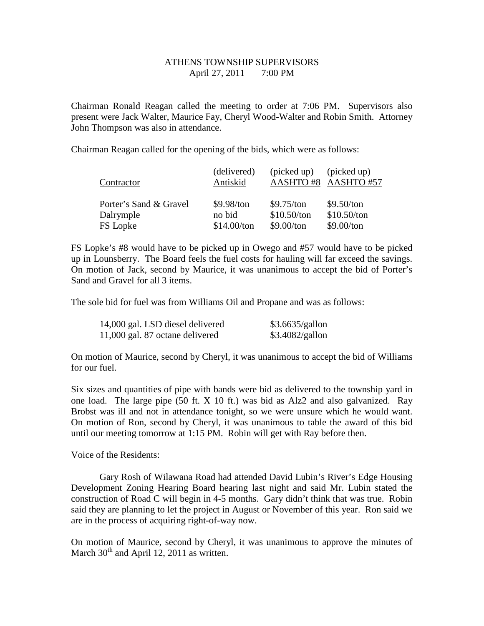### ATHENS TOWNSHIP SUPERVISORS April 27, 2011 7:00 PM

Chairman Ronald Reagan called the meeting to order at 7:06 PM. Supervisors also present were Jack Walter, Maurice Fay, Cheryl Wood-Walter and Robin Smith. Attorney John Thompson was also in attendance.

Chairman Reagan called for the opening of the bids, which were as follows:

| Contractor             | (delivered)<br>Antiskid | (picked up) | (picked up)<br>AASHTO#8 AASHTO#57 |
|------------------------|-------------------------|-------------|-----------------------------------|
| Porter's Sand & Gravel | \$9.98/ton              | \$9.75/ton  | \$9.50/ton                        |
| Dalrymple              | no bid                  | \$10.50/ton | \$10.50/ton                       |
| FS Lopke               | \$14.00/ton             | \$9.00/ton  | \$9.00/ton                        |

FS Lopke's #8 would have to be picked up in Owego and #57 would have to be picked up in Lounsberry. The Board feels the fuel costs for hauling will far exceed the savings. On motion of Jack, second by Maurice, it was unanimous to accept the bid of Porter's Sand and Gravel for all 3 items.

The sole bid for fuel was from Williams Oil and Propane and was as follows:

| 14,000 gal. LSD diesel delivered | \$3.6635/gallon |
|----------------------------------|-----------------|
| 11,000 gal. 87 octane delivered  | \$3.4082/gallon |

On motion of Maurice, second by Cheryl, it was unanimous to accept the bid of Williams for our fuel.

Six sizes and quantities of pipe with bands were bid as delivered to the township yard in one load. The large pipe (50 ft. X 10 ft.) was bid as Alz2 and also galvanized. Ray Brobst was ill and not in attendance tonight, so we were unsure which he would want. On motion of Ron, second by Cheryl, it was unanimous to table the award of this bid until our meeting tomorrow at 1:15 PM. Robin will get with Ray before then.

Voice of the Residents:

 Gary Rosh of Wilawana Road had attended David Lubin's River's Edge Housing Development Zoning Hearing Board hearing last night and said Mr. Lubin stated the construction of Road C will begin in 4-5 months. Gary didn't think that was true. Robin said they are planning to let the project in August or November of this year. Ron said we are in the process of acquiring right-of-way now.

On motion of Maurice, second by Cheryl, it was unanimous to approve the minutes of March  $30<sup>th</sup>$  and April 12, 2011 as written.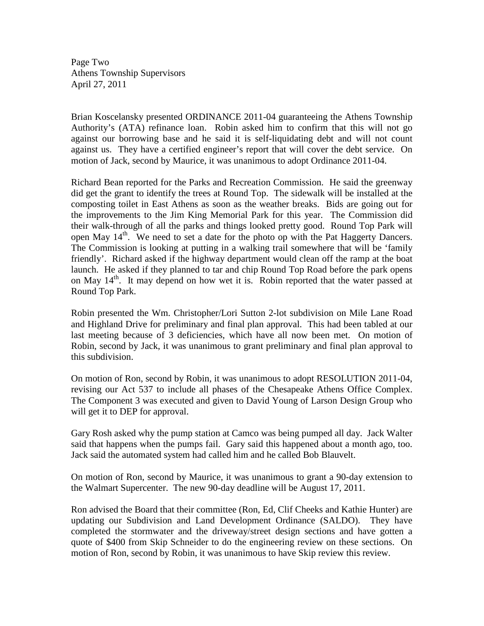Page Two Athens Township Supervisors April 27, 2011

Brian Koscelansky presented ORDINANCE 2011-04 guaranteeing the Athens Township Authority's (ATA) refinance loan. Robin asked him to confirm that this will not go against our borrowing base and he said it is self-liquidating debt and will not count against us. They have a certified engineer's report that will cover the debt service. On motion of Jack, second by Maurice, it was unanimous to adopt Ordinance 2011-04.

Richard Bean reported for the Parks and Recreation Commission. He said the greenway did get the grant to identify the trees at Round Top. The sidewalk will be installed at the composting toilet in East Athens as soon as the weather breaks. Bids are going out for the improvements to the Jim King Memorial Park for this year. The Commission did their walk-through of all the parks and things looked pretty good. Round Top Park will open May  $14<sup>th</sup>$ . We need to set a date for the photo op with the Pat Haggerty Dancers. The Commission is looking at putting in a walking trail somewhere that will be 'family friendly'. Richard asked if the highway department would clean off the ramp at the boat launch. He asked if they planned to tar and chip Round Top Road before the park opens on May  $14<sup>th</sup>$ . It may depend on how wet it is. Robin reported that the water passed at Round Top Park.

Robin presented the Wm. Christopher/Lori Sutton 2-lot subdivision on Mile Lane Road and Highland Drive for preliminary and final plan approval. This had been tabled at our last meeting because of 3 deficiencies, which have all now been met. On motion of Robin, second by Jack, it was unanimous to grant preliminary and final plan approval to this subdivision.

On motion of Ron, second by Robin, it was unanimous to adopt RESOLUTION 2011-04, revising our Act 537 to include all phases of the Chesapeake Athens Office Complex. The Component 3 was executed and given to David Young of Larson Design Group who will get it to DEP for approval.

Gary Rosh asked why the pump station at Camco was being pumped all day. Jack Walter said that happens when the pumps fail. Gary said this happened about a month ago, too. Jack said the automated system had called him and he called Bob Blauvelt.

On motion of Ron, second by Maurice, it was unanimous to grant a 90-day extension to the Walmart Supercenter. The new 90-day deadline will be August 17, 2011.

Ron advised the Board that their committee (Ron, Ed, Clif Cheeks and Kathie Hunter) are updating our Subdivision and Land Development Ordinance (SALDO). They have completed the stormwater and the driveway/street design sections and have gotten a quote of \$400 from Skip Schneider to do the engineering review on these sections. On motion of Ron, second by Robin, it was unanimous to have Skip review this review.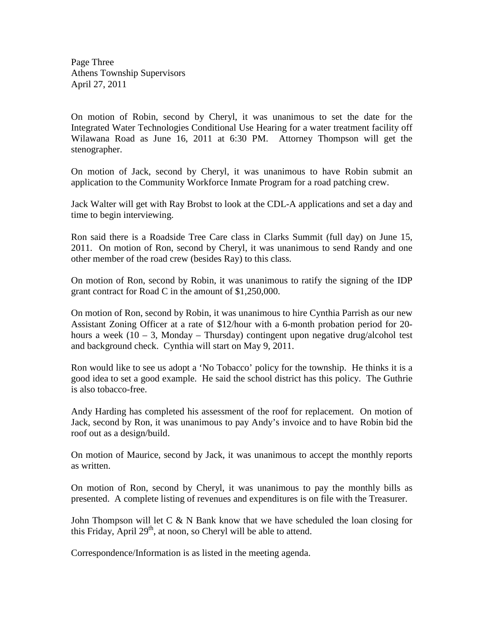Page Three Athens Township Supervisors April 27, 2011

On motion of Robin, second by Cheryl, it was unanimous to set the date for the Integrated Water Technologies Conditional Use Hearing for a water treatment facility off Wilawana Road as June 16, 2011 at 6:30 PM. Attorney Thompson will get the stenographer.

On motion of Jack, second by Cheryl, it was unanimous to have Robin submit an application to the Community Workforce Inmate Program for a road patching crew.

Jack Walter will get with Ray Brobst to look at the CDL-A applications and set a day and time to begin interviewing.

Ron said there is a Roadside Tree Care class in Clarks Summit (full day) on June 15, 2011. On motion of Ron, second by Cheryl, it was unanimous to send Randy and one other member of the road crew (besides Ray) to this class.

On motion of Ron, second by Robin, it was unanimous to ratify the signing of the IDP grant contract for Road C in the amount of \$1,250,000.

On motion of Ron, second by Robin, it was unanimous to hire Cynthia Parrish as our new Assistant Zoning Officer at a rate of \$12/hour with a 6-month probation period for 20 hours a week  $(10 - 3,$  Monday – Thursday) contingent upon negative drug/alcohol test and background check. Cynthia will start on May 9, 2011.

Ron would like to see us adopt a 'No Tobacco' policy for the township. He thinks it is a good idea to set a good example. He said the school district has this policy. The Guthrie is also tobacco-free.

Andy Harding has completed his assessment of the roof for replacement. On motion of Jack, second by Ron, it was unanimous to pay Andy's invoice and to have Robin bid the roof out as a design/build.

On motion of Maurice, second by Jack, it was unanimous to accept the monthly reports as written.

On motion of Ron, second by Cheryl, it was unanimous to pay the monthly bills as presented. A complete listing of revenues and expenditures is on file with the Treasurer.

John Thompson will let  $C \& N$  Bank know that we have scheduled the loan closing for this Friday, April  $29<sup>th</sup>$ , at noon, so Cheryl will be able to attend.

Correspondence/Information is as listed in the meeting agenda.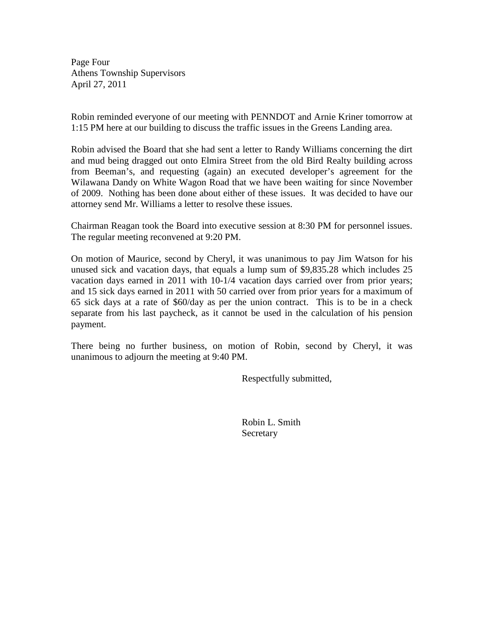Page Four Athens Township Supervisors April 27, 2011

Robin reminded everyone of our meeting with PENNDOT and Arnie Kriner tomorrow at 1:15 PM here at our building to discuss the traffic issues in the Greens Landing area.

Robin advised the Board that she had sent a letter to Randy Williams concerning the dirt and mud being dragged out onto Elmira Street from the old Bird Realty building across from Beeman's, and requesting (again) an executed developer's agreement for the Wilawana Dandy on White Wagon Road that we have been waiting for since November of 2009. Nothing has been done about either of these issues. It was decided to have our attorney send Mr. Williams a letter to resolve these issues.

Chairman Reagan took the Board into executive session at 8:30 PM for personnel issues. The regular meeting reconvened at 9:20 PM.

On motion of Maurice, second by Cheryl, it was unanimous to pay Jim Watson for his unused sick and vacation days, that equals a lump sum of \$9,835.28 which includes 25 vacation days earned in 2011 with 10-1/4 vacation days carried over from prior years; and 15 sick days earned in 2011 with 50 carried over from prior years for a maximum of 65 sick days at a rate of \$60/day as per the union contract. This is to be in a check separate from his last paycheck, as it cannot be used in the calculation of his pension payment.

There being no further business, on motion of Robin, second by Cheryl, it was unanimous to adjourn the meeting at 9:40 PM.

Respectfully submitted,

 Robin L. Smith Secretary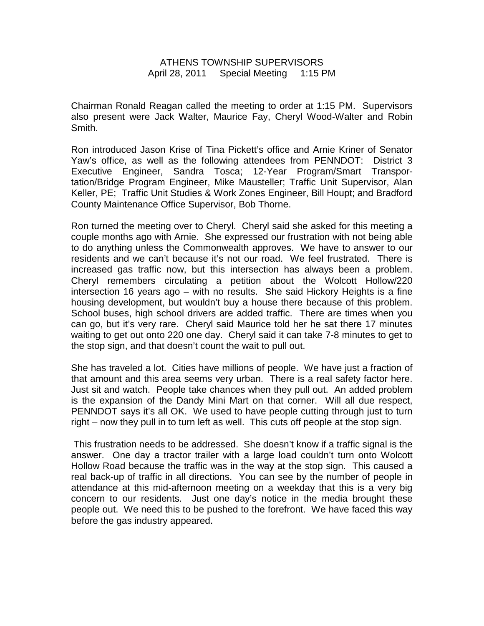#### ATHENS TOWNSHIP SUPERVISORS April 28, 2011 Special Meeting 1:15 PM

Chairman Ronald Reagan called the meeting to order at 1:15 PM. Supervisors also present were Jack Walter, Maurice Fay, Cheryl Wood-Walter and Robin Smith.

Ron introduced Jason Krise of Tina Pickett's office and Arnie Kriner of Senator Yaw's office, as well as the following attendees from PENNDOT: District 3 Executive Engineer, Sandra Tosca; 12-Year Program/Smart Transportation/Bridge Program Engineer, Mike Mausteller; Traffic Unit Supervisor, Alan Keller, PE; Traffic Unit Studies & Work Zones Engineer, Bill Houpt; and Bradford County Maintenance Office Supervisor, Bob Thorne.

Ron turned the meeting over to Cheryl. Cheryl said she asked for this meeting a couple months ago with Arnie. She expressed our frustration with not being able to do anything unless the Commonwealth approves. We have to answer to our residents and we can't because it's not our road. We feel frustrated. There is increased gas traffic now, but this intersection has always been a problem. Cheryl remembers circulating a petition about the Wolcott Hollow/220 intersection 16 years ago – with no results. She said Hickory Heights is a fine housing development, but wouldn't buy a house there because of this problem. School buses, high school drivers are added traffic. There are times when you can go, but it's very rare. Cheryl said Maurice told her he sat there 17 minutes waiting to get out onto 220 one day. Cheryl said it can take 7-8 minutes to get to the stop sign, and that doesn't count the wait to pull out.

She has traveled a lot. Cities have millions of people. We have just a fraction of that amount and this area seems very urban. There is a real safety factor here. Just sit and watch. People take chances when they pull out. An added problem is the expansion of the Dandy Mini Mart on that corner. Will all due respect, PENNDOT says it's all OK. We used to have people cutting through just to turn right – now they pull in to turn left as well. This cuts off people at the stop sign.

 This frustration needs to be addressed. She doesn't know if a traffic signal is the answer. One day a tractor trailer with a large load couldn't turn onto Wolcott Hollow Road because the traffic was in the way at the stop sign. This caused a real back-up of traffic in all directions. You can see by the number of people in attendance at this mid-afternoon meeting on a weekday that this is a very big concern to our residents. Just one day's notice in the media brought these people out. We need this to be pushed to the forefront. We have faced this way before the gas industry appeared.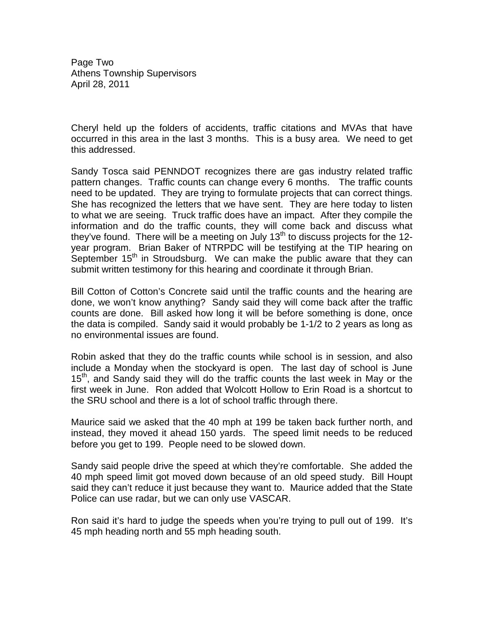Page Two Athens Township Supervisors April 28, 2011

Cheryl held up the folders of accidents, traffic citations and MVAs that have occurred in this area in the last 3 months. This is a busy area. We need to get this addressed.

Sandy Tosca said PENNDOT recognizes there are gas industry related traffic pattern changes. Traffic counts can change every 6 months. The traffic counts need to be updated. They are trying to formulate projects that can correct things. She has recognized the letters that we have sent. They are here today to listen to what we are seeing. Truck traffic does have an impact. After they compile the information and do the traffic counts, they will come back and discuss what they've found. There will be a meeting on July  $13<sup>th</sup>$  to discuss projects for the 12year program. Brian Baker of NTRPDC will be testifying at the TIP hearing on September 15<sup>th</sup> in Stroudsburg. We can make the public aware that they can submit written testimony for this hearing and coordinate it through Brian.

Bill Cotton of Cotton's Concrete said until the traffic counts and the hearing are done, we won't know anything? Sandy said they will come back after the traffic counts are done. Bill asked how long it will be before something is done, once the data is compiled. Sandy said it would probably be 1-1/2 to 2 years as long as no environmental issues are found.

Robin asked that they do the traffic counts while school is in session, and also include a Monday when the stockyard is open. The last day of school is June  $15<sup>th</sup>$ , and Sandy said they will do the traffic counts the last week in May or the first week in June. Ron added that Wolcott Hollow to Erin Road is a shortcut to the SRU school and there is a lot of school traffic through there.

Maurice said we asked that the 40 mph at 199 be taken back further north, and instead, they moved it ahead 150 yards. The speed limit needs to be reduced before you get to 199. People need to be slowed down.

Sandy said people drive the speed at which they're comfortable. She added the 40 mph speed limit got moved down because of an old speed study. Bill Houpt said they can't reduce it just because they want to. Maurice added that the State Police can use radar, but we can only use VASCAR.

Ron said it's hard to judge the speeds when you're trying to pull out of 199. It's 45 mph heading north and 55 mph heading south.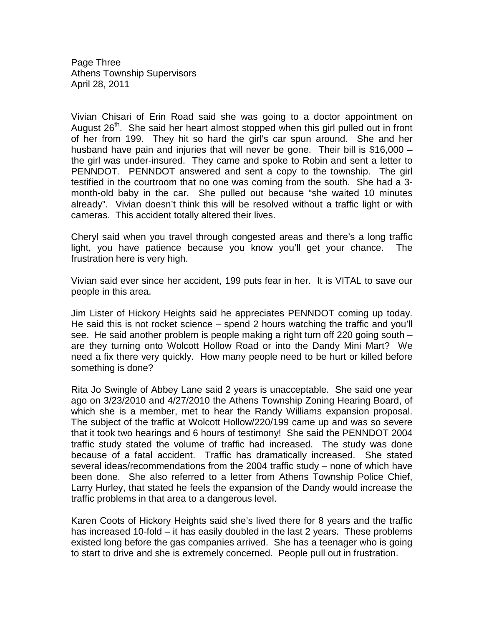Page Three Athens Township Supervisors April 28, 2011

Vivian Chisari of Erin Road said she was going to a doctor appointment on August  $26<sup>th</sup>$ . She said her heart almost stopped when this girl pulled out in front of her from 199. They hit so hard the girl's car spun around. She and her husband have pain and injuries that will never be gone. Their bill is \$16,000 – the girl was under-insured. They came and spoke to Robin and sent a letter to PENNDOT. PENNDOT answered and sent a copy to the township. The girl testified in the courtroom that no one was coming from the south. She had a 3 month-old baby in the car. She pulled out because "she waited 10 minutes already". Vivian doesn't think this will be resolved without a traffic light or with cameras. This accident totally altered their lives.

Cheryl said when you travel through congested areas and there's a long traffic light, you have patience because you know you'll get your chance. The frustration here is very high.

Vivian said ever since her accident, 199 puts fear in her. It is VITAL to save our people in this area.

Jim Lister of Hickory Heights said he appreciates PENNDOT coming up today. He said this is not rocket science – spend 2 hours watching the traffic and you'll see. He said another problem is people making a right turn off 220 going south – are they turning onto Wolcott Hollow Road or into the Dandy Mini Mart? We need a fix there very quickly. How many people need to be hurt or killed before something is done?

Rita Jo Swingle of Abbey Lane said 2 years is unacceptable. She said one year ago on 3/23/2010 and 4/27/2010 the Athens Township Zoning Hearing Board, of which she is a member, met to hear the Randy Williams expansion proposal. The subject of the traffic at Wolcott Hollow/220/199 came up and was so severe that it took two hearings and 6 hours of testimony! She said the PENNDOT 2004 traffic study stated the volume of traffic had increased. The study was done because of a fatal accident. Traffic has dramatically increased. She stated several ideas/recommendations from the 2004 traffic study – none of which have been done. She also referred to a letter from Athens Township Police Chief, Larry Hurley, that stated he feels the expansion of the Dandy would increase the traffic problems in that area to a dangerous level.

Karen Coots of Hickory Heights said she's lived there for 8 years and the traffic has increased 10-fold – it has easily doubled in the last 2 years. These problems existed long before the gas companies arrived. She has a teenager who is going to start to drive and she is extremely concerned. People pull out in frustration.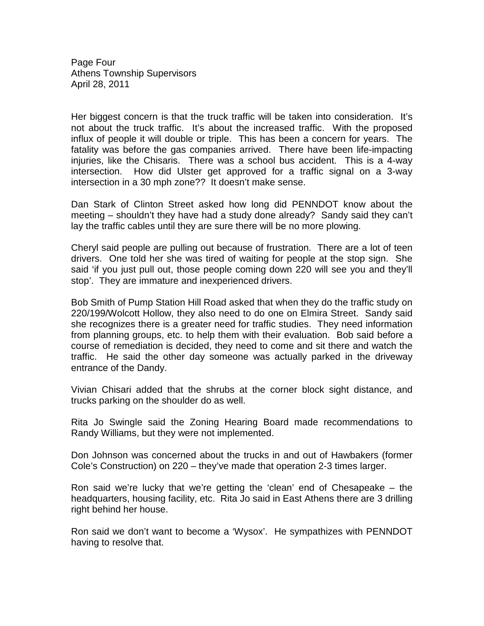Page Four Athens Township Supervisors April 28, 2011

Her biggest concern is that the truck traffic will be taken into consideration. It's not about the truck traffic. It's about the increased traffic. With the proposed influx of people it will double or triple. This has been a concern for years. The fatality was before the gas companies arrived. There have been life-impacting injuries, like the Chisaris. There was a school bus accident. This is a 4-way intersection. How did Ulster get approved for a traffic signal on a 3-way intersection in a 30 mph zone?? It doesn't make sense.

Dan Stark of Clinton Street asked how long did PENNDOT know about the meeting – shouldn't they have had a study done already? Sandy said they can't lay the traffic cables until they are sure there will be no more plowing.

Cheryl said people are pulling out because of frustration. There are a lot of teen drivers. One told her she was tired of waiting for people at the stop sign. She said 'if you just pull out, those people coming down 220 will see you and they'll stop'. They are immature and inexperienced drivers.

Bob Smith of Pump Station Hill Road asked that when they do the traffic study on 220/199/Wolcott Hollow, they also need to do one on Elmira Street. Sandy said she recognizes there is a greater need for traffic studies. They need information from planning groups, etc. to help them with their evaluation. Bob said before a course of remediation is decided, they need to come and sit there and watch the traffic. He said the other day someone was actually parked in the driveway entrance of the Dandy.

Vivian Chisari added that the shrubs at the corner block sight distance, and trucks parking on the shoulder do as well.

Rita Jo Swingle said the Zoning Hearing Board made recommendations to Randy Williams, but they were not implemented.

Don Johnson was concerned about the trucks in and out of Hawbakers (former Cole's Construction) on 220 – they've made that operation 2-3 times larger.

Ron said we're lucky that we're getting the 'clean' end of Chesapeake – the headquarters, housing facility, etc. Rita Jo said in East Athens there are 3 drilling right behind her house.

Ron said we don't want to become a 'Wysox'. He sympathizes with PENNDOT having to resolve that.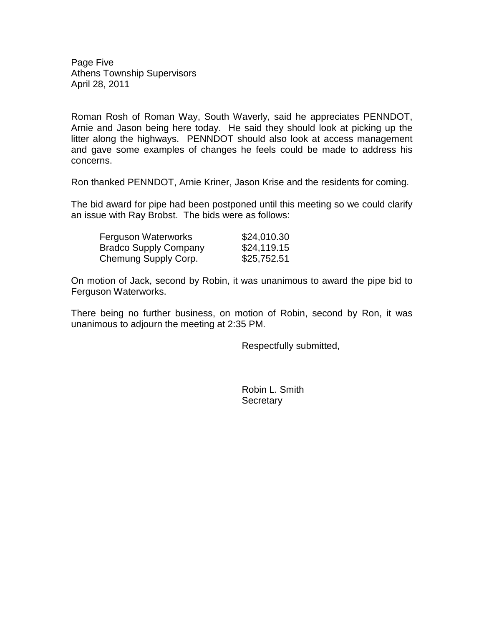Page Five Athens Township Supervisors April 28, 2011

Roman Rosh of Roman Way, South Waverly, said he appreciates PENNDOT, Arnie and Jason being here today. He said they should look at picking up the litter along the highways. PENNDOT should also look at access management and gave some examples of changes he feels could be made to address his concerns.

Ron thanked PENNDOT, Arnie Kriner, Jason Krise and the residents for coming.

The bid award for pipe had been postponed until this meeting so we could clarify an issue with Ray Brobst. The bids were as follows:

| <b>Ferguson Waterworks</b>   | \$24,010.30 |
|------------------------------|-------------|
| <b>Bradco Supply Company</b> | \$24,119.15 |
| Chemung Supply Corp.         | \$25,752.51 |

On motion of Jack, second by Robin, it was unanimous to award the pipe bid to Ferguson Waterworks.

There being no further business, on motion of Robin, second by Ron, it was unanimous to adjourn the meeting at 2:35 PM.

Respectfully submitted,

 Robin L. Smith **Secretary**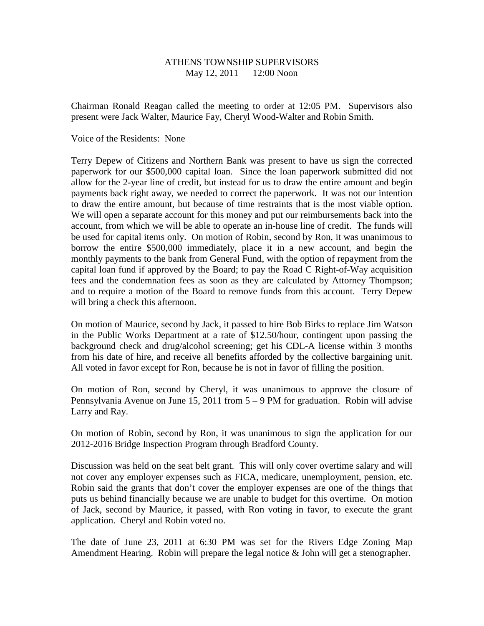### ATHENS TOWNSHIP SUPERVISORS May 12, 2011 12:00 Noon

Chairman Ronald Reagan called the meeting to order at 12:05 PM. Supervisors also present were Jack Walter, Maurice Fay, Cheryl Wood-Walter and Robin Smith.

#### Voice of the Residents: None

Terry Depew of Citizens and Northern Bank was present to have us sign the corrected paperwork for our \$500,000 capital loan. Since the loan paperwork submitted did not allow for the 2-year line of credit, but instead for us to draw the entire amount and begin payments back right away, we needed to correct the paperwork. It was not our intention to draw the entire amount, but because of time restraints that is the most viable option. We will open a separate account for this money and put our reimbursements back into the account, from which we will be able to operate an in-house line of credit. The funds will be used for capital items only. On motion of Robin, second by Ron, it was unanimous to borrow the entire \$500,000 immediately, place it in a new account, and begin the monthly payments to the bank from General Fund, with the option of repayment from the capital loan fund if approved by the Board; to pay the Road C Right-of-Way acquisition fees and the condemnation fees as soon as they are calculated by Attorney Thompson; and to require a motion of the Board to remove funds from this account. Terry Depew will bring a check this afternoon.

On motion of Maurice, second by Jack, it passed to hire Bob Birks to replace Jim Watson in the Public Works Department at a rate of \$12.50/hour, contingent upon passing the background check and drug/alcohol screening; get his CDL-A license within 3 months from his date of hire, and receive all benefits afforded by the collective bargaining unit. All voted in favor except for Ron, because he is not in favor of filling the position.

On motion of Ron, second by Cheryl, it was unanimous to approve the closure of Pennsylvania Avenue on June 15, 2011 from  $5 - 9$  PM for graduation. Robin will advise Larry and Ray.

On motion of Robin, second by Ron, it was unanimous to sign the application for our 2012-2016 Bridge Inspection Program through Bradford County.

Discussion was held on the seat belt grant. This will only cover overtime salary and will not cover any employer expenses such as FICA, medicare, unemployment, pension, etc. Robin said the grants that don't cover the employer expenses are one of the things that puts us behind financially because we are unable to budget for this overtime. On motion of Jack, second by Maurice, it passed, with Ron voting in favor, to execute the grant application. Cheryl and Robin voted no.

The date of June 23, 2011 at 6:30 PM was set for the Rivers Edge Zoning Map Amendment Hearing. Robin will prepare the legal notice & John will get a stenographer.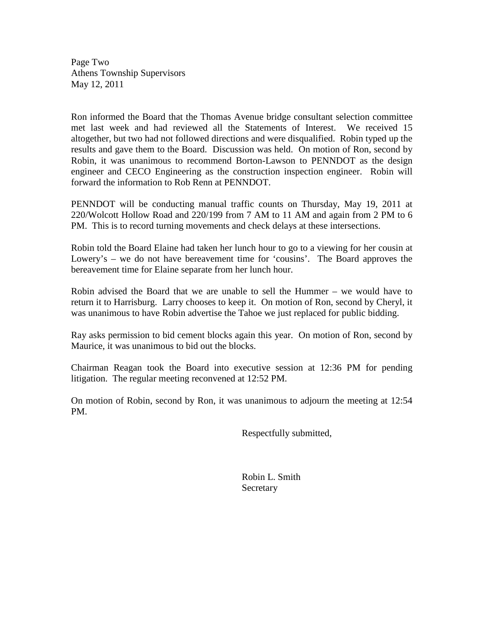Page Two Athens Township Supervisors May 12, 2011

Ron informed the Board that the Thomas Avenue bridge consultant selection committee met last week and had reviewed all the Statements of Interest. We received 15 altogether, but two had not followed directions and were disqualified. Robin typed up the results and gave them to the Board. Discussion was held. On motion of Ron, second by Robin, it was unanimous to recommend Borton-Lawson to PENNDOT as the design engineer and CECO Engineering as the construction inspection engineer. Robin will forward the information to Rob Renn at PENNDOT.

PENNDOT will be conducting manual traffic counts on Thursday, May 19, 2011 at 220/Wolcott Hollow Road and 220/199 from 7 AM to 11 AM and again from 2 PM to 6 PM. This is to record turning movements and check delays at these intersections.

Robin told the Board Elaine had taken her lunch hour to go to a viewing for her cousin at Lowery's – we do not have bereavement time for 'cousins'. The Board approves the bereavement time for Elaine separate from her lunch hour.

Robin advised the Board that we are unable to sell the Hummer – we would have to return it to Harrisburg. Larry chooses to keep it. On motion of Ron, second by Cheryl, it was unanimous to have Robin advertise the Tahoe we just replaced for public bidding.

Ray asks permission to bid cement blocks again this year. On motion of Ron, second by Maurice, it was unanimous to bid out the blocks.

Chairman Reagan took the Board into executive session at 12:36 PM for pending litigation. The regular meeting reconvened at 12:52 PM.

On motion of Robin, second by Ron, it was unanimous to adjourn the meeting at 12:54 PM.

Respectfully submitted,

 Robin L. Smith Secretary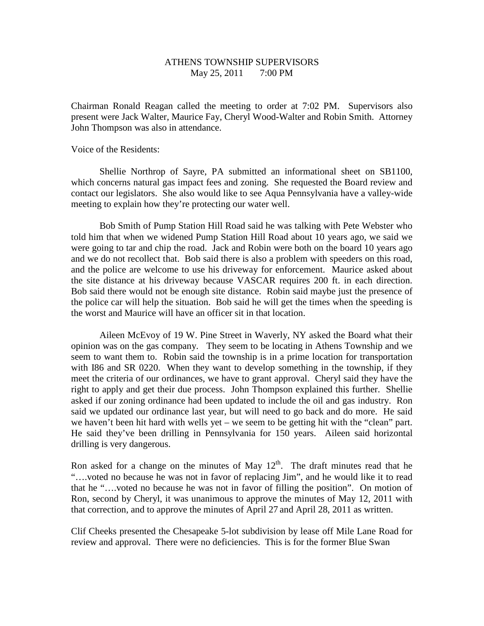### ATHENS TOWNSHIP SUPERVISORS May 25, 2011 7:00 PM

Chairman Ronald Reagan called the meeting to order at 7:02 PM. Supervisors also present were Jack Walter, Maurice Fay, Cheryl Wood-Walter and Robin Smith. Attorney John Thompson was also in attendance.

Voice of the Residents:

 Shellie Northrop of Sayre, PA submitted an informational sheet on SB1100, which concerns natural gas impact fees and zoning. She requested the Board review and contact our legislators. She also would like to see Aqua Pennsylvania have a valley-wide meeting to explain how they're protecting our water well.

 Bob Smith of Pump Station Hill Road said he was talking with Pete Webster who told him that when we widened Pump Station Hill Road about 10 years ago, we said we were going to tar and chip the road. Jack and Robin were both on the board 10 years ago and we do not recollect that. Bob said there is also a problem with speeders on this road, and the police are welcome to use his driveway for enforcement. Maurice asked about the site distance at his driveway because VASCAR requires 200 ft. in each direction. Bob said there would not be enough site distance. Robin said maybe just the presence of the police car will help the situation. Bob said he will get the times when the speeding is the worst and Maurice will have an officer sit in that location.

 Aileen McEvoy of 19 W. Pine Street in Waverly, NY asked the Board what their opinion was on the gas company. They seem to be locating in Athens Township and we seem to want them to. Robin said the township is in a prime location for transportation with I86 and SR 0220. When they want to develop something in the township, if they meet the criteria of our ordinances, we have to grant approval. Cheryl said they have the right to apply and get their due process. John Thompson explained this further. Shellie asked if our zoning ordinance had been updated to include the oil and gas industry. Ron said we updated our ordinance last year, but will need to go back and do more. He said we haven't been hit hard with wells yet – we seem to be getting hit with the "clean" part. He said they've been drilling in Pennsylvania for 150 years. Aileen said horizontal drilling is very dangerous.

Ron asked for a change on the minutes of May  $12<sup>th</sup>$ . The draft minutes read that he "….voted no because he was not in favor of replacing Jim", and he would like it to read that he "….voted no because he was not in favor of filling the position". On motion of Ron, second by Cheryl, it was unanimous to approve the minutes of May 12, 2011 with that correction, and to approve the minutes of April 27 and April 28, 2011 as written.

Clif Cheeks presented the Chesapeake 5-lot subdivision by lease off Mile Lane Road for review and approval. There were no deficiencies. This is for the former Blue Swan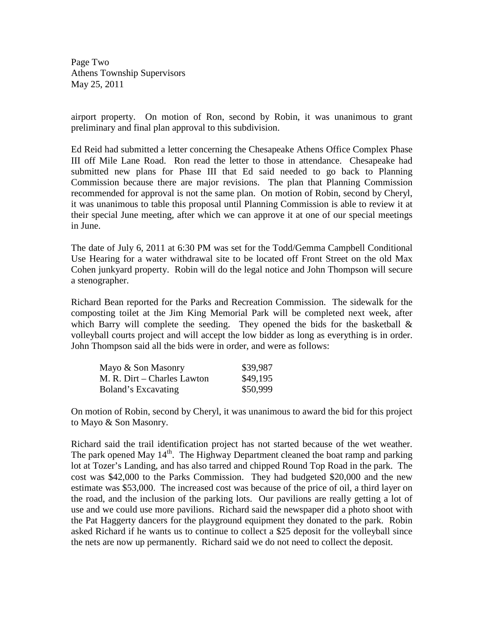Page Two Athens Township Supervisors May 25, 2011

airport property. On motion of Ron, second by Robin, it was unanimous to grant preliminary and final plan approval to this subdivision.

Ed Reid had submitted a letter concerning the Chesapeake Athens Office Complex Phase III off Mile Lane Road. Ron read the letter to those in attendance. Chesapeake had submitted new plans for Phase III that Ed said needed to go back to Planning Commission because there are major revisions. The plan that Planning Commission recommended for approval is not the same plan. On motion of Robin, second by Cheryl, it was unanimous to table this proposal until Planning Commission is able to review it at their special June meeting, after which we can approve it at one of our special meetings in June.

The date of July 6, 2011 at 6:30 PM was set for the Todd/Gemma Campbell Conditional Use Hearing for a water withdrawal site to be located off Front Street on the old Max Cohen junkyard property. Robin will do the legal notice and John Thompson will secure a stenographer.

Richard Bean reported for the Parks and Recreation Commission. The sidewalk for the composting toilet at the Jim King Memorial Park will be completed next week, after which Barry will complete the seeding. They opened the bids for the basketball  $\&$ volleyball courts project and will accept the low bidder as long as everything is in order. John Thompson said all the bids were in order, and were as follows:

| Mayo & Son Masonry          | \$39,987 |
|-----------------------------|----------|
| M. R. Dirt – Charles Lawton | \$49,195 |
| Boland's Excavating         | \$50,999 |

On motion of Robin, second by Cheryl, it was unanimous to award the bid for this project to Mayo & Son Masonry.

Richard said the trail identification project has not started because of the wet weather. The park opened May  $14<sup>th</sup>$ . The Highway Department cleaned the boat ramp and parking lot at Tozer's Landing, and has also tarred and chipped Round Top Road in the park. The cost was \$42,000 to the Parks Commission. They had budgeted \$20,000 and the new estimate was \$53,000. The increased cost was because of the price of oil, a third layer on the road, and the inclusion of the parking lots. Our pavilions are really getting a lot of use and we could use more pavilions. Richard said the newspaper did a photo shoot with the Pat Haggerty dancers for the playground equipment they donated to the park. Robin asked Richard if he wants us to continue to collect a \$25 deposit for the volleyball since the nets are now up permanently. Richard said we do not need to collect the deposit.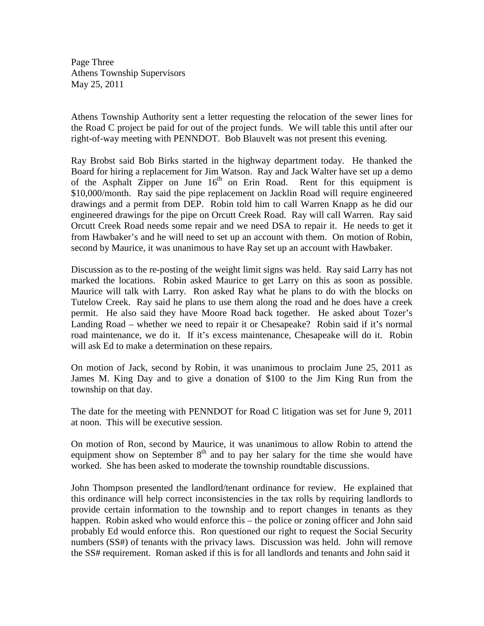Page Three Athens Township Supervisors May 25, 2011

Athens Township Authority sent a letter requesting the relocation of the sewer lines for the Road C project be paid for out of the project funds. We will table this until after our right-of-way meeting with PENNDOT. Bob Blauvelt was not present this evening.

Ray Brobst said Bob Birks started in the highway department today. He thanked the Board for hiring a replacement for Jim Watson. Ray and Jack Walter have set up a demo of the Asphalt Zipper on June  $16<sup>th</sup>$  on Erin Road. Rent for this equipment is \$10,000/month. Ray said the pipe replacement on Jacklin Road will require engineered drawings and a permit from DEP. Robin told him to call Warren Knapp as he did our engineered drawings for the pipe on Orcutt Creek Road. Ray will call Warren. Ray said Orcutt Creek Road needs some repair and we need DSA to repair it. He needs to get it from Hawbaker's and he will need to set up an account with them. On motion of Robin, second by Maurice, it was unanimous to have Ray set up an account with Hawbaker.

Discussion as to the re-posting of the weight limit signs was held. Ray said Larry has not marked the locations. Robin asked Maurice to get Larry on this as soon as possible. Maurice will talk with Larry. Ron asked Ray what he plans to do with the blocks on Tutelow Creek. Ray said he plans to use them along the road and he does have a creek permit. He also said they have Moore Road back together. He asked about Tozer's Landing Road – whether we need to repair it or Chesapeake? Robin said if it's normal road maintenance, we do it. If it's excess maintenance, Chesapeake will do it. Robin will ask Ed to make a determination on these repairs.

On motion of Jack, second by Robin, it was unanimous to proclaim June 25, 2011 as James M. King Day and to give a donation of \$100 to the Jim King Run from the township on that day.

The date for the meeting with PENNDOT for Road C litigation was set for June 9, 2011 at noon. This will be executive session.

On motion of Ron, second by Maurice, it was unanimous to allow Robin to attend the equipment show on September  $8<sup>th</sup>$  and to pay her salary for the time she would have worked. She has been asked to moderate the township roundtable discussions.

John Thompson presented the landlord/tenant ordinance for review. He explained that this ordinance will help correct inconsistencies in the tax rolls by requiring landlords to provide certain information to the township and to report changes in tenants as they happen. Robin asked who would enforce this – the police or zoning officer and John said probably Ed would enforce this. Ron questioned our right to request the Social Security numbers (SS#) of tenants with the privacy laws. Discussion was held. John will remove the SS# requirement. Roman asked if this is for all landlords and tenants and John said it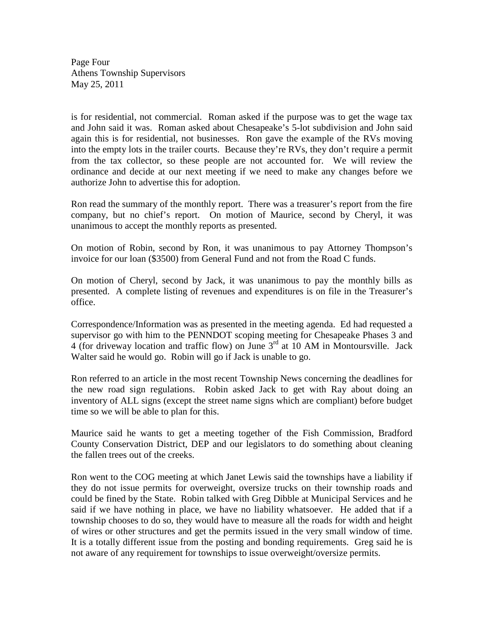Page Four Athens Township Supervisors May 25, 2011

is for residential, not commercial. Roman asked if the purpose was to get the wage tax and John said it was. Roman asked about Chesapeake's 5-lot subdivision and John said again this is for residential, not businesses. Ron gave the example of the RVs moving into the empty lots in the trailer courts. Because they're RVs, they don't require a permit from the tax collector, so these people are not accounted for. We will review the ordinance and decide at our next meeting if we need to make any changes before we authorize John to advertise this for adoption.

Ron read the summary of the monthly report. There was a treasurer's report from the fire company, but no chief's report. On motion of Maurice, second by Cheryl, it was unanimous to accept the monthly reports as presented.

On motion of Robin, second by Ron, it was unanimous to pay Attorney Thompson's invoice for our loan (\$3500) from General Fund and not from the Road C funds.

On motion of Cheryl, second by Jack, it was unanimous to pay the monthly bills as presented. A complete listing of revenues and expenditures is on file in the Treasurer's office.

Correspondence/Information was as presented in the meeting agenda. Ed had requested a supervisor go with him to the PENNDOT scoping meeting for Chesapeake Phases 3 and  $4$  (for driveway location and traffic flow) on June  $3<sup>rd</sup>$  at 10 AM in Montoursville. Jack Walter said he would go. Robin will go if Jack is unable to go.

Ron referred to an article in the most recent Township News concerning the deadlines for the new road sign regulations. Robin asked Jack to get with Ray about doing an inventory of ALL signs (except the street name signs which are compliant) before budget time so we will be able to plan for this.

Maurice said he wants to get a meeting together of the Fish Commission, Bradford County Conservation District, DEP and our legislators to do something about cleaning the fallen trees out of the creeks.

Ron went to the COG meeting at which Janet Lewis said the townships have a liability if they do not issue permits for overweight, oversize trucks on their township roads and could be fined by the State. Robin talked with Greg Dibble at Municipal Services and he said if we have nothing in place, we have no liability whatsoever. He added that if a township chooses to do so, they would have to measure all the roads for width and height of wires or other structures and get the permits issued in the very small window of time. It is a totally different issue from the posting and bonding requirements. Greg said he is not aware of any requirement for townships to issue overweight/oversize permits.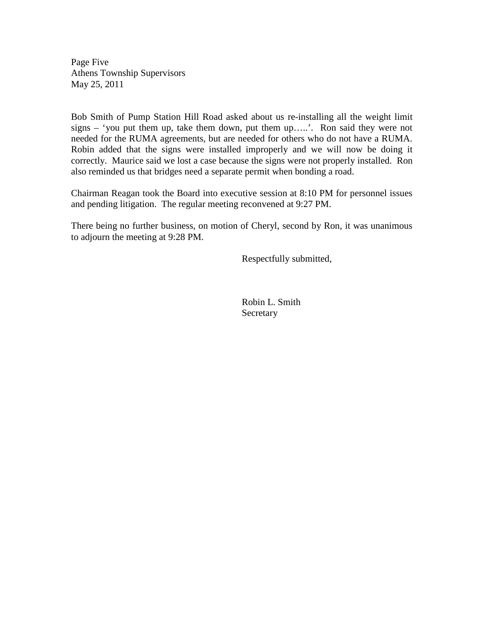Page Five Athens Township Supervisors May 25, 2011

Bob Smith of Pump Station Hill Road asked about us re-installing all the weight limit signs – 'you put them up, take them down, put them up…..'. Ron said they were not needed for the RUMA agreements, but are needed for others who do not have a RUMA. Robin added that the signs were installed improperly and we will now be doing it correctly. Maurice said we lost a case because the signs were not properly installed. Ron also reminded us that bridges need a separate permit when bonding a road.

Chairman Reagan took the Board into executive session at 8:10 PM for personnel issues and pending litigation. The regular meeting reconvened at 9:27 PM.

There being no further business, on motion of Cheryl, second by Ron, it was unanimous to adjourn the meeting at 9:28 PM.

Respectfully submitted,

 Robin L. Smith Secretary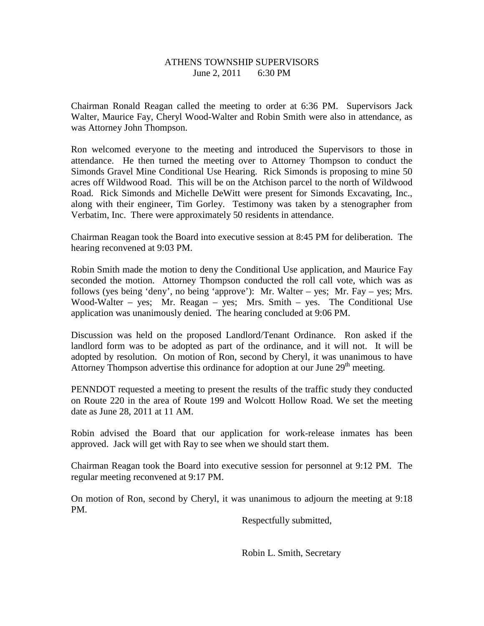# ATHENS TOWNSHIP SUPERVISORS June 2, 2011 6:30 PM

Chairman Ronald Reagan called the meeting to order at 6:36 PM. Supervisors Jack Walter, Maurice Fay, Cheryl Wood-Walter and Robin Smith were also in attendance, as was Attorney John Thompson.

Ron welcomed everyone to the meeting and introduced the Supervisors to those in attendance. He then turned the meeting over to Attorney Thompson to conduct the Simonds Gravel Mine Conditional Use Hearing. Rick Simonds is proposing to mine 50 acres off Wildwood Road. This will be on the Atchison parcel to the north of Wildwood Road. Rick Simonds and Michelle DeWitt were present for Simonds Excavating, Inc., along with their engineer, Tim Gorley. Testimony was taken by a stenographer from Verbatim, Inc. There were approximately 50 residents in attendance.

Chairman Reagan took the Board into executive session at 8:45 PM for deliberation. The hearing reconvened at 9:03 PM.

Robin Smith made the motion to deny the Conditional Use application, and Maurice Fay seconded the motion. Attorney Thompson conducted the roll call vote, which was as follows (yes being 'deny', no being 'approve'): Mr. Walter – yes; Mr. Fay – yes; Mrs. Wood-Walter – yes; Mr. Reagan – yes; Mrs. Smith – yes. The Conditional Use application was unanimously denied. The hearing concluded at 9:06 PM.

Discussion was held on the proposed Landlord/Tenant Ordinance. Ron asked if the landlord form was to be adopted as part of the ordinance, and it will not. It will be adopted by resolution. On motion of Ron, second by Cheryl, it was unanimous to have Attorney Thompson advertise this ordinance for adoption at our June  $29<sup>th</sup>$  meeting.

PENNDOT requested a meeting to present the results of the traffic study they conducted on Route 220 in the area of Route 199 and Wolcott Hollow Road. We set the meeting date as June 28, 2011 at 11 AM.

Robin advised the Board that our application for work-release inmates has been approved. Jack will get with Ray to see when we should start them.

Chairman Reagan took the Board into executive session for personnel at 9:12 PM. The regular meeting reconvened at 9:17 PM.

On motion of Ron, second by Cheryl, it was unanimous to adjourn the meeting at 9:18 PM.

Respectfully submitted,

Robin L. Smith, Secretary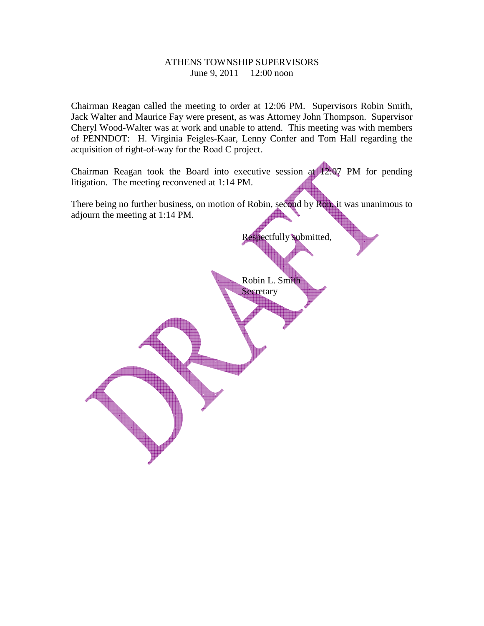## ATHENS TOWNSHIP SUPERVISORS June 9, 2011 12:00 noon

Chairman Reagan called the meeting to order at 12:06 PM. Supervisors Robin Smith, Jack Walter and Maurice Fay were present, as was Attorney John Thompson. Supervisor Cheryl Wood-Walter was at work and unable to attend. This meeting was with members of PENNDOT: H. Virginia Feigles-Kaar, Lenny Confer and Tom Hall regarding the acquisition of right-of-way for the Road C project.

Chairman Reagan took the Board into executive session at 12:07 PM for pending litigation. The meeting reconvened at 1:14 PM.

There being no further business, on motion of Robin, second by Ron, it was unanimous to adjourn the meeting at 1:14 PM. 41 I

Respectfully submitted,

Robin L. Smith

**Secretary**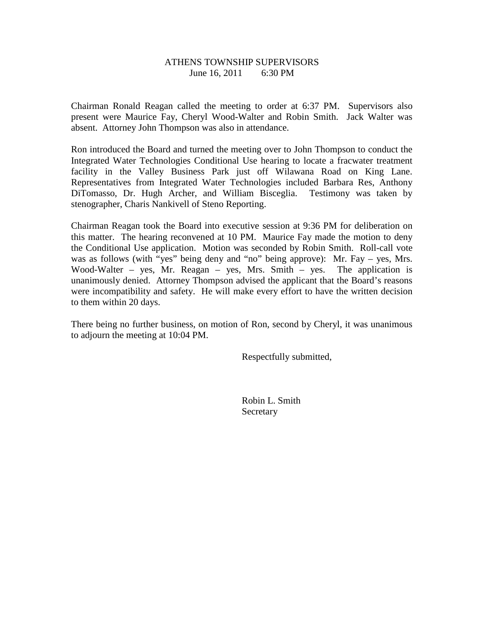## ATHENS TOWNSHIP SUPERVISORS June 16, 2011 6:30 PM

Chairman Ronald Reagan called the meeting to order at 6:37 PM. Supervisors also present were Maurice Fay, Cheryl Wood-Walter and Robin Smith. Jack Walter was absent. Attorney John Thompson was also in attendance.

Ron introduced the Board and turned the meeting over to John Thompson to conduct the Integrated Water Technologies Conditional Use hearing to locate a fracwater treatment facility in the Valley Business Park just off Wilawana Road on King Lane. Representatives from Integrated Water Technologies included Barbara Res, Anthony DiTomasso, Dr. Hugh Archer, and William Bisceglia. Testimony was taken by stenographer, Charis Nankivell of Steno Reporting.

Chairman Reagan took the Board into executive session at 9:36 PM for deliberation on this matter. The hearing reconvened at 10 PM. Maurice Fay made the motion to deny the Conditional Use application. Motion was seconded by Robin Smith. Roll-call vote was as follows (with "yes" being deny and "no" being approve): Mr. Fay – yes, Mrs. Wood-Walter – yes, Mr. Reagan – yes, Mrs. Smith – yes. The application is unanimously denied. Attorney Thompson advised the applicant that the Board's reasons were incompatibility and safety. He will make every effort to have the written decision to them within 20 days.

There being no further business, on motion of Ron, second by Cheryl, it was unanimous to adjourn the meeting at 10:04 PM.

Respectfully submitted,

 Robin L. Smith Secretary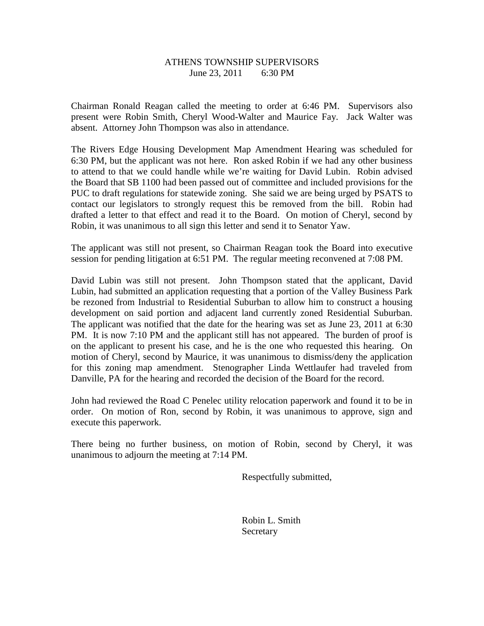## ATHENS TOWNSHIP SUPERVISORS June 23, 2011 6:30 PM

Chairman Ronald Reagan called the meeting to order at 6:46 PM. Supervisors also present were Robin Smith, Cheryl Wood-Walter and Maurice Fay. Jack Walter was absent. Attorney John Thompson was also in attendance.

The Rivers Edge Housing Development Map Amendment Hearing was scheduled for 6:30 PM, but the applicant was not here. Ron asked Robin if we had any other business to attend to that we could handle while we're waiting for David Lubin. Robin advised the Board that SB 1100 had been passed out of committee and included provisions for the PUC to draft regulations for statewide zoning. She said we are being urged by PSATS to contact our legislators to strongly request this be removed from the bill. Robin had drafted a letter to that effect and read it to the Board. On motion of Cheryl, second by Robin, it was unanimous to all sign this letter and send it to Senator Yaw.

The applicant was still not present, so Chairman Reagan took the Board into executive session for pending litigation at 6:51 PM. The regular meeting reconvened at 7:08 PM.

David Lubin was still not present. John Thompson stated that the applicant, David Lubin, had submitted an application requesting that a portion of the Valley Business Park be rezoned from Industrial to Residential Suburban to allow him to construct a housing development on said portion and adjacent land currently zoned Residential Suburban. The applicant was notified that the date for the hearing was set as June 23, 2011 at 6:30 PM. It is now 7:10 PM and the applicant still has not appeared. The burden of proof is on the applicant to present his case, and he is the one who requested this hearing. On motion of Cheryl, second by Maurice, it was unanimous to dismiss/deny the application for this zoning map amendment. Stenographer Linda Wettlaufer had traveled from Danville, PA for the hearing and recorded the decision of the Board for the record.

John had reviewed the Road C Penelec utility relocation paperwork and found it to be in order. On motion of Ron, second by Robin, it was unanimous to approve, sign and execute this paperwork.

There being no further business, on motion of Robin, second by Cheryl, it was unanimous to adjourn the meeting at 7:14 PM.

Respectfully submitted,

 Robin L. Smith Secretary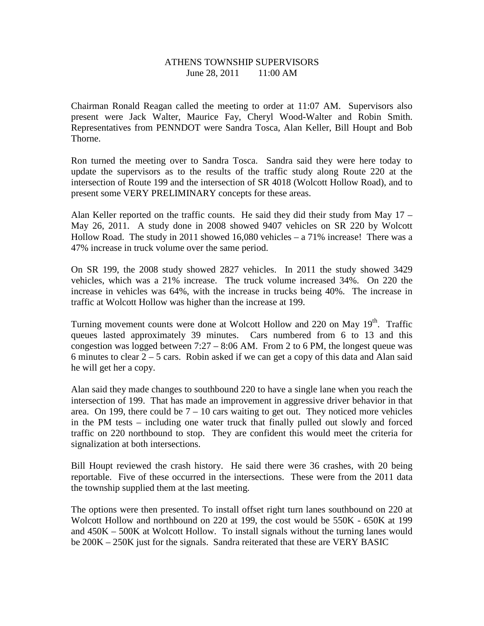### ATHENS TOWNSHIP SUPERVISORS June 28, 2011 11:00 AM

Chairman Ronald Reagan called the meeting to order at 11:07 AM. Supervisors also present were Jack Walter, Maurice Fay, Cheryl Wood-Walter and Robin Smith. Representatives from PENNDOT were Sandra Tosca, Alan Keller, Bill Houpt and Bob Thorne.

Ron turned the meeting over to Sandra Tosca. Sandra said they were here today to update the supervisors as to the results of the traffic study along Route 220 at the intersection of Route 199 and the intersection of SR 4018 (Wolcott Hollow Road), and to present some VERY PRELIMINARY concepts for these areas.

Alan Keller reported on the traffic counts. He said they did their study from May  $17 -$ May 26, 2011. A study done in 2008 showed 9407 vehicles on SR 220 by Wolcott Hollow Road. The study in 2011 showed  $16,080$  vehicles – a 71% increase! There was a 47% increase in truck volume over the same period.

On SR 199, the 2008 study showed 2827 vehicles. In 2011 the study showed 3429 vehicles, which was a 21% increase. The truck volume increased 34%. On 220 the increase in vehicles was 64%, with the increase in trucks being 40%. The increase in traffic at Wolcott Hollow was higher than the increase at 199.

Turning movement counts were done at Wolcott Hollow and 220 on May  $19<sup>th</sup>$ . Traffic queues lasted approximately 39 minutes. Cars numbered from 6 to 13 and this congestion was logged between  $7:27 - 8:06$  AM. From 2 to 6 PM, the longest queue was 6 minutes to clear 2 – 5 cars. Robin asked if we can get a copy of this data and Alan said he will get her a copy.

Alan said they made changes to southbound 220 to have a single lane when you reach the intersection of 199. That has made an improvement in aggressive driver behavior in that area. On 199, there could be  $7 - 10$  cars waiting to get out. They noticed more vehicles in the PM tests – including one water truck that finally pulled out slowly and forced traffic on 220 northbound to stop. They are confident this would meet the criteria for signalization at both intersections.

Bill Houpt reviewed the crash history. He said there were 36 crashes, with 20 being reportable. Five of these occurred in the intersections. These were from the 2011 data the township supplied them at the last meeting.

The options were then presented. To install offset right turn lanes southbound on 220 at Wolcott Hollow and northbound on 220 at 199, the cost would be 550K - 650K at 199 and 450K – 500K at Wolcott Hollow. To install signals without the turning lanes would be 200K – 250K just for the signals. Sandra reiterated that these are VERY BASIC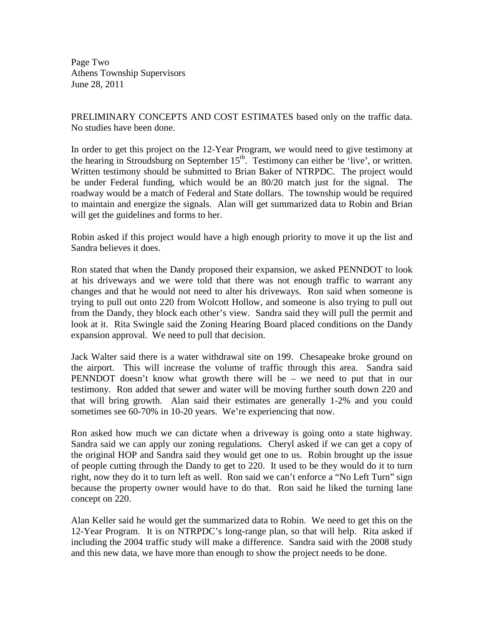Page Two Athens Township Supervisors June 28, 2011

PRELIMINARY CONCEPTS AND COST ESTIMATES based only on the traffic data. No studies have been done.

In order to get this project on the 12-Year Program, we would need to give testimony at the hearing in Stroudsburg on September  $15<sup>th</sup>$ . Testimony can either be 'live', or written. Written testimony should be submitted to Brian Baker of NTRPDC. The project would be under Federal funding, which would be an 80/20 match just for the signal. The roadway would be a match of Federal and State dollars. The township would be required to maintain and energize the signals. Alan will get summarized data to Robin and Brian will get the guidelines and forms to her.

Robin asked if this project would have a high enough priority to move it up the list and Sandra believes it does.

Ron stated that when the Dandy proposed their expansion, we asked PENNDOT to look at his driveways and we were told that there was not enough traffic to warrant any changes and that he would not need to alter his driveways. Ron said when someone is trying to pull out onto 220 from Wolcott Hollow, and someone is also trying to pull out from the Dandy, they block each other's view. Sandra said they will pull the permit and look at it. Rita Swingle said the Zoning Hearing Board placed conditions on the Dandy expansion approval. We need to pull that decision.

Jack Walter said there is a water withdrawal site on 199. Chesapeake broke ground on the airport. This will increase the volume of traffic through this area. Sandra said PENNDOT doesn't know what growth there will be – we need to put that in our testimony. Ron added that sewer and water will be moving further south down 220 and that will bring growth. Alan said their estimates are generally 1-2% and you could sometimes see 60-70% in 10-20 years. We're experiencing that now.

Ron asked how much we can dictate when a driveway is going onto a state highway. Sandra said we can apply our zoning regulations. Cheryl asked if we can get a copy of the original HOP and Sandra said they would get one to us. Robin brought up the issue of people cutting through the Dandy to get to 220. It used to be they would do it to turn right, now they do it to turn left as well. Ron said we can't enforce a "No Left Turn" sign because the property owner would have to do that. Ron said he liked the turning lane concept on 220.

Alan Keller said he would get the summarized data to Robin. We need to get this on the 12-Year Program. It is on NTRPDC's long-range plan, so that will help. Rita asked if including the 2004 traffic study will make a difference. Sandra said with the 2008 study and this new data, we have more than enough to show the project needs to be done.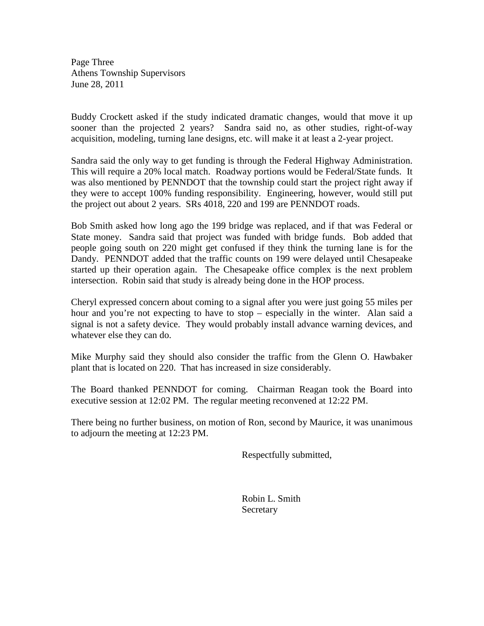Page Three Athens Township Supervisors June 28, 2011

Buddy Crockett asked if the study indicated dramatic changes, would that move it up sooner than the projected 2 years? Sandra said no, as other studies, right-of-way acquisition, modeling, turning lane designs, etc. will make it at least a 2-year project.

Sandra said the only way to get funding is through the Federal Highway Administration. This will require a 20% local match. Roadway portions would be Federal/State funds. It was also mentioned by PENNDOT that the township could start the project right away if they were to accept 100% funding responsibility. Engineering, however, would still put the project out about 2 years. SRs 4018, 220 and 199 are PENNDOT roads.

Bob Smith asked how long ago the 199 bridge was replaced, and if that was Federal or State money. Sandra said that project was funded with bridge funds. Bob added that people going south on 220 might get confused if they think the turning lane is for the Dandy. PENNDOT added that the traffic counts on 199 were delayed until Chesapeake started up their operation again. The Chesapeake office complex is the next problem intersection. Robin said that study is already being done in the HOP process.

Cheryl expressed concern about coming to a signal after you were just going 55 miles per hour and you're not expecting to have to stop – especially in the winter. Alan said a signal is not a safety device. They would probably install advance warning devices, and whatever else they can do.

Mike Murphy said they should also consider the traffic from the Glenn O. Hawbaker plant that is located on 220. That has increased in size considerably.

The Board thanked PENNDOT for coming. Chairman Reagan took the Board into executive session at 12:02 PM. The regular meeting reconvened at 12:22 PM.

There being no further business, on motion of Ron, second by Maurice, it was unanimous to adjourn the meeting at 12:23 PM.

Respectfully submitted,

 Robin L. Smith **Secretary**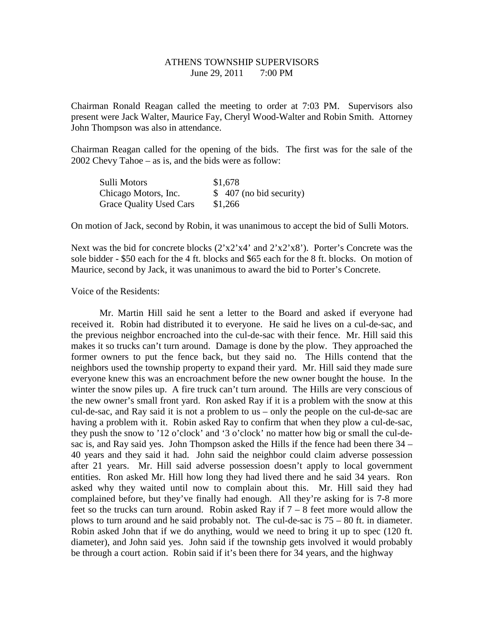#### ATHENS TOWNSHIP SUPERVISORS June 29, 2011 7:00 PM

Chairman Ronald Reagan called the meeting to order at 7:03 PM. Supervisors also present were Jack Walter, Maurice Fay, Cheryl Wood-Walter and Robin Smith. Attorney John Thompson was also in attendance.

Chairman Reagan called for the opening of the bids. The first was for the sale of the 2002 Chevy Tahoe – as is, and the bids were as follow:

| Sulli Motors            | \$1,678                  |
|-------------------------|--------------------------|
| Chicago Motors, Inc.    | $$407$ (no bid security) |
| Grace Quality Used Cars | \$1,266                  |

On motion of Jack, second by Robin, it was unanimous to accept the bid of Sulli Motors.

Next was the bid for concrete blocks  $(2'x2'x4'$  and  $2'x2'x8'$ ). Porter's Concrete was the sole bidder - \$50 each for the 4 ft. blocks and \$65 each for the 8 ft. blocks. On motion of Maurice, second by Jack, it was unanimous to award the bid to Porter's Concrete.

#### Voice of the Residents:

 Mr. Martin Hill said he sent a letter to the Board and asked if everyone had received it. Robin had distributed it to everyone. He said he lives on a cul-de-sac, and the previous neighbor encroached into the cul-de-sac with their fence. Mr. Hill said this makes it so trucks can't turn around. Damage is done by the plow. They approached the former owners to put the fence back, but they said no. The Hills contend that the neighbors used the township property to expand their yard. Mr. Hill said they made sure everyone knew this was an encroachment before the new owner bought the house. In the winter the snow piles up. A fire truck can't turn around. The Hills are very conscious of the new owner's small front yard. Ron asked Ray if it is a problem with the snow at this cul-de-sac, and Ray said it is not a problem to us – only the people on the cul-de-sac are having a problem with it. Robin asked Ray to confirm that when they plow a cul-de-sac, they push the snow to '12 o'clock' and '3 o'clock' no matter how big or small the cul-desac is, and Ray said yes. John Thompson asked the Hills if the fence had been there 34 – 40 years and they said it had. John said the neighbor could claim adverse possession after 21 years. Mr. Hill said adverse possession doesn't apply to local government entities. Ron asked Mr. Hill how long they had lived there and he said 34 years. Ron asked why they waited until now to complain about this. Mr. Hill said they had complained before, but they've finally had enough. All they're asking for is 7-8 more feet so the trucks can turn around. Robin asked Ray if  $7 - 8$  feet more would allow the plows to turn around and he said probably not. The cul-de-sac is 75 – 80 ft. in diameter. Robin asked John that if we do anything, would we need to bring it up to spec (120 ft. diameter), and John said yes. John said if the township gets involved it would probably be through a court action. Robin said if it's been there for 34 years, and the highway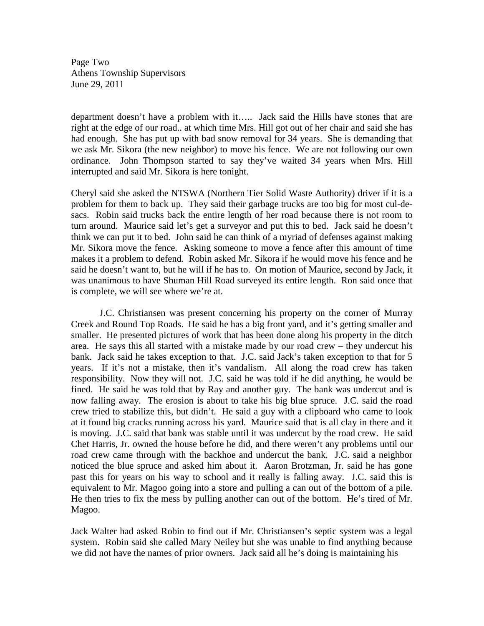Page Two Athens Township Supervisors June 29, 2011

department doesn't have a problem with it….. Jack said the Hills have stones that are right at the edge of our road.. at which time Mrs. Hill got out of her chair and said she has had enough. She has put up with bad snow removal for 34 years. She is demanding that we ask Mr. Sikora (the new neighbor) to move his fence. We are not following our own ordinance. John Thompson started to say they've waited 34 years when Mrs. Hill interrupted and said Mr. Sikora is here tonight.

Cheryl said she asked the NTSWA (Northern Tier Solid Waste Authority) driver if it is a problem for them to back up. They said their garbage trucks are too big for most cul-desacs. Robin said trucks back the entire length of her road because there is not room to turn around. Maurice said let's get a surveyor and put this to bed. Jack said he doesn't think we can put it to bed. John said he can think of a myriad of defenses against making Mr. Sikora move the fence. Asking someone to move a fence after this amount of time makes it a problem to defend. Robin asked Mr. Sikora if he would move his fence and he said he doesn't want to, but he will if he has to. On motion of Maurice, second by Jack, it was unanimous to have Shuman Hill Road surveyed its entire length. Ron said once that is complete, we will see where we're at.

 J.C. Christiansen was present concerning his property on the corner of Murray Creek and Round Top Roads. He said he has a big front yard, and it's getting smaller and smaller. He presented pictures of work that has been done along his property in the ditch area. He says this all started with a mistake made by our road crew – they undercut his bank. Jack said he takes exception to that. J.C. said Jack's taken exception to that for 5 years. If it's not a mistake, then it's vandalism. All along the road crew has taken responsibility. Now they will not. J.C. said he was told if he did anything, he would be fined. He said he was told that by Ray and another guy. The bank was undercut and is now falling away. The erosion is about to take his big blue spruce. J.C. said the road crew tried to stabilize this, but didn't. He said a guy with a clipboard who came to look at it found big cracks running across his yard. Maurice said that is all clay in there and it is moving. J.C. said that bank was stable until it was undercut by the road crew. He said Chet Harris, Jr. owned the house before he did, and there weren't any problems until our road crew came through with the backhoe and undercut the bank. J.C. said a neighbor noticed the blue spruce and asked him about it. Aaron Brotzman, Jr. said he has gone past this for years on his way to school and it really is falling away. J.C. said this is equivalent to Mr. Magoo going into a store and pulling a can out of the bottom of a pile. He then tries to fix the mess by pulling another can out of the bottom. He's tired of Mr. Magoo.

Jack Walter had asked Robin to find out if Mr. Christiansen's septic system was a legal system. Robin said she called Mary Neiley but she was unable to find anything because we did not have the names of prior owners. Jack said all he's doing is maintaining his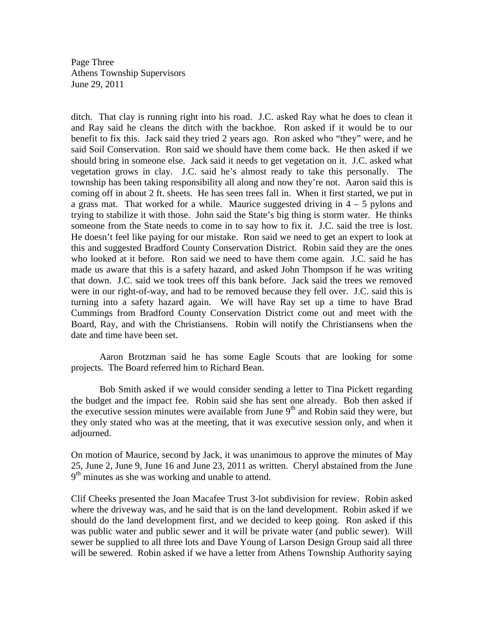Page Three Athens Township Supervisors June 29, 2011

ditch. That clay is running right into his road. J.C. asked Ray what he does to clean it and Ray said he cleans the ditch with the backhoe. Ron asked if it would be to our benefit to fix this. Jack said they tried 2 years ago. Ron asked who "they" were, and he said Soil Conservation. Ron said we should have them come back. He then asked if we should bring in someone else. Jack said it needs to get vegetation on it. J.C. asked what vegetation grows in clay. J.C. said he's almost ready to take this personally. The township has been taking responsibility all along and now they're not. Aaron said this is coming off in about 2 ft. sheets. He has seen trees fall in. When it first started, we put in a grass mat. That worked for a while. Maurice suggested driving in  $4 - 5$  pylons and trying to stabilize it with those. John said the State's big thing is storm water. He thinks someone from the State needs to come in to say how to fix it. J.C. said the tree is lost. He doesn't feel like paying for our mistake. Ron said we need to get an expert to look at this and suggested Bradford County Conservation District. Robin said they are the ones who looked at it before. Ron said we need to have them come again. J.C. said he has made us aware that this is a safety hazard, and asked John Thompson if he was writing that down. J.C. said we took trees off this bank before. Jack said the trees we removed were in our right-of-way, and had to be removed because they fell over. J.C. said this is turning into a safety hazard again. We will have Ray set up a time to have Brad Cummings from Bradford County Conservation District come out and meet with the Board, Ray, and with the Christiansens. Robin will notify the Christiansens when the date and time have been set.

Aaron Brotzman said he has some Eagle Scouts that are looking for some projects. The Board referred him to Richard Bean.

Bob Smith asked if we would consider sending a letter to Tina Pickett regarding the budget and the impact fee. Robin said she has sent one already. Bob then asked if the executive session minutes were available from June  $9<sup>th</sup>$  and Robin said they were, but they only stated who was at the meeting, that it was executive session only, and when it adjourned.

On motion of Maurice, second by Jack, it was unanimous to approve the minutes of May 25, June 2, June 9, June 16 and June 23, 2011 as written. Cheryl abstained from the June 9<sup>th</sup> minutes as she was working and unable to attend.

Clif Cheeks presented the Joan Macafee Trust 3-lot subdivision for review. Robin asked where the driveway was, and he said that is on the land development. Robin asked if we should do the land development first, and we decided to keep going. Ron asked if this was public water and public sewer and it will be private water (and public sewer). Will sewer be supplied to all three lots and Dave Young of Larson Design Group said all three will be sewered. Robin asked if we have a letter from Athens Township Authority saying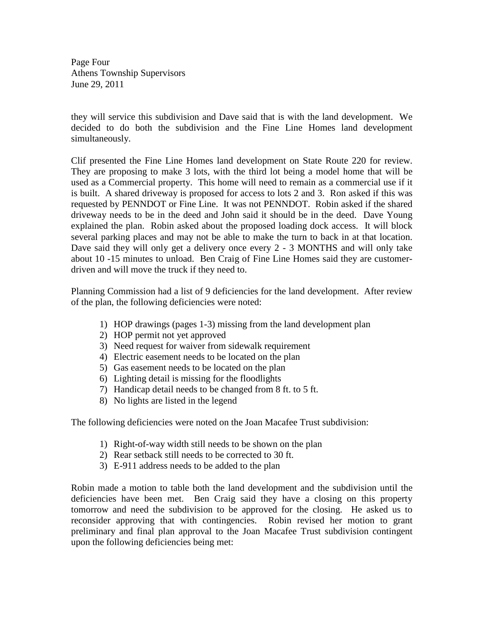Page Four Athens Township Supervisors June 29, 2011

they will service this subdivision and Dave said that is with the land development. We decided to do both the subdivision and the Fine Line Homes land development simultaneously.

Clif presented the Fine Line Homes land development on State Route 220 for review. They are proposing to make 3 lots, with the third lot being a model home that will be used as a Commercial property. This home will need to remain as a commercial use if it is built. A shared driveway is proposed for access to lots 2 and 3. Ron asked if this was requested by PENNDOT or Fine Line. It was not PENNDOT. Robin asked if the shared driveway needs to be in the deed and John said it should be in the deed. Dave Young explained the plan. Robin asked about the proposed loading dock access. It will block several parking places and may not be able to make the turn to back in at that location. Dave said they will only get a delivery once every 2 - 3 MONTHS and will only take about 10 -15 minutes to unload. Ben Craig of Fine Line Homes said they are customerdriven and will move the truck if they need to.

Planning Commission had a list of 9 deficiencies for the land development. After review of the plan, the following deficiencies were noted:

- 1) HOP drawings (pages 1-3) missing from the land development plan
- 2) HOP permit not yet approved
- 3) Need request for waiver from sidewalk requirement
- 4) Electric easement needs to be located on the plan
- 5) Gas easement needs to be located on the plan
- 6) Lighting detail is missing for the floodlights
- 7) Handicap detail needs to be changed from 8 ft. to 5 ft.
- 8) No lights are listed in the legend

The following deficiencies were noted on the Joan Macafee Trust subdivision:

- 1) Right-of-way width still needs to be shown on the plan
- 2) Rear setback still needs to be corrected to 30 ft.
- 3) E-911 address needs to be added to the plan

Robin made a motion to table both the land development and the subdivision until the deficiencies have been met. Ben Craig said they have a closing on this property tomorrow and need the subdivision to be approved for the closing. He asked us to reconsider approving that with contingencies. Robin revised her motion to grant preliminary and final plan approval to the Joan Macafee Trust subdivision contingent upon the following deficiencies being met: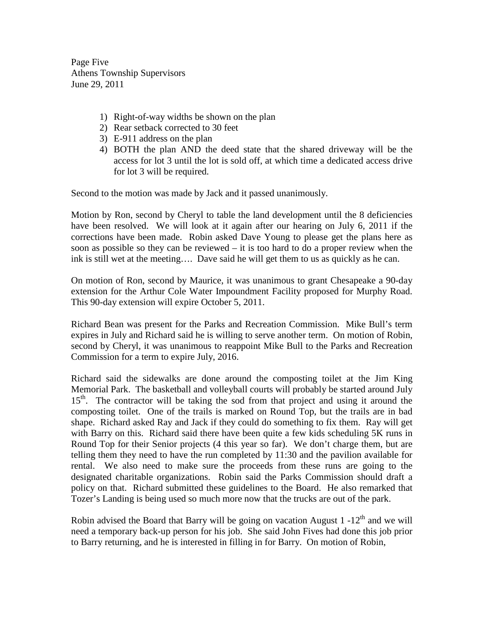Page Five Athens Township Supervisors June 29, 2011

- 1) Right-of-way widths be shown on the plan
- 2) Rear setback corrected to 30 feet
- 3) E-911 address on the plan
- 4) BOTH the plan AND the deed state that the shared driveway will be the access for lot 3 until the lot is sold off, at which time a dedicated access drive for lot 3 will be required.

Second to the motion was made by Jack and it passed unanimously.

Motion by Ron, second by Cheryl to table the land development until the 8 deficiencies have been resolved. We will look at it again after our hearing on July 6, 2011 if the corrections have been made. Robin asked Dave Young to please get the plans here as soon as possible so they can be reviewed – it is too hard to do a proper review when the ink is still wet at the meeting…. Dave said he will get them to us as quickly as he can.

On motion of Ron, second by Maurice, it was unanimous to grant Chesapeake a 90-day extension for the Arthur Cole Water Impoundment Facility proposed for Murphy Road. This 90-day extension will expire October 5, 2011.

Richard Bean was present for the Parks and Recreation Commission. Mike Bull's term expires in July and Richard said he is willing to serve another term. On motion of Robin, second by Cheryl, it was unanimous to reappoint Mike Bull to the Parks and Recreation Commission for a term to expire July, 2016.

Richard said the sidewalks are done around the composting toilet at the Jim King Memorial Park. The basketball and volleyball courts will probably be started around July 15<sup>th</sup>. The contractor will be taking the sod from that project and using it around the composting toilet. One of the trails is marked on Round Top, but the trails are in bad shape. Richard asked Ray and Jack if they could do something to fix them. Ray will get with Barry on this. Richard said there have been quite a few kids scheduling 5K runs in Round Top for their Senior projects (4 this year so far). We don't charge them, but are telling them they need to have the run completed by 11:30 and the pavilion available for rental. We also need to make sure the proceeds from these runs are going to the designated charitable organizations. Robin said the Parks Commission should draft a policy on that. Richard submitted these guidelines to the Board. He also remarked that Tozer's Landing is being used so much more now that the trucks are out of the park.

Robin advised the Board that Barry will be going on vacation August  $1 -12<sup>th</sup>$  and we will need a temporary back-up person for his job. She said John Fives had done this job prior to Barry returning, and he is interested in filling in for Barry. On motion of Robin,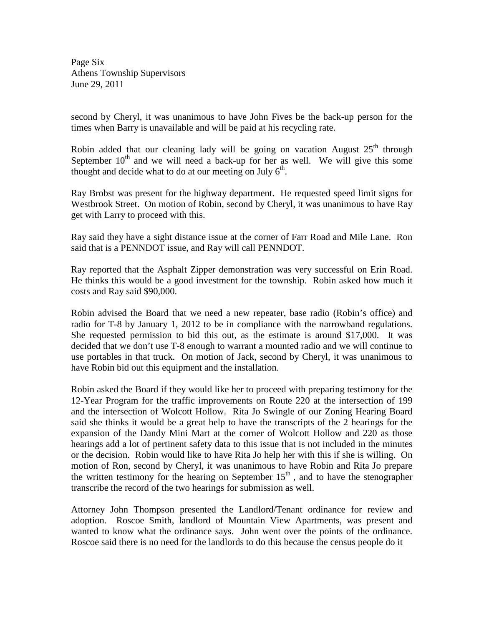Page Six Athens Township Supervisors June 29, 2011

second by Cheryl, it was unanimous to have John Fives be the back-up person for the times when Barry is unavailable and will be paid at his recycling rate.

Robin added that our cleaning lady will be going on vacation August  $25<sup>th</sup>$  through September  $10^{th}$  and we will need a back-up for her as well. We will give this some thought and decide what to do at our meeting on July  $6<sup>th</sup>$ .

Ray Brobst was present for the highway department. He requested speed limit signs for Westbrook Street. On motion of Robin, second by Cheryl, it was unanimous to have Ray get with Larry to proceed with this.

Ray said they have a sight distance issue at the corner of Farr Road and Mile Lane. Ron said that is a PENNDOT issue, and Ray will call PENNDOT.

Ray reported that the Asphalt Zipper demonstration was very successful on Erin Road. He thinks this would be a good investment for the township. Robin asked how much it costs and Ray said \$90,000.

Robin advised the Board that we need a new repeater, base radio (Robin's office) and radio for T-8 by January 1, 2012 to be in compliance with the narrowband regulations. She requested permission to bid this out, as the estimate is around \$17,000. It was decided that we don't use T-8 enough to warrant a mounted radio and we will continue to use portables in that truck. On motion of Jack, second by Cheryl, it was unanimous to have Robin bid out this equipment and the installation.

Robin asked the Board if they would like her to proceed with preparing testimony for the 12-Year Program for the traffic improvements on Route 220 at the intersection of 199 and the intersection of Wolcott Hollow. Rita Jo Swingle of our Zoning Hearing Board said she thinks it would be a great help to have the transcripts of the 2 hearings for the expansion of the Dandy Mini Mart at the corner of Wolcott Hollow and 220 as those hearings add a lot of pertinent safety data to this issue that is not included in the minutes or the decision. Robin would like to have Rita Jo help her with this if she is willing. On motion of Ron, second by Cheryl, it was unanimous to have Robin and Rita Jo prepare the written testimony for the hearing on September  $15<sup>th</sup>$ , and to have the stenographer transcribe the record of the two hearings for submission as well.

Attorney John Thompson presented the Landlord/Tenant ordinance for review and adoption. Roscoe Smith, landlord of Mountain View Apartments, was present and wanted to know what the ordinance says. John went over the points of the ordinance. Roscoe said there is no need for the landlords to do this because the census people do it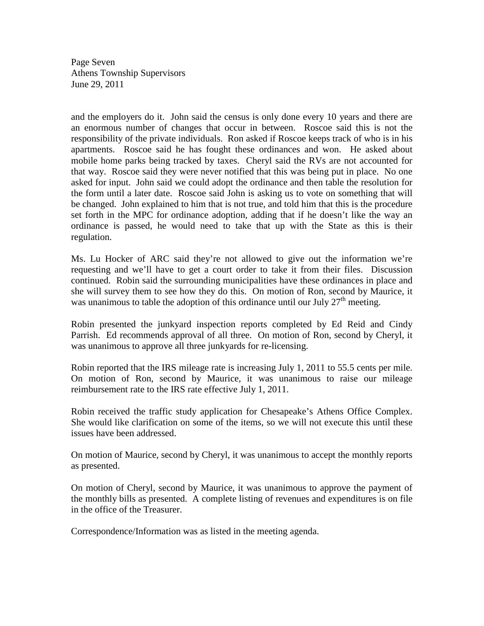Page Seven Athens Township Supervisors June 29, 2011

and the employers do it. John said the census is only done every 10 years and there are an enormous number of changes that occur in between. Roscoe said this is not the responsibility of the private individuals. Ron asked if Roscoe keeps track of who is in his apartments. Roscoe said he has fought these ordinances and won. He asked about mobile home parks being tracked by taxes. Cheryl said the RVs are not accounted for that way. Roscoe said they were never notified that this was being put in place. No one asked for input. John said we could adopt the ordinance and then table the resolution for the form until a later date. Roscoe said John is asking us to vote on something that will be changed. John explained to him that is not true, and told him that this is the procedure set forth in the MPC for ordinance adoption, adding that if he doesn't like the way an ordinance is passed, he would need to take that up with the State as this is their regulation.

Ms. Lu Hocker of ARC said they're not allowed to give out the information we're requesting and we'll have to get a court order to take it from their files. Discussion continued. Robin said the surrounding municipalities have these ordinances in place and she will survey them to see how they do this. On motion of Ron, second by Maurice, it was unanimous to table the adoption of this ordinance until our July  $27<sup>th</sup>$  meeting.

Robin presented the junkyard inspection reports completed by Ed Reid and Cindy Parrish. Ed recommends approval of all three. On motion of Ron, second by Cheryl, it was unanimous to approve all three junkyards for re-licensing.

Robin reported that the IRS mileage rate is increasing July 1, 2011 to 55.5 cents per mile. On motion of Ron, second by Maurice, it was unanimous to raise our mileage reimbursement rate to the IRS rate effective July 1, 2011.

Robin received the traffic study application for Chesapeake's Athens Office Complex. She would like clarification on some of the items, so we will not execute this until these issues have been addressed.

On motion of Maurice, second by Cheryl, it was unanimous to accept the monthly reports as presented.

On motion of Cheryl, second by Maurice, it was unanimous to approve the payment of the monthly bills as presented. A complete listing of revenues and expenditures is on file in the office of the Treasurer.

Correspondence/Information was as listed in the meeting agenda.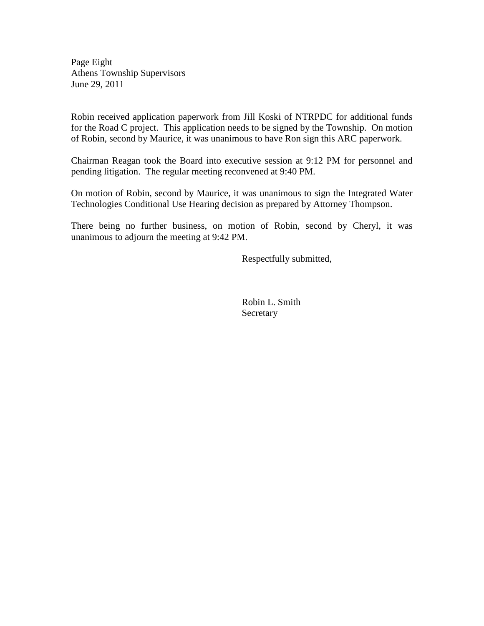Page Eight Athens Township Supervisors June 29, 2011

Robin received application paperwork from Jill Koski of NTRPDC for additional funds for the Road C project. This application needs to be signed by the Township. On motion of Robin, second by Maurice, it was unanimous to have Ron sign this ARC paperwork.

Chairman Reagan took the Board into executive session at 9:12 PM for personnel and pending litigation. The regular meeting reconvened at 9:40 PM.

On motion of Robin, second by Maurice, it was unanimous to sign the Integrated Water Technologies Conditional Use Hearing decision as prepared by Attorney Thompson.

There being no further business, on motion of Robin, second by Cheryl, it was unanimous to adjourn the meeting at 9:42 PM.

Respectfully submitted,

 Robin L. Smith Secretary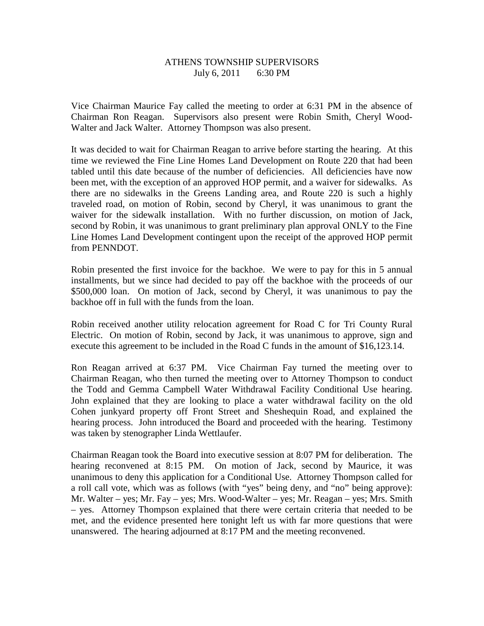## ATHENS TOWNSHIP SUPERVISORS July 6, 2011 6:30 PM

Vice Chairman Maurice Fay called the meeting to order at 6:31 PM in the absence of Chairman Ron Reagan. Supervisors also present were Robin Smith, Cheryl Wood-Walter and Jack Walter. Attorney Thompson was also present.

It was decided to wait for Chairman Reagan to arrive before starting the hearing. At this time we reviewed the Fine Line Homes Land Development on Route 220 that had been tabled until this date because of the number of deficiencies. All deficiencies have now been met, with the exception of an approved HOP permit, and a waiver for sidewalks. As there are no sidewalks in the Greens Landing area, and Route 220 is such a highly traveled road, on motion of Robin, second by Cheryl, it was unanimous to grant the waiver for the sidewalk installation. With no further discussion, on motion of Jack, second by Robin, it was unanimous to grant preliminary plan approval ONLY to the Fine Line Homes Land Development contingent upon the receipt of the approved HOP permit from PENNDOT.

Robin presented the first invoice for the backhoe. We were to pay for this in 5 annual installments, but we since had decided to pay off the backhoe with the proceeds of our \$500,000 loan. On motion of Jack, second by Cheryl, it was unanimous to pay the backhoe off in full with the funds from the loan.

Robin received another utility relocation agreement for Road C for Tri County Rural Electric. On motion of Robin, second by Jack, it was unanimous to approve, sign and execute this agreement to be included in the Road C funds in the amount of \$16,123.14.

Ron Reagan arrived at 6:37 PM. Vice Chairman Fay turned the meeting over to Chairman Reagan, who then turned the meeting over to Attorney Thompson to conduct the Todd and Gemma Campbell Water Withdrawal Facility Conditional Use hearing. John explained that they are looking to place a water withdrawal facility on the old Cohen junkyard property off Front Street and Sheshequin Road, and explained the hearing process. John introduced the Board and proceeded with the hearing. Testimony was taken by stenographer Linda Wettlaufer.

Chairman Reagan took the Board into executive session at 8:07 PM for deliberation. The hearing reconvened at 8:15 PM. On motion of Jack, second by Maurice, it was unanimous to deny this application for a Conditional Use. Attorney Thompson called for a roll call vote, which was as follows (with "yes" being deny, and "no" being approve): Mr. Walter – yes; Mr. Fay – yes; Mrs. Wood-Walter – yes; Mr. Reagan – yes; Mrs. Smith – yes. Attorney Thompson explained that there were certain criteria that needed to be met, and the evidence presented here tonight left us with far more questions that were unanswered. The hearing adjourned at 8:17 PM and the meeting reconvened.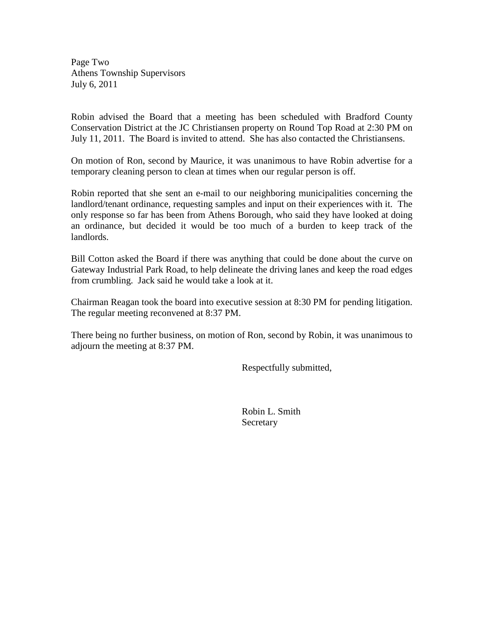Page Two Athens Township Supervisors July 6, 2011

Robin advised the Board that a meeting has been scheduled with Bradford County Conservation District at the JC Christiansen property on Round Top Road at 2:30 PM on July 11, 2011. The Board is invited to attend. She has also contacted the Christiansens.

On motion of Ron, second by Maurice, it was unanimous to have Robin advertise for a temporary cleaning person to clean at times when our regular person is off.

Robin reported that she sent an e-mail to our neighboring municipalities concerning the landlord/tenant ordinance, requesting samples and input on their experiences with it. The only response so far has been from Athens Borough, who said they have looked at doing an ordinance, but decided it would be too much of a burden to keep track of the landlords.

Bill Cotton asked the Board if there was anything that could be done about the curve on Gateway Industrial Park Road, to help delineate the driving lanes and keep the road edges from crumbling. Jack said he would take a look at it.

Chairman Reagan took the board into executive session at 8:30 PM for pending litigation. The regular meeting reconvened at 8:37 PM.

There being no further business, on motion of Ron, second by Robin, it was unanimous to adjourn the meeting at 8:37 PM.

Respectfully submitted,

 Robin L. Smith Secretary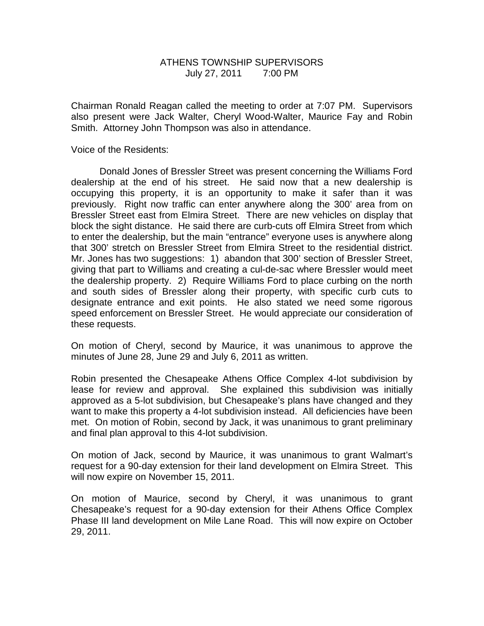### ATHENS TOWNSHIP SUPERVISORS July 27, 2011 7:00 PM

Chairman Ronald Reagan called the meeting to order at 7:07 PM. Supervisors also present were Jack Walter, Cheryl Wood-Walter, Maurice Fay and Robin Smith. Attorney John Thompson was also in attendance.

Voice of the Residents:

 Donald Jones of Bressler Street was present concerning the Williams Ford dealership at the end of his street. He said now that a new dealership is occupying this property, it is an opportunity to make it safer than it was previously. Right now traffic can enter anywhere along the 300' area from on Bressler Street east from Elmira Street. There are new vehicles on display that block the sight distance. He said there are curb-cuts off Elmira Street from which to enter the dealership, but the main "entrance" everyone uses is anywhere along that 300' stretch on Bressler Street from Elmira Street to the residential district. Mr. Jones has two suggestions: 1) abandon that 300' section of Bressler Street, giving that part to Williams and creating a cul-de-sac where Bressler would meet the dealership property. 2) Require Williams Ford to place curbing on the north and south sides of Bressler along their property, with specific curb cuts to designate entrance and exit points. He also stated we need some rigorous speed enforcement on Bressler Street. He would appreciate our consideration of these requests.

On motion of Cheryl, second by Maurice, it was unanimous to approve the minutes of June 28, June 29 and July 6, 2011 as written.

Robin presented the Chesapeake Athens Office Complex 4-lot subdivision by lease for review and approval. She explained this subdivision was initially approved as a 5-lot subdivision, but Chesapeake's plans have changed and they want to make this property a 4-lot subdivision instead. All deficiencies have been met. On motion of Robin, second by Jack, it was unanimous to grant preliminary and final plan approval to this 4-lot subdivision.

On motion of Jack, second by Maurice, it was unanimous to grant Walmart's request for a 90-day extension for their land development on Elmira Street. This will now expire on November 15, 2011.

On motion of Maurice, second by Cheryl, it was unanimous to grant Chesapeake's request for a 90-day extension for their Athens Office Complex Phase III land development on Mile Lane Road. This will now expire on October 29, 2011.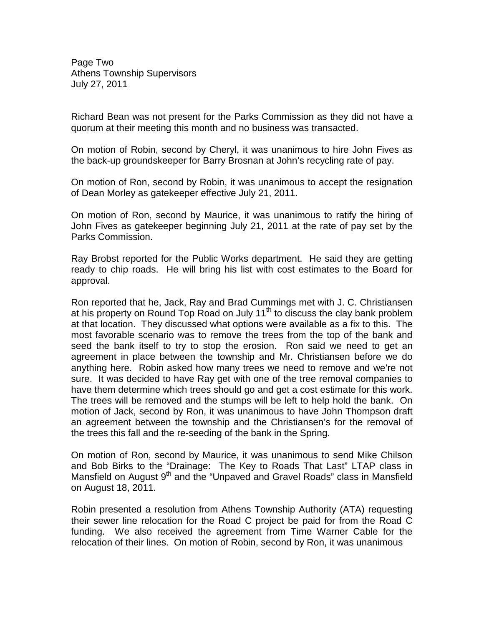Page Two Athens Township Supervisors July 27, 2011

Richard Bean was not present for the Parks Commission as they did not have a quorum at their meeting this month and no business was transacted.

On motion of Robin, second by Cheryl, it was unanimous to hire John Fives as the back-up groundskeeper for Barry Brosnan at John's recycling rate of pay.

On motion of Ron, second by Robin, it was unanimous to accept the resignation of Dean Morley as gatekeeper effective July 21, 2011.

On motion of Ron, second by Maurice, it was unanimous to ratify the hiring of John Fives as gatekeeper beginning July 21, 2011 at the rate of pay set by the Parks Commission.

Ray Brobst reported for the Public Works department. He said they are getting ready to chip roads. He will bring his list with cost estimates to the Board for approval.

Ron reported that he, Jack, Ray and Brad Cummings met with J. C. Christiansen at his property on Round Top Road on July  $11<sup>th</sup>$  to discuss the clay bank problem at that location. They discussed what options were available as a fix to this. The most favorable scenario was to remove the trees from the top of the bank and seed the bank itself to try to stop the erosion. Ron said we need to get an agreement in place between the township and Mr. Christiansen before we do anything here. Robin asked how many trees we need to remove and we're not sure. It was decided to have Ray get with one of the tree removal companies to have them determine which trees should go and get a cost estimate for this work. The trees will be removed and the stumps will be left to help hold the bank. On motion of Jack, second by Ron, it was unanimous to have John Thompson draft an agreement between the township and the Christiansen's for the removal of the trees this fall and the re-seeding of the bank in the Spring.

On motion of Ron, second by Maurice, it was unanimous to send Mike Chilson and Bob Birks to the "Drainage: The Key to Roads That Last" LTAP class in Mansfield on August  $9<sup>th</sup>$  and the "Unpaved and Gravel Roads" class in Mansfield on August 18, 2011.

Robin presented a resolution from Athens Township Authority (ATA) requesting their sewer line relocation for the Road C project be paid for from the Road C funding. We also received the agreement from Time Warner Cable for the relocation of their lines. On motion of Robin, second by Ron, it was unanimous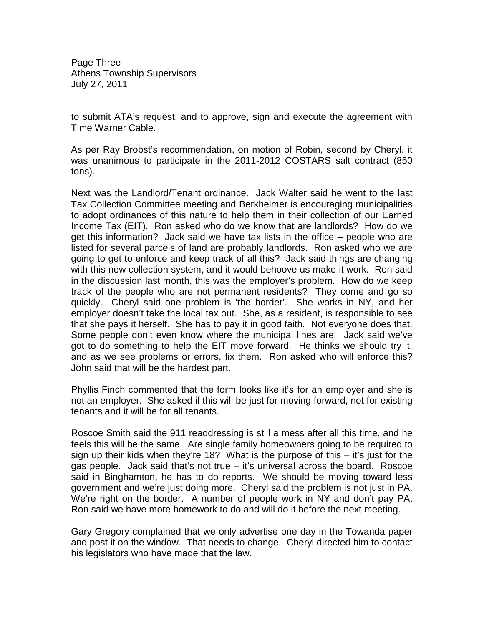Page Three Athens Township Supervisors July 27, 2011

to submit ATA's request, and to approve, sign and execute the agreement with Time Warner Cable.

As per Ray Brobst's recommendation, on motion of Robin, second by Cheryl, it was unanimous to participate in the 2011-2012 COSTARS salt contract (850 tons).

Next was the Landlord/Tenant ordinance. Jack Walter said he went to the last Tax Collection Committee meeting and Berkheimer is encouraging municipalities to adopt ordinances of this nature to help them in their collection of our Earned Income Tax (EIT). Ron asked who do we know that are landlords? How do we get this information? Jack said we have tax lists in the office – people who are listed for several parcels of land are probably landlords. Ron asked who we are going to get to enforce and keep track of all this? Jack said things are changing with this new collection system, and it would behoove us make it work. Ron said in the discussion last month, this was the employer's problem. How do we keep track of the people who are not permanent residents? They come and go so quickly. Cheryl said one problem is 'the border'. She works in NY, and her employer doesn't take the local tax out. She, as a resident, is responsible to see that she pays it herself. She has to pay it in good faith. Not everyone does that. Some people don't even know where the municipal lines are. Jack said we've got to do something to help the EIT move forward. He thinks we should try it, and as we see problems or errors, fix them. Ron asked who will enforce this? John said that will be the hardest part.

Phyllis Finch commented that the form looks like it's for an employer and she is not an employer. She asked if this will be just for moving forward, not for existing tenants and it will be for all tenants.

Roscoe Smith said the 911 readdressing is still a mess after all this time, and he feels this will be the same. Are single family homeowners going to be required to sign up their kids when they're 18? What is the purpose of this – it's just for the gas people. Jack said that's not true – it's universal across the board. Roscoe said in Binghamton, he has to do reports. We should be moving toward less government and we're just doing more. Cheryl said the problem is not just in PA. We're right on the border. A number of people work in NY and don't pay PA. Ron said we have more homework to do and will do it before the next meeting.

Gary Gregory complained that we only advertise one day in the Towanda paper and post it on the window. That needs to change. Cheryl directed him to contact his legislators who have made that the law.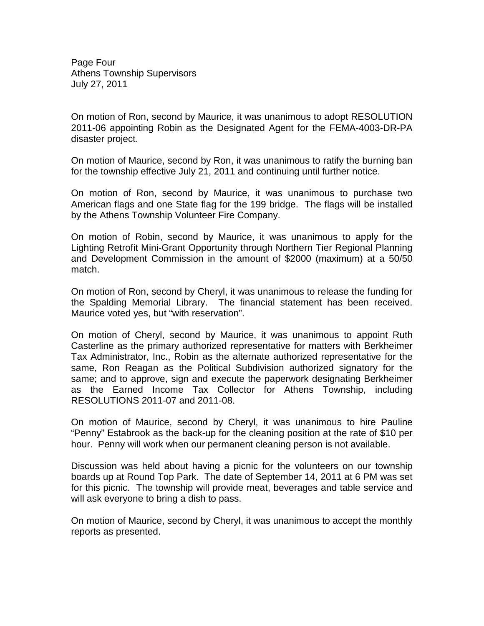Page Four Athens Township Supervisors July 27, 2011

On motion of Ron, second by Maurice, it was unanimous to adopt RESOLUTION 2011-06 appointing Robin as the Designated Agent for the FEMA-4003-DR-PA disaster project.

On motion of Maurice, second by Ron, it was unanimous to ratify the burning ban for the township effective July 21, 2011 and continuing until further notice.

On motion of Ron, second by Maurice, it was unanimous to purchase two American flags and one State flag for the 199 bridge. The flags will be installed by the Athens Township Volunteer Fire Company.

On motion of Robin, second by Maurice, it was unanimous to apply for the Lighting Retrofit Mini-Grant Opportunity through Northern Tier Regional Planning and Development Commission in the amount of \$2000 (maximum) at a 50/50 match.

On motion of Ron, second by Cheryl, it was unanimous to release the funding for the Spalding Memorial Library. The financial statement has been received. Maurice voted yes, but "with reservation".

On motion of Cheryl, second by Maurice, it was unanimous to appoint Ruth Casterline as the primary authorized representative for matters with Berkheimer Tax Administrator, Inc., Robin as the alternate authorized representative for the same, Ron Reagan as the Political Subdivision authorized signatory for the same; and to approve, sign and execute the paperwork designating Berkheimer as the Earned Income Tax Collector for Athens Township, including RESOLUTIONS 2011-07 and 2011-08.

On motion of Maurice, second by Cheryl, it was unanimous to hire Pauline "Penny" Estabrook as the back-up for the cleaning position at the rate of \$10 per hour. Penny will work when our permanent cleaning person is not available.

Discussion was held about having a picnic for the volunteers on our township boards up at Round Top Park. The date of September 14, 2011 at 6 PM was set for this picnic. The township will provide meat, beverages and table service and will ask everyone to bring a dish to pass.

On motion of Maurice, second by Cheryl, it was unanimous to accept the monthly reports as presented.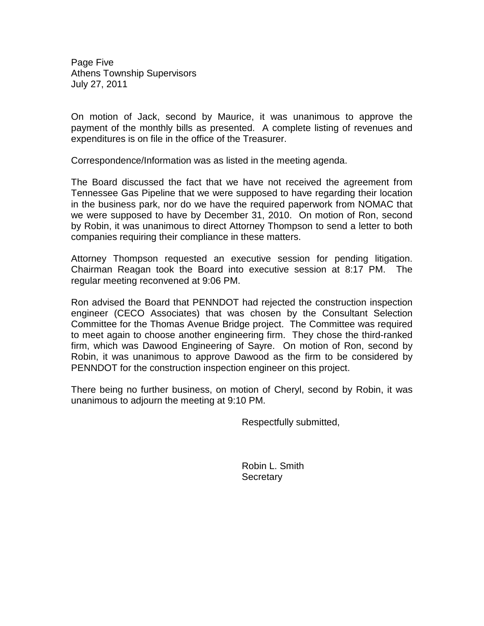Page Five Athens Township Supervisors July 27, 2011

On motion of Jack, second by Maurice, it was unanimous to approve the payment of the monthly bills as presented. A complete listing of revenues and expenditures is on file in the office of the Treasurer.

Correspondence/Information was as listed in the meeting agenda.

The Board discussed the fact that we have not received the agreement from Tennessee Gas Pipeline that we were supposed to have regarding their location in the business park, nor do we have the required paperwork from NOMAC that we were supposed to have by December 31, 2010. On motion of Ron, second by Robin, it was unanimous to direct Attorney Thompson to send a letter to both companies requiring their compliance in these matters.

Attorney Thompson requested an executive session for pending litigation. Chairman Reagan took the Board into executive session at 8:17 PM. The regular meeting reconvened at 9:06 PM.

Ron advised the Board that PENNDOT had rejected the construction inspection engineer (CECO Associates) that was chosen by the Consultant Selection Committee for the Thomas Avenue Bridge project. The Committee was required to meet again to choose another engineering firm. They chose the third-ranked firm, which was Dawood Engineering of Sayre. On motion of Ron, second by Robin, it was unanimous to approve Dawood as the firm to be considered by PENNDOT for the construction inspection engineer on this project.

There being no further business, on motion of Cheryl, second by Robin, it was unanimous to adjourn the meeting at 9:10 PM.

Respectfully submitted,

 Robin L. Smith Secretary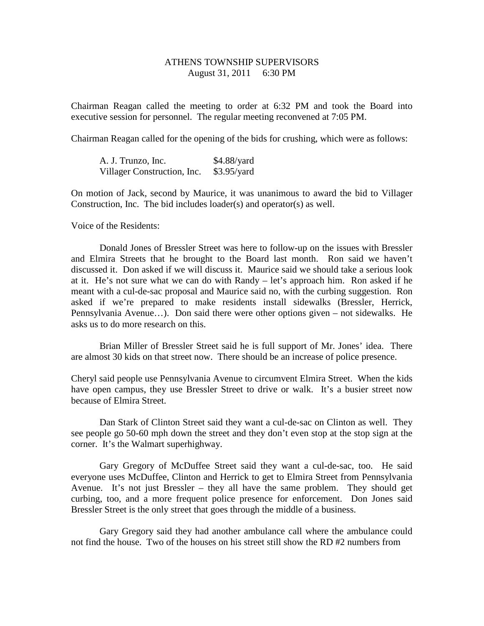## ATHENS TOWNSHIP SUPERVISORS August 31, 2011 6:30 PM

Chairman Reagan called the meeting to order at 6:32 PM and took the Board into executive session for personnel. The regular meeting reconvened at 7:05 PM.

Chairman Reagan called for the opening of the bids for crushing, which were as follows:

| A. J. Trunzo, Inc.          | $$4.88$ /yard |
|-----------------------------|---------------|
| Villager Construction, Inc. | $$3.95$ /yard |

On motion of Jack, second by Maurice, it was unanimous to award the bid to Villager Construction, Inc. The bid includes loader(s) and operator(s) as well.

Voice of the Residents:

 Donald Jones of Bressler Street was here to follow-up on the issues with Bressler and Elmira Streets that he brought to the Board last month. Ron said we haven't discussed it. Don asked if we will discuss it. Maurice said we should take a serious look at it. He's not sure what we can do with Randy – let's approach him. Ron asked if he meant with a cul-de-sac proposal and Maurice said no, with the curbing suggestion. Ron asked if we're prepared to make residents install sidewalks (Bressler, Herrick, Pennsylvania Avenue…). Don said there were other options given – not sidewalks. He asks us to do more research on this.

 Brian Miller of Bressler Street said he is full support of Mr. Jones' idea. There are almost 30 kids on that street now. There should be an increase of police presence.

Cheryl said people use Pennsylvania Avenue to circumvent Elmira Street. When the kids have open campus, they use Bressler Street to drive or walk. It's a busier street now because of Elmira Street.

 Dan Stark of Clinton Street said they want a cul-de-sac on Clinton as well. They see people go 50-60 mph down the street and they don't even stop at the stop sign at the corner. It's the Walmart superhighway.

 Gary Gregory of McDuffee Street said they want a cul-de-sac, too. He said everyone uses McDuffee, Clinton and Herrick to get to Elmira Street from Pennsylvania Avenue. It's not just Bressler – they all have the same problem. They should get curbing, too, and a more frequent police presence for enforcement. Don Jones said Bressler Street is the only street that goes through the middle of a business.

 Gary Gregory said they had another ambulance call where the ambulance could not find the house. Two of the houses on his street still show the RD #2 numbers from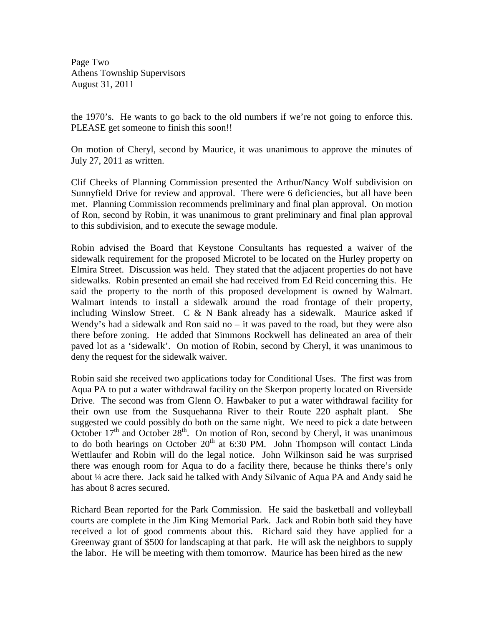Page Two Athens Township Supervisors August 31, 2011

the 1970's. He wants to go back to the old numbers if we're not going to enforce this. PLEASE get someone to finish this soon!!

On motion of Cheryl, second by Maurice, it was unanimous to approve the minutes of July 27, 2011 as written.

Clif Cheeks of Planning Commission presented the Arthur/Nancy Wolf subdivision on Sunnyfield Drive for review and approval. There were 6 deficiencies, but all have been met. Planning Commission recommends preliminary and final plan approval. On motion of Ron, second by Robin, it was unanimous to grant preliminary and final plan approval to this subdivision, and to execute the sewage module.

Robin advised the Board that Keystone Consultants has requested a waiver of the sidewalk requirement for the proposed Microtel to be located on the Hurley property on Elmira Street. Discussion was held. They stated that the adjacent properties do not have sidewalks. Robin presented an email she had received from Ed Reid concerning this. He said the property to the north of this proposed development is owned by Walmart. Walmart intends to install a sidewalk around the road frontage of their property, including Winslow Street.  $C & N$  Bank already has a sidewalk. Maurice asked if Wendy's had a sidewalk and Ron said  $no - it$  was paved to the road, but they were also there before zoning. He added that Simmons Rockwell has delineated an area of their paved lot as a 'sidewalk'. On motion of Robin, second by Cheryl, it was unanimous to deny the request for the sidewalk waiver.

Robin said she received two applications today for Conditional Uses. The first was from Aqua PA to put a water withdrawal facility on the Skerpon property located on Riverside Drive. The second was from Glenn O. Hawbaker to put a water withdrawal facility for their own use from the Susquehanna River to their Route 220 asphalt plant. She suggested we could possibly do both on the same night. We need to pick a date between October  $17<sup>th</sup>$  and October  $28<sup>th</sup>$ . On motion of Ron, second by Cheryl, it was unanimous to do both hearings on October  $20<sup>th</sup>$  at 6:30 PM. John Thompson will contact Linda Wettlaufer and Robin will do the legal notice. John Wilkinson said he was surprised there was enough room for Aqua to do a facility there, because he thinks there's only about ¼ acre there. Jack said he talked with Andy Silvanic of Aqua PA and Andy said he has about 8 acres secured.

Richard Bean reported for the Park Commission. He said the basketball and volleyball courts are complete in the Jim King Memorial Park. Jack and Robin both said they have received a lot of good comments about this. Richard said they have applied for a Greenway grant of \$500 for landscaping at that park. He will ask the neighbors to supply the labor. He will be meeting with them tomorrow. Maurice has been hired as the new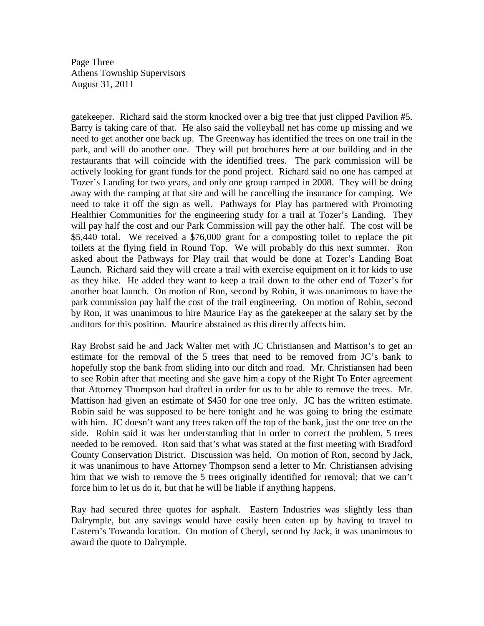Page Three Athens Township Supervisors August 31, 2011

gatekeeper. Richard said the storm knocked over a big tree that just clipped Pavilion #5. Barry is taking care of that. He also said the volleyball net has come up missing and we need to get another one back up. The Greenway has identified the trees on one trail in the park, and will do another one. They will put brochures here at our building and in the restaurants that will coincide with the identified trees. The park commission will be actively looking for grant funds for the pond project. Richard said no one has camped at Tozer's Landing for two years, and only one group camped in 2008. They will be doing away with the camping at that site and will be cancelling the insurance for camping. We need to take it off the sign as well. Pathways for Play has partnered with Promoting Healthier Communities for the engineering study for a trail at Tozer's Landing. They will pay half the cost and our Park Commission will pay the other half. The cost will be \$5,440 total. We received a \$76,000 grant for a composting toilet to replace the pit toilets at the flying field in Round Top. We will probably do this next summer. Ron asked about the Pathways for Play trail that would be done at Tozer's Landing Boat Launch. Richard said they will create a trail with exercise equipment on it for kids to use as they hike. He added they want to keep a trail down to the other end of Tozer's for another boat launch. On motion of Ron, second by Robin, it was unanimous to have the park commission pay half the cost of the trail engineering. On motion of Robin, second by Ron, it was unanimous to hire Maurice Fay as the gatekeeper at the salary set by the auditors for this position. Maurice abstained as this directly affects him.

Ray Brobst said he and Jack Walter met with JC Christiansen and Mattison's to get an estimate for the removal of the 5 trees that need to be removed from JC's bank to hopefully stop the bank from sliding into our ditch and road. Mr. Christiansen had been to see Robin after that meeting and she gave him a copy of the Right To Enter agreement that Attorney Thompson had drafted in order for us to be able to remove the trees. Mr. Mattison had given an estimate of \$450 for one tree only. JC has the written estimate. Robin said he was supposed to be here tonight and he was going to bring the estimate with him. JC doesn't want any trees taken off the top of the bank, just the one tree on the side. Robin said it was her understanding that in order to correct the problem, 5 trees needed to be removed. Ron said that's what was stated at the first meeting with Bradford County Conservation District. Discussion was held. On motion of Ron, second by Jack, it was unanimous to have Attorney Thompson send a letter to Mr. Christiansen advising him that we wish to remove the 5 trees originally identified for removal; that we can't force him to let us do it, but that he will be liable if anything happens.

Ray had secured three quotes for asphalt. Eastern Industries was slightly less than Dalrymple, but any savings would have easily been eaten up by having to travel to Eastern's Towanda location. On motion of Cheryl, second by Jack, it was unanimous to award the quote to Dalrymple.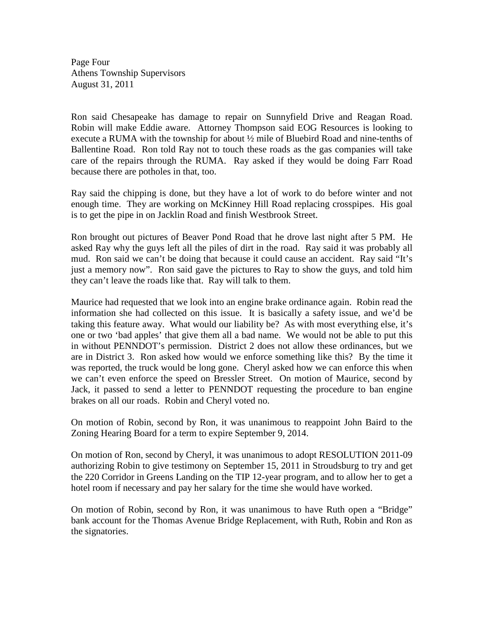Page Four Athens Township Supervisors August 31, 2011

Ron said Chesapeake has damage to repair on Sunnyfield Drive and Reagan Road. Robin will make Eddie aware. Attorney Thompson said EOG Resources is looking to execute a RUMA with the township for about ½ mile of Bluebird Road and nine-tenths of Ballentine Road. Ron told Ray not to touch these roads as the gas companies will take care of the repairs through the RUMA. Ray asked if they would be doing Farr Road because there are potholes in that, too.

Ray said the chipping is done, but they have a lot of work to do before winter and not enough time. They are working on McKinney Hill Road replacing crosspipes. His goal is to get the pipe in on Jacklin Road and finish Westbrook Street.

Ron brought out pictures of Beaver Pond Road that he drove last night after 5 PM. He asked Ray why the guys left all the piles of dirt in the road. Ray said it was probably all mud. Ron said we can't be doing that because it could cause an accident. Ray said "It's just a memory now". Ron said gave the pictures to Ray to show the guys, and told him they can't leave the roads like that. Ray will talk to them.

Maurice had requested that we look into an engine brake ordinance again. Robin read the information she had collected on this issue. It is basically a safety issue, and we'd be taking this feature away. What would our liability be? As with most everything else, it's one or two 'bad apples' that give them all a bad name. We would not be able to put this in without PENNDOT's permission. District 2 does not allow these ordinances, but we are in District 3. Ron asked how would we enforce something like this? By the time it was reported, the truck would be long gone. Cheryl asked how we can enforce this when we can't even enforce the speed on Bressler Street. On motion of Maurice, second by Jack, it passed to send a letter to PENNDOT requesting the procedure to ban engine brakes on all our roads. Robin and Cheryl voted no.

On motion of Robin, second by Ron, it was unanimous to reappoint John Baird to the Zoning Hearing Board for a term to expire September 9, 2014.

On motion of Ron, second by Cheryl, it was unanimous to adopt RESOLUTION 2011-09 authorizing Robin to give testimony on September 15, 2011 in Stroudsburg to try and get the 220 Corridor in Greens Landing on the TIP 12-year program, and to allow her to get a hotel room if necessary and pay her salary for the time she would have worked.

On motion of Robin, second by Ron, it was unanimous to have Ruth open a "Bridge" bank account for the Thomas Avenue Bridge Replacement, with Ruth, Robin and Ron as the signatories.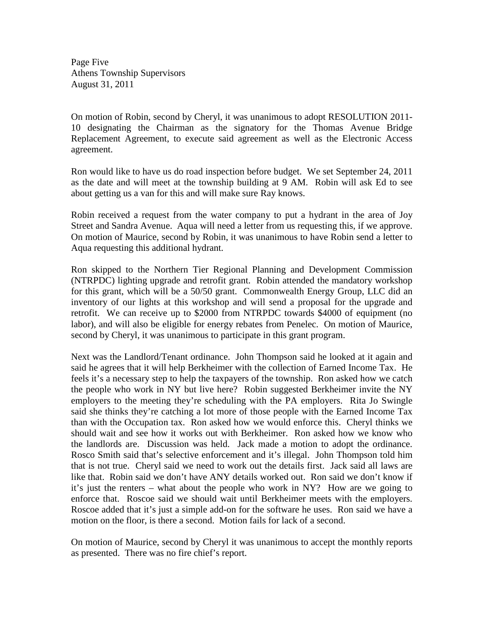Page Five Athens Township Supervisors August 31, 2011

On motion of Robin, second by Cheryl, it was unanimous to adopt RESOLUTION 2011- 10 designating the Chairman as the signatory for the Thomas Avenue Bridge Replacement Agreement, to execute said agreement as well as the Electronic Access agreement.

Ron would like to have us do road inspection before budget. We set September 24, 2011 as the date and will meet at the township building at 9 AM. Robin will ask Ed to see about getting us a van for this and will make sure Ray knows.

Robin received a request from the water company to put a hydrant in the area of Joy Street and Sandra Avenue. Aqua will need a letter from us requesting this, if we approve. On motion of Maurice, second by Robin, it was unanimous to have Robin send a letter to Aqua requesting this additional hydrant.

Ron skipped to the Northern Tier Regional Planning and Development Commission (NTRPDC) lighting upgrade and retrofit grant. Robin attended the mandatory workshop for this grant, which will be a 50/50 grant. Commonwealth Energy Group, LLC did an inventory of our lights at this workshop and will send a proposal for the upgrade and retrofit. We can receive up to \$2000 from NTRPDC towards \$4000 of equipment (no labor), and will also be eligible for energy rebates from Penelec. On motion of Maurice, second by Cheryl, it was unanimous to participate in this grant program.

Next was the Landlord/Tenant ordinance. John Thompson said he looked at it again and said he agrees that it will help Berkheimer with the collection of Earned Income Tax. He feels it's a necessary step to help the taxpayers of the township. Ron asked how we catch the people who work in NY but live here? Robin suggested Berkheimer invite the NY employers to the meeting they're scheduling with the PA employers. Rita Jo Swingle said she thinks they're catching a lot more of those people with the Earned Income Tax than with the Occupation tax. Ron asked how we would enforce this. Cheryl thinks we should wait and see how it works out with Berkheimer. Ron asked how we know who the landlords are. Discussion was held. Jack made a motion to adopt the ordinance. Rosco Smith said that's selective enforcement and it's illegal. John Thompson told him that is not true. Cheryl said we need to work out the details first. Jack said all laws are like that. Robin said we don't have ANY details worked out. Ron said we don't know if it's just the renters – what about the people who work in NY? How are we going to enforce that. Roscoe said we should wait until Berkheimer meets with the employers. Roscoe added that it's just a simple add-on for the software he uses. Ron said we have a motion on the floor, is there a second. Motion fails for lack of a second.

On motion of Maurice, second by Cheryl it was unanimous to accept the monthly reports as presented. There was no fire chief's report.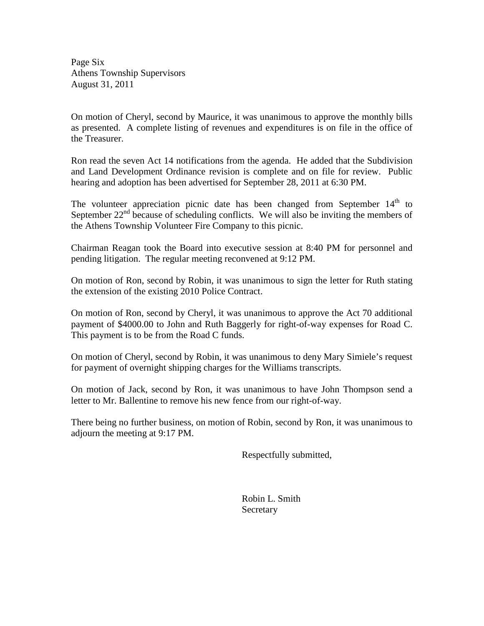Page Six Athens Township Supervisors August 31, 2011

On motion of Cheryl, second by Maurice, it was unanimous to approve the monthly bills as presented. A complete listing of revenues and expenditures is on file in the office of the Treasurer.

Ron read the seven Act 14 notifications from the agenda. He added that the Subdivision and Land Development Ordinance revision is complete and on file for review. Public hearing and adoption has been advertised for September 28, 2011 at 6:30 PM.

The volunteer appreciation picnic date has been changed from September  $14<sup>th</sup>$  to September  $22<sup>nd</sup>$  because of scheduling conflicts. We will also be inviting the members of the Athens Township Volunteer Fire Company to this picnic.

Chairman Reagan took the Board into executive session at 8:40 PM for personnel and pending litigation. The regular meeting reconvened at 9:12 PM.

On motion of Ron, second by Robin, it was unanimous to sign the letter for Ruth stating the extension of the existing 2010 Police Contract.

On motion of Ron, second by Cheryl, it was unanimous to approve the Act 70 additional payment of \$4000.00 to John and Ruth Baggerly for right-of-way expenses for Road C. This payment is to be from the Road C funds.

On motion of Cheryl, second by Robin, it was unanimous to deny Mary Simiele's request for payment of overnight shipping charges for the Williams transcripts.

On motion of Jack, second by Ron, it was unanimous to have John Thompson send a letter to Mr. Ballentine to remove his new fence from our right-of-way.

There being no further business, on motion of Robin, second by Ron, it was unanimous to adjourn the meeting at 9:17 PM.

Respectfully submitted,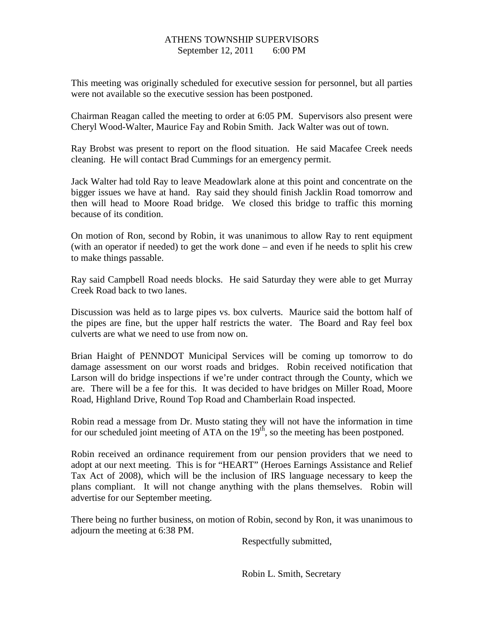# ATHENS TOWNSHIP SUPERVISORS September 12, 2011 6:00 PM

This meeting was originally scheduled for executive session for personnel, but all parties were not available so the executive session has been postponed.

Chairman Reagan called the meeting to order at 6:05 PM. Supervisors also present were Cheryl Wood-Walter, Maurice Fay and Robin Smith. Jack Walter was out of town.

Ray Brobst was present to report on the flood situation. He said Macafee Creek needs cleaning. He will contact Brad Cummings for an emergency permit.

Jack Walter had told Ray to leave Meadowlark alone at this point and concentrate on the bigger issues we have at hand. Ray said they should finish Jacklin Road tomorrow and then will head to Moore Road bridge. We closed this bridge to traffic this morning because of its condition.

On motion of Ron, second by Robin, it was unanimous to allow Ray to rent equipment (with an operator if needed) to get the work done – and even if he needs to split his crew to make things passable.

Ray said Campbell Road needs blocks. He said Saturday they were able to get Murray Creek Road back to two lanes.

Discussion was held as to large pipes vs. box culverts. Maurice said the bottom half of the pipes are fine, but the upper half restricts the water. The Board and Ray feel box culverts are what we need to use from now on.

Brian Haight of PENNDOT Municipal Services will be coming up tomorrow to do damage assessment on our worst roads and bridges. Robin received notification that Larson will do bridge inspections if we're under contract through the County, which we are. There will be a fee for this. It was decided to have bridges on Miller Road, Moore Road, Highland Drive, Round Top Road and Chamberlain Road inspected.

Robin read a message from Dr. Musto stating they will not have the information in time for our scheduled joint meeting of ATA on the  $19<sup>th</sup>$ , so the meeting has been postponed.

Robin received an ordinance requirement from our pension providers that we need to adopt at our next meeting. This is for "HEART" (Heroes Earnings Assistance and Relief Tax Act of 2008), which will be the inclusion of IRS language necessary to keep the plans compliant. It will not change anything with the plans themselves. Robin will advertise for our September meeting.

There being no further business, on motion of Robin, second by Ron, it was unanimous to adjourn the meeting at 6:38 PM.

Respectfully submitted,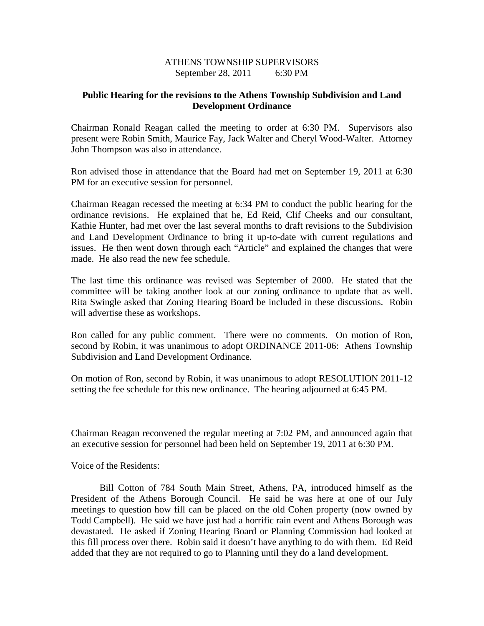# ATHENS TOWNSHIP SUPERVISORS September 28, 2011 6:30 PM

#### **Public Hearing for the revisions to the Athens Township Subdivision and Land Development Ordinance**

Chairman Ronald Reagan called the meeting to order at 6:30 PM. Supervisors also present were Robin Smith, Maurice Fay, Jack Walter and Cheryl Wood-Walter. Attorney John Thompson was also in attendance.

Ron advised those in attendance that the Board had met on September 19, 2011 at 6:30 PM for an executive session for personnel.

Chairman Reagan recessed the meeting at 6:34 PM to conduct the public hearing for the ordinance revisions. He explained that he, Ed Reid, Clif Cheeks and our consultant, Kathie Hunter, had met over the last several months to draft revisions to the Subdivision and Land Development Ordinance to bring it up-to-date with current regulations and issues. He then went down through each "Article" and explained the changes that were made. He also read the new fee schedule.

The last time this ordinance was revised was September of 2000. He stated that the committee will be taking another look at our zoning ordinance to update that as well. Rita Swingle asked that Zoning Hearing Board be included in these discussions. Robin will advertise these as workshops.

Ron called for any public comment. There were no comments. On motion of Ron, second by Robin, it was unanimous to adopt ORDINANCE 2011-06: Athens Township Subdivision and Land Development Ordinance.

On motion of Ron, second by Robin, it was unanimous to adopt RESOLUTION 2011-12 setting the fee schedule for this new ordinance. The hearing adjourned at 6:45 PM.

Chairman Reagan reconvened the regular meeting at 7:02 PM, and announced again that an executive session for personnel had been held on September 19, 2011 at 6:30 PM.

Voice of the Residents:

 Bill Cotton of 784 South Main Street, Athens, PA, introduced himself as the President of the Athens Borough Council. He said he was here at one of our July meetings to question how fill can be placed on the old Cohen property (now owned by Todd Campbell). He said we have just had a horrific rain event and Athens Borough was devastated. He asked if Zoning Hearing Board or Planning Commission had looked at this fill process over there. Robin said it doesn't have anything to do with them. Ed Reid added that they are not required to go to Planning until they do a land development.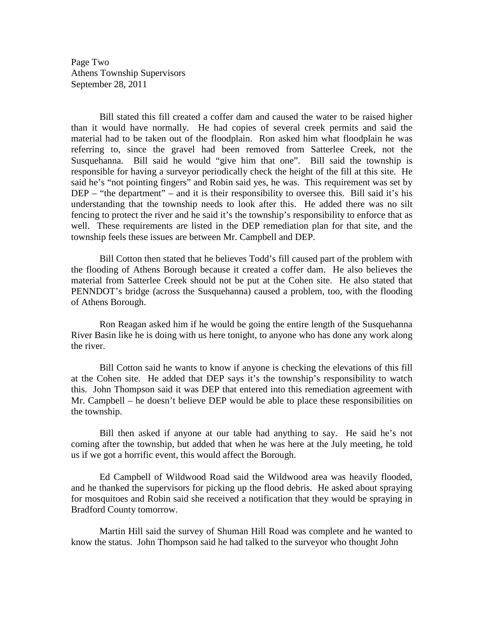Page Two Athens Township Supervisors September 28, 2011

 Bill stated this fill created a coffer dam and caused the water to be raised higher than it would have normally. He had copies of several creek permits and said the material had to be taken out of the floodplain. Ron asked him what floodplain he was referring to, since the gravel had been removed from Satterlee Creek, not the Susquehanna. Bill said he would "give him that one". Bill said the township is responsible for having a surveyor periodically check the height of the fill at this site. He said he's "not pointing fingers" and Robin said yes, he was. This requirement was set by DEP – "the department" – and it is their responsibility to oversee this. Bill said it's his understanding that the township needs to look after this. He added there was no silt fencing to protect the river and he said it's the township's responsibility to enforce that as well. These requirements are listed in the DEP remediation plan for that site, and the township feels these issues are between Mr. Campbell and DEP.

 Bill Cotton then stated that he believes Todd's fill caused part of the problem with the flooding of Athens Borough because it created a coffer dam. He also believes the material from Satterlee Creek should not be put at the Cohen site. He also stated that PENNDOT's bridge (across the Susquehanna) caused a problem, too, with the flooding of Athens Borough.

 Ron Reagan asked him if he would be going the entire length of the Susquehanna River Basin like he is doing with us here tonight, to anyone who has done any work along the river.

 Bill Cotton said he wants to know if anyone is checking the elevations of this fill at the Cohen site. He added that DEP says it's the township's responsibility to watch this. John Thompson said it was DEP that entered into this remediation agreement with Mr. Campbell – he doesn't believe DEP would be able to place these responsibilities on the township.

 Bill then asked if anyone at our table had anything to say. He said he's not coming after the township, but added that when he was here at the July meeting, he told us if we got a horrific event, this would affect the Borough.

 Ed Campbell of Wildwood Road said the Wildwood area was heavily flooded, and he thanked the supervisors for picking up the flood debris. He asked about spraying for mosquitoes and Robin said she received a notification that they would be spraying in Bradford County tomorrow.

 Martin Hill said the survey of Shuman Hill Road was complete and he wanted to know the status. John Thompson said he had talked to the surveyor who thought John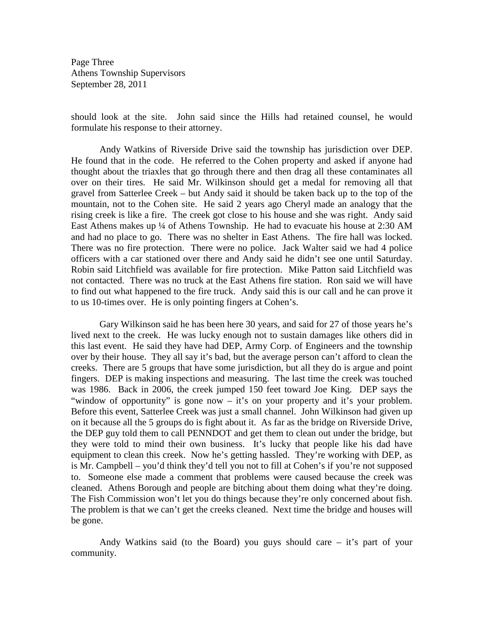Page Three Athens Township Supervisors September 28, 2011

should look at the site. John said since the Hills had retained counsel, he would formulate his response to their attorney.

 Andy Watkins of Riverside Drive said the township has jurisdiction over DEP. He found that in the code. He referred to the Cohen property and asked if anyone had thought about the triaxles that go through there and then drag all these contaminates all over on their tires. He said Mr. Wilkinson should get a medal for removing all that gravel from Satterlee Creek – but Andy said it should be taken back up to the top of the mountain, not to the Cohen site. He said 2 years ago Cheryl made an analogy that the rising creek is like a fire. The creek got close to his house and she was right. Andy said East Athens makes up ¼ of Athens Township. He had to evacuate his house at 2:30 AM and had no place to go. There was no shelter in East Athens. The fire hall was locked. There was no fire protection. There were no police. Jack Walter said we had 4 police officers with a car stationed over there and Andy said he didn't see one until Saturday. Robin said Litchfield was available for fire protection. Mike Patton said Litchfield was not contacted. There was no truck at the East Athens fire station. Ron said we will have to find out what happened to the fire truck. Andy said this is our call and he can prove it to us 10-times over. He is only pointing fingers at Cohen's.

 Gary Wilkinson said he has been here 30 years, and said for 27 of those years he's lived next to the creek. He was lucky enough not to sustain damages like others did in this last event. He said they have had DEP, Army Corp. of Engineers and the township over by their house. They all say it's bad, but the average person can't afford to clean the creeks. There are 5 groups that have some jurisdiction, but all they do is argue and point fingers. DEP is making inspections and measuring. The last time the creek was touched was 1986. Back in 2006, the creek jumped 150 feet toward Joe King. DEP says the "window of opportunity" is gone now – it's on your property and it's your problem. Before this event, Satterlee Creek was just a small channel. John Wilkinson had given up on it because all the 5 groups do is fight about it. As far as the bridge on Riverside Drive, the DEP guy told them to call PENNDOT and get them to clean out under the bridge, but they were told to mind their own business. It's lucky that people like his dad have equipment to clean this creek. Now he's getting hassled. They're working with DEP, as is Mr. Campbell – you'd think they'd tell you not to fill at Cohen's if you're not supposed to. Someone else made a comment that problems were caused because the creek was cleaned. Athens Borough and people are bitching about them doing what they're doing. The Fish Commission won't let you do things because they're only concerned about fish. The problem is that we can't get the creeks cleaned. Next time the bridge and houses will be gone.

 Andy Watkins said (to the Board) you guys should care – it's part of your community.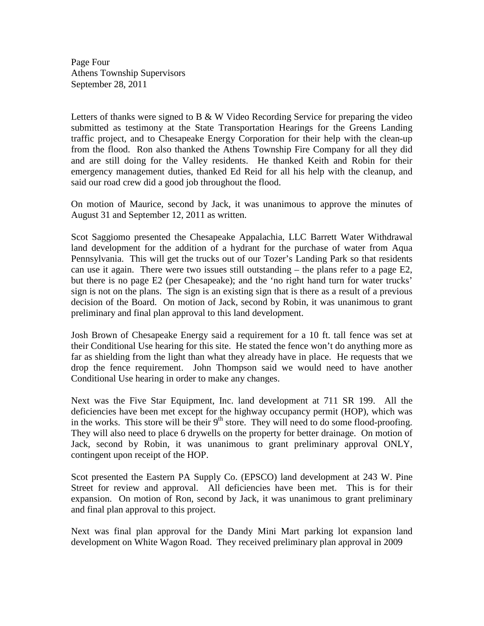Page Four Athens Township Supervisors September 28, 2011

Letters of thanks were signed to  $B \& W$  Video Recording Service for preparing the video submitted as testimony at the State Transportation Hearings for the Greens Landing traffic project, and to Chesapeake Energy Corporation for their help with the clean-up from the flood. Ron also thanked the Athens Township Fire Company for all they did and are still doing for the Valley residents. He thanked Keith and Robin for their emergency management duties, thanked Ed Reid for all his help with the cleanup, and said our road crew did a good job throughout the flood.

On motion of Maurice, second by Jack, it was unanimous to approve the minutes of August 31 and September 12, 2011 as written.

Scot Saggiomo presented the Chesapeake Appalachia, LLC Barrett Water Withdrawal land development for the addition of a hydrant for the purchase of water from Aqua Pennsylvania. This will get the trucks out of our Tozer's Landing Park so that residents can use it again. There were two issues still outstanding – the plans refer to a page E2, but there is no page E2 (per Chesapeake); and the 'no right hand turn for water trucks' sign is not on the plans. The sign is an existing sign that is there as a result of a previous decision of the Board. On motion of Jack, second by Robin, it was unanimous to grant preliminary and final plan approval to this land development.

Josh Brown of Chesapeake Energy said a requirement for a 10 ft. tall fence was set at their Conditional Use hearing for this site. He stated the fence won't do anything more as far as shielding from the light than what they already have in place. He requests that we drop the fence requirement. John Thompson said we would need to have another Conditional Use hearing in order to make any changes.

Next was the Five Star Equipment, Inc. land development at 711 SR 199. All the deficiencies have been met except for the highway occupancy permit (HOP), which was in the works. This store will be their  $9<sup>th</sup>$  store. They will need to do some flood-proofing. They will also need to place 6 drywells on the property for better drainage. On motion of Jack, second by Robin, it was unanimous to grant preliminary approval ONLY, contingent upon receipt of the HOP.

Scot presented the Eastern PA Supply Co. (EPSCO) land development at 243 W. Pine Street for review and approval. All deficiencies have been met. This is for their expansion. On motion of Ron, second by Jack, it was unanimous to grant preliminary and final plan approval to this project.

Next was final plan approval for the Dandy Mini Mart parking lot expansion land development on White Wagon Road. They received preliminary plan approval in 2009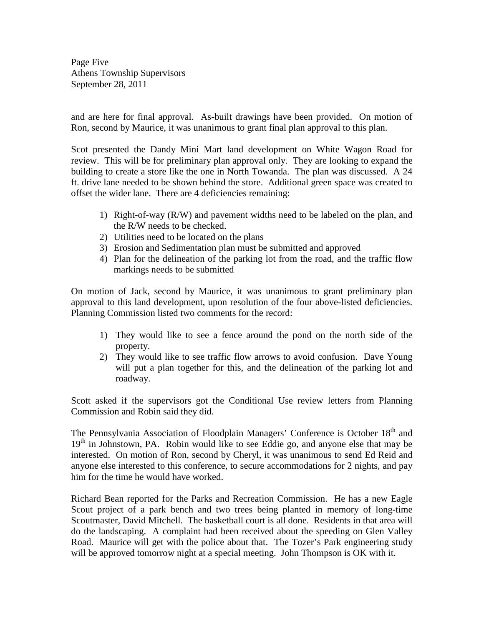Page Five Athens Township Supervisors September 28, 2011

and are here for final approval. As-built drawings have been provided. On motion of Ron, second by Maurice, it was unanimous to grant final plan approval to this plan.

Scot presented the Dandy Mini Mart land development on White Wagon Road for review. This will be for preliminary plan approval only. They are looking to expand the building to create a store like the one in North Towanda. The plan was discussed. A 24 ft. drive lane needed to be shown behind the store. Additional green space was created to offset the wider lane. There are 4 deficiencies remaining:

- 1) Right-of-way (R/W) and pavement widths need to be labeled on the plan, and the R/W needs to be checked.
- 2) Utilities need to be located on the plans
- 3) Erosion and Sedimentation plan must be submitted and approved
- 4) Plan for the delineation of the parking lot from the road, and the traffic flow markings needs to be submitted

On motion of Jack, second by Maurice, it was unanimous to grant preliminary plan approval to this land development, upon resolution of the four above-listed deficiencies. Planning Commission listed two comments for the record:

- 1) They would like to see a fence around the pond on the north side of the property.
- 2) They would like to see traffic flow arrows to avoid confusion. Dave Young will put a plan together for this, and the delineation of the parking lot and roadway.

Scott asked if the supervisors got the Conditional Use review letters from Planning Commission and Robin said they did.

The Pennsylvania Association of Floodplain Managers' Conference is October 18<sup>th</sup> and  $19<sup>th</sup>$  in Johnstown, PA. Robin would like to see Eddie go, and anyone else that may be interested. On motion of Ron, second by Cheryl, it was unanimous to send Ed Reid and anyone else interested to this conference, to secure accommodations for 2 nights, and pay him for the time he would have worked.

Richard Bean reported for the Parks and Recreation Commission. He has a new Eagle Scout project of a park bench and two trees being planted in memory of long-time Scoutmaster, David Mitchell. The basketball court is all done. Residents in that area will do the landscaping. A complaint had been received about the speeding on Glen Valley Road. Maurice will get with the police about that. The Tozer's Park engineering study will be approved tomorrow night at a special meeting. John Thompson is OK with it.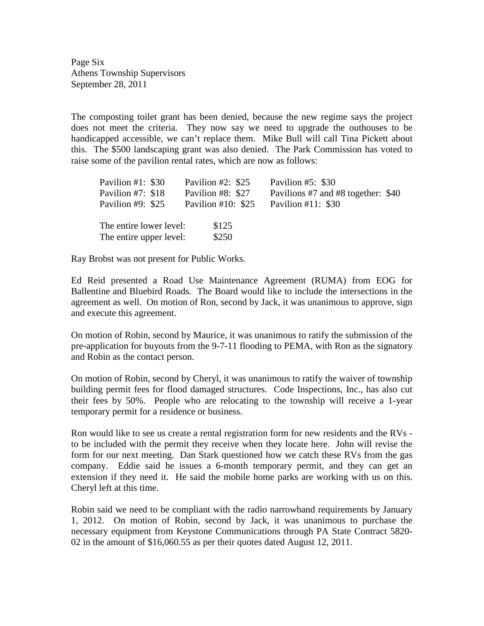Page Six Athens Township Supervisors September 28, 2011

The composting toilet grant has been denied, because the new regime says the project does not meet the criteria. They now say we need to upgrade the outhouses to be handicapped accessible, we can't replace them. Mike Bull will call Tina Pickett about this. The \$500 landscaping grant was also denied. The Park Commission has voted to raise some of the pavilion rental rates, which are now as follows:

| Pavilion #1: $$30$<br>Pavilion $#7: $18$<br>Pavilion #9: $$25$ | Pavilion #2: $$25$<br>Pavilion #8: \$27<br>Pavilion #10: $$25$ | Pavilion #5: \$30<br>Pavilions #7 and #8 together: \$40<br>Pavilion #11: $$30$ |  |
|----------------------------------------------------------------|----------------------------------------------------------------|--------------------------------------------------------------------------------|--|
|                                                                |                                                                |                                                                                |  |
| The entire lower level:                                        | \$125                                                          |                                                                                |  |
| The entire upper level:                                        | \$250                                                          |                                                                                |  |

Ray Brobst was not present for Public Works.

Ed Reid presented a Road Use Maintenance Agreement (RUMA) from EOG for Ballentine and Bluebird Roads. The Board would like to include the intersections in the agreement as well. On motion of Ron, second by Jack, it was unanimous to approve, sign and execute this agreement.

On motion of Robin, second by Maurice, it was unanimous to ratify the submission of the pre-application for buyouts from the 9-7-11 flooding to PEMA, with Ron as the signatory and Robin as the contact person.

On motion of Robin, second by Cheryl, it was unanimous to ratify the waiver of township building permit fees for flood damaged structures. Code Inspections, Inc., has also cut their fees by 50%. People who are relocating to the township will receive a 1-year temporary permit for a residence or business.

Ron would like to see us create a rental registration form for new residents and the RVs to be included with the permit they receive when they locate here. John will revise the form for our next meeting. Dan Stark questioned how we catch these RVs from the gas company. Eddie said he issues a 6-month temporary permit, and they can get an extension if they need it. He said the mobile home parks are working with us on this. Cheryl left at this time.

Robin said we need to be compliant with the radio narrowband requirements by January 1, 2012. On motion of Robin, second by Jack, it was unanimous to purchase the necessary equipment from Keystone Communications through PA State Contract 5820- 02 in the amount of \$16,060.55 as per their quotes dated August 12, 2011.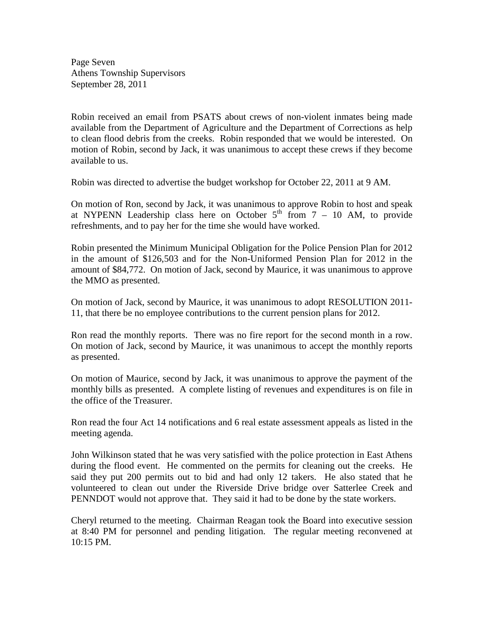Page Seven Athens Township Supervisors September 28, 2011

Robin received an email from PSATS about crews of non-violent inmates being made available from the Department of Agriculture and the Department of Corrections as help to clean flood debris from the creeks. Robin responded that we would be interested. On motion of Robin, second by Jack, it was unanimous to accept these crews if they become available to us.

Robin was directed to advertise the budget workshop for October 22, 2011 at 9 AM.

On motion of Ron, second by Jack, it was unanimous to approve Robin to host and speak at NYPENN Leadership class here on October  $5<sup>th</sup>$  from  $7 - 10$  AM, to provide refreshments, and to pay her for the time she would have worked.

Robin presented the Minimum Municipal Obligation for the Police Pension Plan for 2012 in the amount of \$126,503 and for the Non-Uniformed Pension Plan for 2012 in the amount of \$84,772. On motion of Jack, second by Maurice, it was unanimous to approve the MMO as presented.

On motion of Jack, second by Maurice, it was unanimous to adopt RESOLUTION 2011- 11, that there be no employee contributions to the current pension plans for 2012.

Ron read the monthly reports. There was no fire report for the second month in a row. On motion of Jack, second by Maurice, it was unanimous to accept the monthly reports as presented.

On motion of Maurice, second by Jack, it was unanimous to approve the payment of the monthly bills as presented. A complete listing of revenues and expenditures is on file in the office of the Treasurer.

Ron read the four Act 14 notifications and 6 real estate assessment appeals as listed in the meeting agenda.

John Wilkinson stated that he was very satisfied with the police protection in East Athens during the flood event. He commented on the permits for cleaning out the creeks. He said they put 200 permits out to bid and had only 12 takers. He also stated that he volunteered to clean out under the Riverside Drive bridge over Satterlee Creek and PENNDOT would not approve that. They said it had to be done by the state workers.

Cheryl returned to the meeting. Chairman Reagan took the Board into executive session at 8:40 PM for personnel and pending litigation. The regular meeting reconvened at 10:15 PM.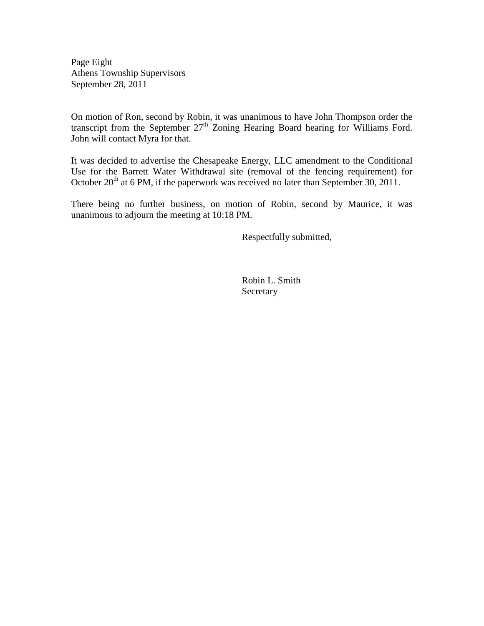Page Eight Athens Township Supervisors September 28, 2011

On motion of Ron, second by Robin, it was unanimous to have John Thompson order the transcript from the September  $27<sup>th</sup>$  Zoning Hearing Board hearing for Williams Ford. John will contact Myra for that.

It was decided to advertise the Chesapeake Energy, LLC amendment to the Conditional Use for the Barrett Water Withdrawal site (removal of the fencing requirement) for October  $20<sup>th</sup>$  at 6 PM, if the paperwork was received no later than September 30, 2011.

There being no further business, on motion of Robin, second by Maurice, it was unanimous to adjourn the meeting at 10:18 PM.

Respectfully submitted,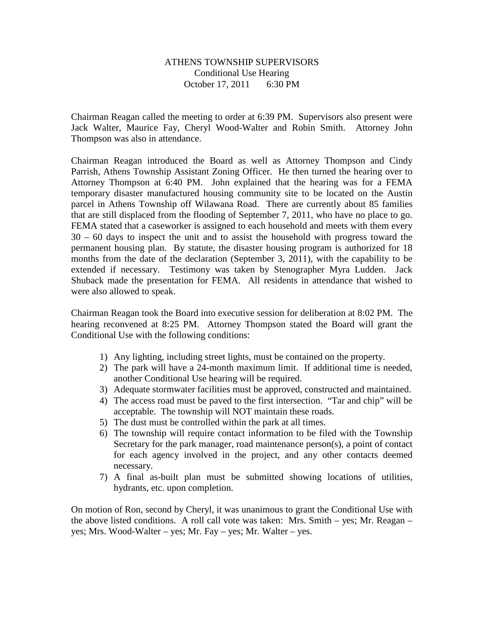# ATHENS TOWNSHIP SUPERVISORS Conditional Use Hearing October 17, 2011 6:30 PM

Chairman Reagan called the meeting to order at 6:39 PM. Supervisors also present were Jack Walter, Maurice Fay, Cheryl Wood-Walter and Robin Smith. Attorney John Thompson was also in attendance.

Chairman Reagan introduced the Board as well as Attorney Thompson and Cindy Parrish, Athens Township Assistant Zoning Officer. He then turned the hearing over to Attorney Thompson at 6:40 PM. John explained that the hearing was for a FEMA temporary disaster manufactured housing community site to be located on the Austin parcel in Athens Township off Wilawana Road. There are currently about 85 families that are still displaced from the flooding of September 7, 2011, who have no place to go. FEMA stated that a caseworker is assigned to each household and meets with them every 30 – 60 days to inspect the unit and to assist the household with progress toward the permanent housing plan. By statute, the disaster housing program is authorized for 18 months from the date of the declaration (September 3, 2011), with the capability to be extended if necessary. Testimony was taken by Stenographer Myra Ludden. Jack Shuback made the presentation for FEMA. All residents in attendance that wished to were also allowed to speak.

Chairman Reagan took the Board into executive session for deliberation at 8:02 PM. The hearing reconvened at 8:25 PM. Attorney Thompson stated the Board will grant the Conditional Use with the following conditions:

- 1) Any lighting, including street lights, must be contained on the property.
- 2) The park will have a 24-month maximum limit. If additional time is needed, another Conditional Use hearing will be required.
- 3) Adequate stormwater facilities must be approved, constructed and maintained.
- 4) The access road must be paved to the first intersection. "Tar and chip" will be acceptable. The township will NOT maintain these roads.
- 5) The dust must be controlled within the park at all times.
- 6) The township will require contact information to be filed with the Township Secretary for the park manager, road maintenance person(s), a point of contact for each agency involved in the project, and any other contacts deemed necessary.
- 7) A final as-built plan must be submitted showing locations of utilities, hydrants, etc. upon completion.

On motion of Ron, second by Cheryl, it was unanimous to grant the Conditional Use with the above listed conditions. A roll call vote was taken: Mrs. Smith – yes; Mr. Reagan – yes; Mrs. Wood-Walter – yes; Mr. Fay – yes; Mr. Walter – yes.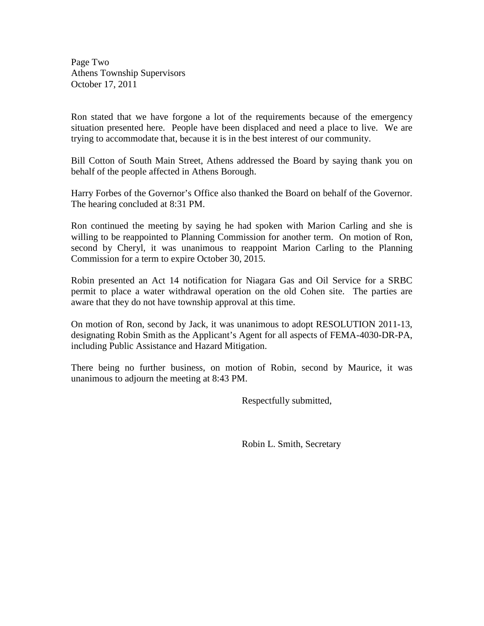Page Two Athens Township Supervisors October 17, 2011

Ron stated that we have forgone a lot of the requirements because of the emergency situation presented here. People have been displaced and need a place to live. We are trying to accommodate that, because it is in the best interest of our community.

Bill Cotton of South Main Street, Athens addressed the Board by saying thank you on behalf of the people affected in Athens Borough.

Harry Forbes of the Governor's Office also thanked the Board on behalf of the Governor. The hearing concluded at 8:31 PM.

Ron continued the meeting by saying he had spoken with Marion Carling and she is willing to be reappointed to Planning Commission for another term. On motion of Ron, second by Cheryl, it was unanimous to reappoint Marion Carling to the Planning Commission for a term to expire October 30, 2015.

Robin presented an Act 14 notification for Niagara Gas and Oil Service for a SRBC permit to place a water withdrawal operation on the old Cohen site. The parties are aware that they do not have township approval at this time.

On motion of Ron, second by Jack, it was unanimous to adopt RESOLUTION 2011-13, designating Robin Smith as the Applicant's Agent for all aspects of FEMA-4030-DR-PA, including Public Assistance and Hazard Mitigation.

There being no further business, on motion of Robin, second by Maurice, it was unanimous to adjourn the meeting at 8:43 PM.

Respectfully submitted,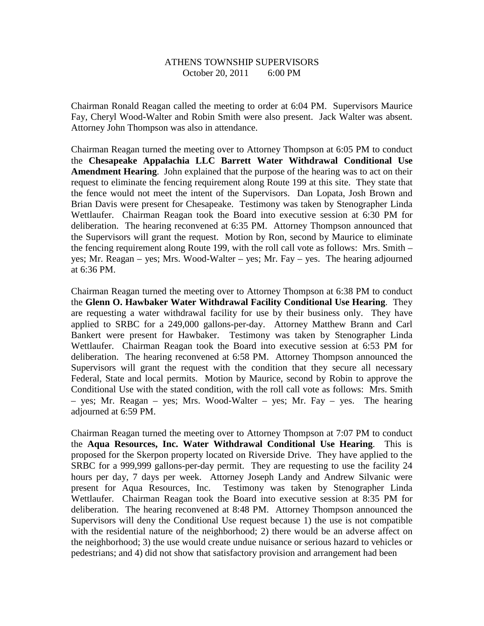## ATHENS TOWNSHIP SUPERVISORS October 20, 2011 6:00 PM

Chairman Ronald Reagan called the meeting to order at 6:04 PM. Supervisors Maurice Fay, Cheryl Wood-Walter and Robin Smith were also present. Jack Walter was absent. Attorney John Thompson was also in attendance.

Chairman Reagan turned the meeting over to Attorney Thompson at 6:05 PM to conduct the **Chesapeake Appalachia LLC Barrett Water Withdrawal Conditional Use Amendment Hearing**. John explained that the purpose of the hearing was to act on their request to eliminate the fencing requirement along Route 199 at this site. They state that the fence would not meet the intent of the Supervisors. Dan Lopata, Josh Brown and Brian Davis were present for Chesapeake. Testimony was taken by Stenographer Linda Wettlaufer. Chairman Reagan took the Board into executive session at 6:30 PM for deliberation. The hearing reconvened at 6:35 PM. Attorney Thompson announced that the Supervisors will grant the request. Motion by Ron, second by Maurice to eliminate the fencing requirement along Route 199, with the roll call vote as follows: Mrs. Smith – yes; Mr. Reagan – yes; Mrs. Wood-Walter – yes; Mr. Fay – yes. The hearing adjourned at 6:36 PM.

Chairman Reagan turned the meeting over to Attorney Thompson at 6:38 PM to conduct the **Glenn O. Hawbaker Water Withdrawal Facility Conditional Use Hearing**. They are requesting a water withdrawal facility for use by their business only. They have applied to SRBC for a 249,000 gallons-per-day. Attorney Matthew Brann and Carl Bankert were present for Hawbaker. Testimony was taken by Stenographer Linda Wettlaufer. Chairman Reagan took the Board into executive session at 6:53 PM for deliberation. The hearing reconvened at 6:58 PM. Attorney Thompson announced the Supervisors will grant the request with the condition that they secure all necessary Federal, State and local permits. Motion by Maurice, second by Robin to approve the Conditional Use with the stated condition, with the roll call vote as follows: Mrs. Smith – yes; Mr. Reagan – yes; Mrs. Wood-Walter – yes; Mr. Fay – yes. The hearing adjourned at 6:59 PM.

Chairman Reagan turned the meeting over to Attorney Thompson at 7:07 PM to conduct the **Aqua Resources, Inc. Water Withdrawal Conditional Use Hearing**. This is proposed for the Skerpon property located on Riverside Drive. They have applied to the SRBC for a 999,999 gallons-per-day permit. They are requesting to use the facility 24 hours per day, 7 days per week. Attorney Joseph Landy and Andrew Silvanic were present for Aqua Resources, Inc. Testimony was taken by Stenographer Linda Wettlaufer. Chairman Reagan took the Board into executive session at 8:35 PM for deliberation. The hearing reconvened at 8:48 PM. Attorney Thompson announced the Supervisors will deny the Conditional Use request because 1) the use is not compatible with the residential nature of the neighborhood; 2) there would be an adverse affect on the neighborhood; 3) the use would create undue nuisance or serious hazard to vehicles or pedestrians; and 4) did not show that satisfactory provision and arrangement had been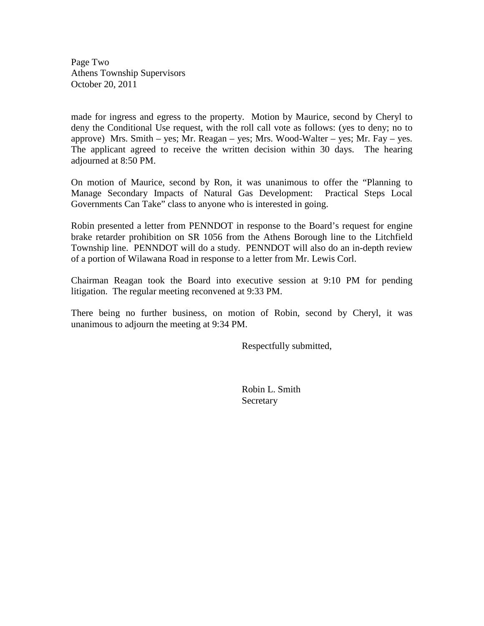Page Two Athens Township Supervisors October 20, 2011

made for ingress and egress to the property. Motion by Maurice, second by Cheryl to deny the Conditional Use request, with the roll call vote as follows: (yes to deny; no to approve) Mrs. Smith – yes; Mr. Reagan – yes; Mrs. Wood-Walter – yes; Mr. Fay – yes. The applicant agreed to receive the written decision within 30 days. The hearing adjourned at 8:50 PM.

On motion of Maurice, second by Ron, it was unanimous to offer the "Planning to Manage Secondary Impacts of Natural Gas Development: Practical Steps Local Governments Can Take" class to anyone who is interested in going.

Robin presented a letter from PENNDOT in response to the Board's request for engine brake retarder prohibition on SR 1056 from the Athens Borough line to the Litchfield Township line. PENNDOT will do a study. PENNDOT will also do an in-depth review of a portion of Wilawana Road in response to a letter from Mr. Lewis Corl.

Chairman Reagan took the Board into executive session at 9:10 PM for pending litigation. The regular meeting reconvened at 9:33 PM.

There being no further business, on motion of Robin, second by Cheryl, it was unanimous to adjourn the meeting at 9:34 PM.

Respectfully submitted,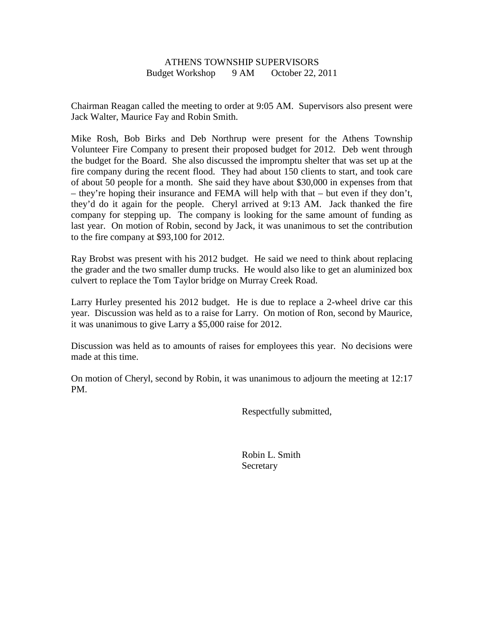# ATHENS TOWNSHIP SUPERVISORS Budget Workshop 9 AM October 22, 2011

Chairman Reagan called the meeting to order at 9:05 AM. Supervisors also present were Jack Walter, Maurice Fay and Robin Smith.

Mike Rosh, Bob Birks and Deb Northrup were present for the Athens Township Volunteer Fire Company to present their proposed budget for 2012. Deb went through the budget for the Board. She also discussed the impromptu shelter that was set up at the fire company during the recent flood. They had about 150 clients to start, and took care of about 50 people for a month. She said they have about \$30,000 in expenses from that – they're hoping their insurance and FEMA will help with that – but even if they don't, they'd do it again for the people. Cheryl arrived at 9:13 AM. Jack thanked the fire company for stepping up. The company is looking for the same amount of funding as last year. On motion of Robin, second by Jack, it was unanimous to set the contribution to the fire company at \$93,100 for 2012.

Ray Brobst was present with his 2012 budget. He said we need to think about replacing the grader and the two smaller dump trucks. He would also like to get an aluminized box culvert to replace the Tom Taylor bridge on Murray Creek Road.

Larry Hurley presented his 2012 budget. He is due to replace a 2-wheel drive car this year. Discussion was held as to a raise for Larry. On motion of Ron, second by Maurice, it was unanimous to give Larry a \$5,000 raise for 2012.

Discussion was held as to amounts of raises for employees this year. No decisions were made at this time.

On motion of Cheryl, second by Robin, it was unanimous to adjourn the meeting at 12:17 PM.

Respectfully submitted,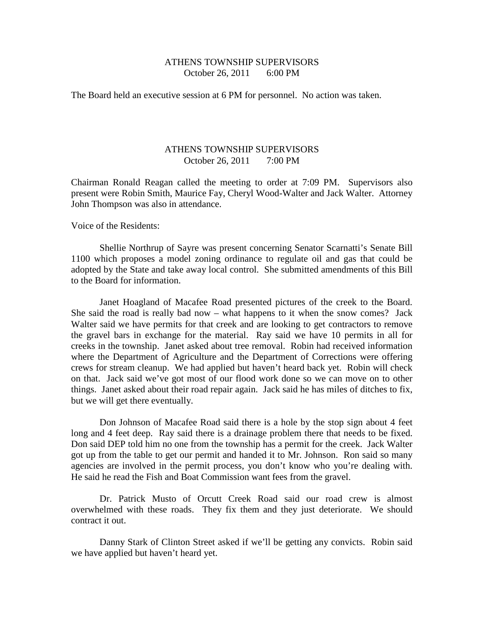### ATHENS TOWNSHIP SUPERVISORS October 26, 2011 6:00 PM

The Board held an executive session at 6 PM for personnel. No action was taken.

### ATHENS TOWNSHIP SUPERVISORS October 26, 2011 7:00 PM

Chairman Ronald Reagan called the meeting to order at 7:09 PM. Supervisors also present were Robin Smith, Maurice Fay, Cheryl Wood-Walter and Jack Walter. Attorney John Thompson was also in attendance.

Voice of the Residents:

 Shellie Northrup of Sayre was present concerning Senator Scarnatti's Senate Bill 1100 which proposes a model zoning ordinance to regulate oil and gas that could be adopted by the State and take away local control. She submitted amendments of this Bill to the Board for information.

 Janet Hoagland of Macafee Road presented pictures of the creek to the Board. She said the road is really bad now – what happens to it when the snow comes? Jack Walter said we have permits for that creek and are looking to get contractors to remove the gravel bars in exchange for the material. Ray said we have 10 permits in all for creeks in the township. Janet asked about tree removal. Robin had received information where the Department of Agriculture and the Department of Corrections were offering crews for stream cleanup. We had applied but haven't heard back yet. Robin will check on that. Jack said we've got most of our flood work done so we can move on to other things. Janet asked about their road repair again. Jack said he has miles of ditches to fix, but we will get there eventually.

Don Johnson of Macafee Road said there is a hole by the stop sign about 4 feet long and 4 feet deep. Ray said there is a drainage problem there that needs to be fixed. Don said DEP told him no one from the township has a permit for the creek. Jack Walter got up from the table to get our permit and handed it to Mr. Johnson. Ron said so many agencies are involved in the permit process, you don't know who you're dealing with. He said he read the Fish and Boat Commission want fees from the gravel.

 Dr. Patrick Musto of Orcutt Creek Road said our road crew is almost overwhelmed with these roads. They fix them and they just deteriorate. We should contract it out.

 Danny Stark of Clinton Street asked if we'll be getting any convicts. Robin said we have applied but haven't heard yet.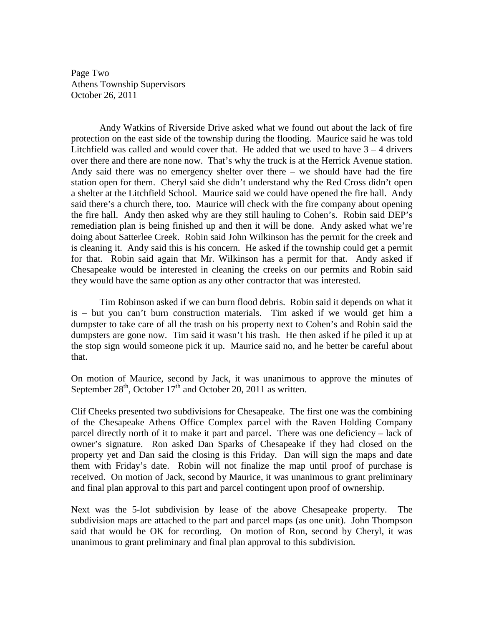Page Two Athens Township Supervisors October 26, 2011

 Andy Watkins of Riverside Drive asked what we found out about the lack of fire protection on the east side of the township during the flooding. Maurice said he was told Litchfield was called and would cover that. He added that we used to have  $3 - 4$  drivers over there and there are none now. That's why the truck is at the Herrick Avenue station. Andy said there was no emergency shelter over there – we should have had the fire station open for them. Cheryl said she didn't understand why the Red Cross didn't open a shelter at the Litchfield School. Maurice said we could have opened the fire hall. Andy said there's a church there, too. Maurice will check with the fire company about opening the fire hall. Andy then asked why are they still hauling to Cohen's. Robin said DEP's remediation plan is being finished up and then it will be done. Andy asked what we're doing about Satterlee Creek. Robin said John Wilkinson has the permit for the creek and is cleaning it. Andy said this is his concern. He asked if the township could get a permit for that. Robin said again that Mr. Wilkinson has a permit for that. Andy asked if Chesapeake would be interested in cleaning the creeks on our permits and Robin said they would have the same option as any other contractor that was interested.

 Tim Robinson asked if we can burn flood debris. Robin said it depends on what it is – but you can't burn construction materials. Tim asked if we would get him a dumpster to take care of all the trash on his property next to Cohen's and Robin said the dumpsters are gone now. Tim said it wasn't his trash. He then asked if he piled it up at the stop sign would someone pick it up. Maurice said no, and he better be careful about that.

On motion of Maurice, second by Jack, it was unanimous to approve the minutes of September  $28<sup>th</sup>$ , October  $17<sup>th</sup>$  and October 20, 2011 as written.

Clif Cheeks presented two subdivisions for Chesapeake. The first one was the combining of the Chesapeake Athens Office Complex parcel with the Raven Holding Company parcel directly north of it to make it part and parcel. There was one deficiency – lack of owner's signature. Ron asked Dan Sparks of Chesapeake if they had closed on the property yet and Dan said the closing is this Friday. Dan will sign the maps and date them with Friday's date. Robin will not finalize the map until proof of purchase is received. On motion of Jack, second by Maurice, it was unanimous to grant preliminary and final plan approval to this part and parcel contingent upon proof of ownership.

Next was the 5-lot subdivision by lease of the above Chesapeake property. The subdivision maps are attached to the part and parcel maps (as one unit). John Thompson said that would be OK for recording. On motion of Ron, second by Cheryl, it was unanimous to grant preliminary and final plan approval to this subdivision.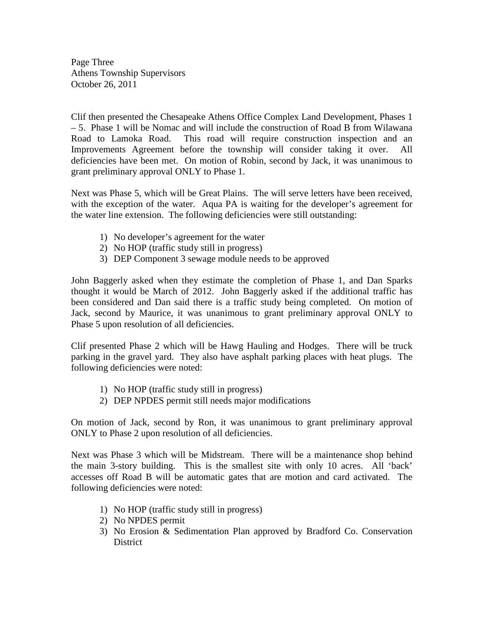Page Three Athens Township Supervisors October 26, 2011

Clif then presented the Chesapeake Athens Office Complex Land Development, Phases 1 – 5. Phase 1 will be Nomac and will include the construction of Road B from Wilawana Road to Lamoka Road. This road will require construction inspection and an Improvements Agreement before the township will consider taking it over. All deficiencies have been met. On motion of Robin, second by Jack, it was unanimous to grant preliminary approval ONLY to Phase 1.

Next was Phase 5, which will be Great Plains. The will serve letters have been received, with the exception of the water. Aqua PA is waiting for the developer's agreement for the water line extension. The following deficiencies were still outstanding:

- 1) No developer's agreement for the water
- 2) No HOP (traffic study still in progress)
- 3) DEP Component 3 sewage module needs to be approved

John Baggerly asked when they estimate the completion of Phase 1, and Dan Sparks thought it would be March of 2012. John Baggerly asked if the additional traffic has been considered and Dan said there is a traffic study being completed. On motion of Jack, second by Maurice, it was unanimous to grant preliminary approval ONLY to Phase 5 upon resolution of all deficiencies.

Clif presented Phase 2 which will be Hawg Hauling and Hodges. There will be truck parking in the gravel yard. They also have asphalt parking places with heat plugs. The following deficiencies were noted:

- 1) No HOP (traffic study still in progress)
- 2) DEP NPDES permit still needs major modifications

On motion of Jack, second by Ron, it was unanimous to grant preliminary approval ONLY to Phase 2 upon resolution of all deficiencies.

Next was Phase 3 which will be Midstream. There will be a maintenance shop behind the main 3-story building. This is the smallest site with only 10 acres. All 'back' accesses off Road B will be automatic gates that are motion and card activated. The following deficiencies were noted:

- 1) No HOP (traffic study still in progress)
- 2) No NPDES permit
- 3) No Erosion & Sedimentation Plan approved by Bradford Co. Conservation **District**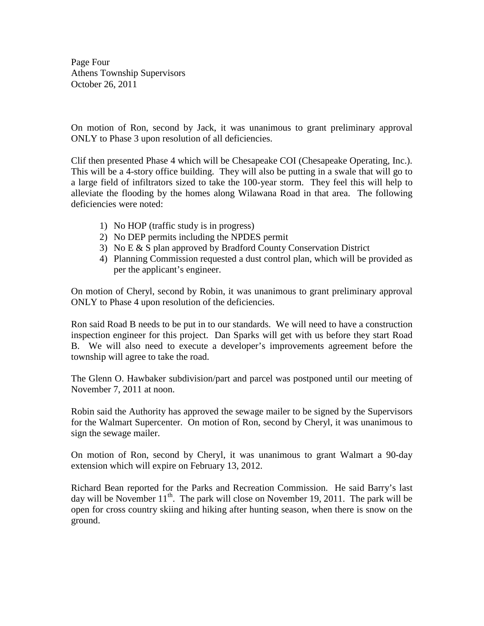Page Four Athens Township Supervisors October 26, 2011

On motion of Ron, second by Jack, it was unanimous to grant preliminary approval ONLY to Phase 3 upon resolution of all deficiencies.

Clif then presented Phase 4 which will be Chesapeake COI (Chesapeake Operating, Inc.). This will be a 4-story office building. They will also be putting in a swale that will go to a large field of infiltrators sized to take the 100-year storm. They feel this will help to alleviate the flooding by the homes along Wilawana Road in that area. The following deficiencies were noted:

- 1) No HOP (traffic study is in progress)
- 2) No DEP permits including the NPDES permit
- 3) No E & S plan approved by Bradford County Conservation District
- 4) Planning Commission requested a dust control plan, which will be provided as per the applicant's engineer.

On motion of Cheryl, second by Robin, it was unanimous to grant preliminary approval ONLY to Phase 4 upon resolution of the deficiencies.

Ron said Road B needs to be put in to our standards. We will need to have a construction inspection engineer for this project. Dan Sparks will get with us before they start Road B. We will also need to execute a developer's improvements agreement before the township will agree to take the road.

The Glenn O. Hawbaker subdivision/part and parcel was postponed until our meeting of November 7, 2011 at noon.

Robin said the Authority has approved the sewage mailer to be signed by the Supervisors for the Walmart Supercenter. On motion of Ron, second by Cheryl, it was unanimous to sign the sewage mailer.

On motion of Ron, second by Cheryl, it was unanimous to grant Walmart a 90-day extension which will expire on February 13, 2012.

Richard Bean reported for the Parks and Recreation Commission. He said Barry's last day will be November  $11<sup>th</sup>$ . The park will close on November 19, 2011. The park will be open for cross country skiing and hiking after hunting season, when there is snow on the ground.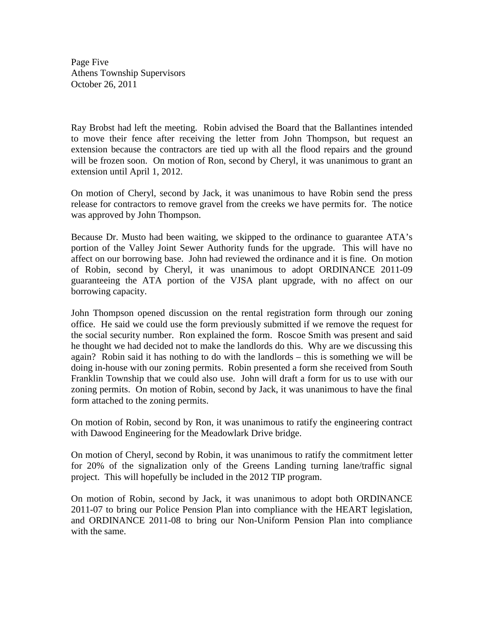Page Five Athens Township Supervisors October 26, 2011

Ray Brobst had left the meeting. Robin advised the Board that the Ballantines intended to move their fence after receiving the letter from John Thompson, but request an extension because the contractors are tied up with all the flood repairs and the ground will be frozen soon. On motion of Ron, second by Cheryl, it was unanimous to grant an extension until April 1, 2012.

On motion of Cheryl, second by Jack, it was unanimous to have Robin send the press release for contractors to remove gravel from the creeks we have permits for. The notice was approved by John Thompson.

Because Dr. Musto had been waiting, we skipped to the ordinance to guarantee ATA's portion of the Valley Joint Sewer Authority funds for the upgrade. This will have no affect on our borrowing base. John had reviewed the ordinance and it is fine. On motion of Robin, second by Cheryl, it was unanimous to adopt ORDINANCE 2011-09 guaranteeing the ATA portion of the VJSA plant upgrade, with no affect on our borrowing capacity.

John Thompson opened discussion on the rental registration form through our zoning office. He said we could use the form previously submitted if we remove the request for the social security number. Ron explained the form. Roscoe Smith was present and said he thought we had decided not to make the landlords do this. Why are we discussing this again? Robin said it has nothing to do with the landlords – this is something we will be doing in-house with our zoning permits. Robin presented a form she received from South Franklin Township that we could also use. John will draft a form for us to use with our zoning permits. On motion of Robin, second by Jack, it was unanimous to have the final form attached to the zoning permits.

On motion of Robin, second by Ron, it was unanimous to ratify the engineering contract with Dawood Engineering for the Meadowlark Drive bridge.

On motion of Cheryl, second by Robin, it was unanimous to ratify the commitment letter for 20% of the signalization only of the Greens Landing turning lane/traffic signal project. This will hopefully be included in the 2012 TIP program.

On motion of Robin, second by Jack, it was unanimous to adopt both ORDINANCE 2011-07 to bring our Police Pension Plan into compliance with the HEART legislation, and ORDINANCE 2011-08 to bring our Non-Uniform Pension Plan into compliance with the same.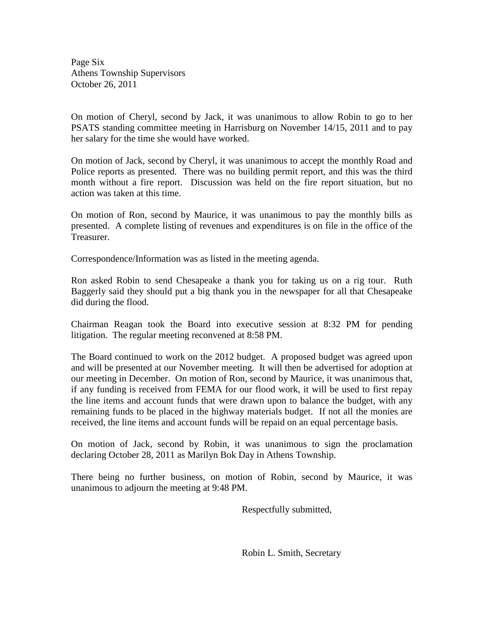Page Six Athens Township Supervisors October 26, 2011

On motion of Cheryl, second by Jack, it was unanimous to allow Robin to go to her PSATS standing committee meeting in Harrisburg on November 14/15, 2011 and to pay her salary for the time she would have worked.

On motion of Jack, second by Cheryl, it was unanimous to accept the monthly Road and Police reports as presented. There was no building permit report, and this was the third month without a fire report. Discussion was held on the fire report situation, but no action was taken at this time.

On motion of Ron, second by Maurice, it was unanimous to pay the monthly bills as presented. A complete listing of revenues and expenditures is on file in the office of the Treasurer.

Correspondence/Information was as listed in the meeting agenda.

Ron asked Robin to send Chesapeake a thank you for taking us on a rig tour. Ruth Baggerly said they should put a big thank you in the newspaper for all that Chesapeake did during the flood.

Chairman Reagan took the Board into executive session at 8:32 PM for pending litigation. The regular meeting reconvened at 8:58 PM.

The Board continued to work on the 2012 budget. A proposed budget was agreed upon and will be presented at our November meeting. It will then be advertised for adoption at our meeting in December. On motion of Ron, second by Maurice, it was unanimous that, if any funding is received from FEMA for our flood work, it will be used to first repay the line items and account funds that were drawn upon to balance the budget, with any remaining funds to be placed in the highway materials budget. If not all the monies are received, the line items and account funds will be repaid on an equal percentage basis.

On motion of Jack, second by Robin, it was unanimous to sign the proclamation declaring October 28, 2011 as Marilyn Bok Day in Athens Township.

There being no further business, on motion of Robin, second by Maurice, it was unanimous to adjourn the meeting at 9:48 PM.

Respectfully submitted,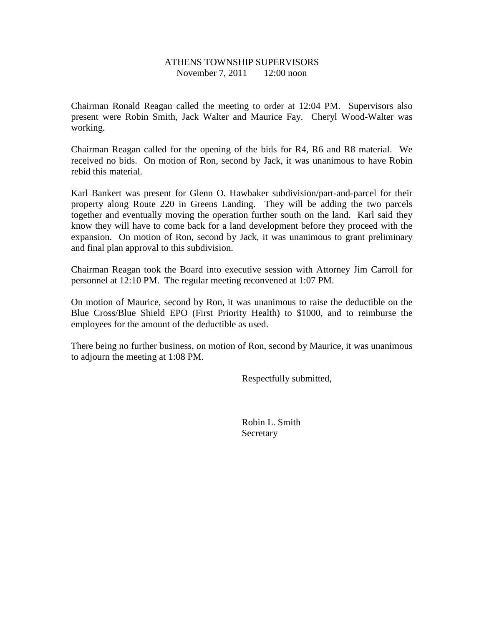# ATHENS TOWNSHIP SUPERVISORS November 7, 2011 12:00 noon

Chairman Ronald Reagan called the meeting to order at 12:04 PM. Supervisors also present were Robin Smith, Jack Walter and Maurice Fay. Cheryl Wood-Walter was working.

Chairman Reagan called for the opening of the bids for R4, R6 and R8 material. We received no bids. On motion of Ron, second by Jack, it was unanimous to have Robin rebid this material.

Karl Bankert was present for Glenn O. Hawbaker subdivision/part-and-parcel for their property along Route 220 in Greens Landing. They will be adding the two parcels together and eventually moving the operation further south on the land. Karl said they know they will have to come back for a land development before they proceed with the expansion. On motion of Ron, second by Jack, it was unanimous to grant preliminary and final plan approval to this subdivision.

Chairman Reagan took the Board into executive session with Attorney Jim Carroll for personnel at 12:10 PM. The regular meeting reconvened at 1:07 PM.

On motion of Maurice, second by Ron, it was unanimous to raise the deductible on the Blue Cross/Blue Shield EPO (First Priority Health) to \$1000, and to reimburse the employees for the amount of the deductible as used.

There being no further business, on motion of Ron, second by Maurice, it was unanimous to adjourn the meeting at 1:08 PM.

Respectfully submitted,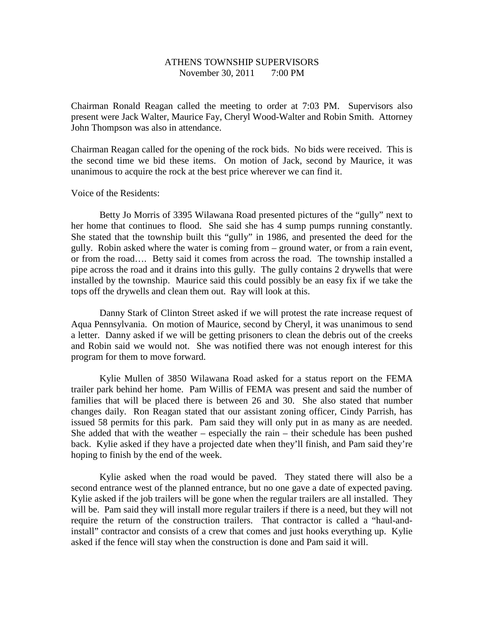# ATHENS TOWNSHIP SUPERVISORS November 30, 2011 7:00 PM

Chairman Ronald Reagan called the meeting to order at 7:03 PM. Supervisors also present were Jack Walter, Maurice Fay, Cheryl Wood-Walter and Robin Smith. Attorney John Thompson was also in attendance.

Chairman Reagan called for the opening of the rock bids. No bids were received. This is the second time we bid these items. On motion of Jack, second by Maurice, it was unanimous to acquire the rock at the best price wherever we can find it.

#### Voice of the Residents:

 Betty Jo Morris of 3395 Wilawana Road presented pictures of the "gully" next to her home that continues to flood. She said she has 4 sump pumps running constantly. She stated that the township built this "gully" in 1986, and presented the deed for the gully. Robin asked where the water is coming from – ground water, or from a rain event, or from the road…. Betty said it comes from across the road. The township installed a pipe across the road and it drains into this gully. The gully contains 2 drywells that were installed by the township. Maurice said this could possibly be an easy fix if we take the tops off the drywells and clean them out. Ray will look at this.

 Danny Stark of Clinton Street asked if we will protest the rate increase request of Aqua Pennsylvania. On motion of Maurice, second by Cheryl, it was unanimous to send a letter. Danny asked if we will be getting prisoners to clean the debris out of the creeks and Robin said we would not. She was notified there was not enough interest for this program for them to move forward.

 Kylie Mullen of 3850 Wilawana Road asked for a status report on the FEMA trailer park behind her home. Pam Willis of FEMA was present and said the number of families that will be placed there is between 26 and 30. She also stated that number changes daily. Ron Reagan stated that our assistant zoning officer, Cindy Parrish, has issued 58 permits for this park. Pam said they will only put in as many as are needed. She added that with the weather – especially the rain – their schedule has been pushed back. Kylie asked if they have a projected date when they'll finish, and Pam said they're hoping to finish by the end of the week.

 Kylie asked when the road would be paved. They stated there will also be a second entrance west of the planned entrance, but no one gave a date of expected paving. Kylie asked if the job trailers will be gone when the regular trailers are all installed. They will be. Pam said they will install more regular trailers if there is a need, but they will not require the return of the construction trailers. That contractor is called a "haul-andinstall" contractor and consists of a crew that comes and just hooks everything up. Kylie asked if the fence will stay when the construction is done and Pam said it will.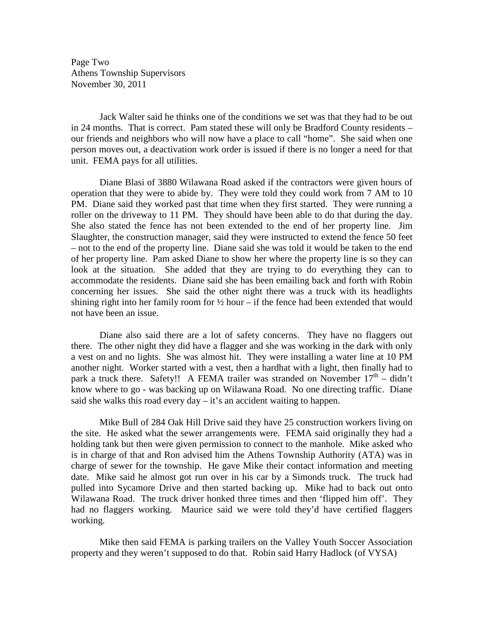Page Two Athens Township Supervisors November 30, 2011

 Jack Walter said he thinks one of the conditions we set was that they had to be out in 24 months. That is correct. Pam stated these will only be Bradford County residents – our friends and neighbors who will now have a place to call "home". She said when one person moves out, a deactivation work order is issued if there is no longer a need for that unit. FEMA pays for all utilities.

 Diane Blasi of 3880 Wilawana Road asked if the contractors were given hours of operation that they were to abide by. They were told they could work from 7 AM to 10 PM. Diane said they worked past that time when they first started. They were running a roller on the driveway to 11 PM. They should have been able to do that during the day. She also stated the fence has not been extended to the end of her property line. Jim Slaughter, the construction manager, said they were instructed to extend the fence 50 feet – not to the end of the property line. Diane said she was told it would be taken to the end of her property line. Pam asked Diane to show her where the property line is so they can look at the situation. She added that they are trying to do everything they can to accommodate the residents. Diane said she has been emailing back and forth with Robin concerning her issues. She said the other night there was a truck with its headlights shining right into her family room for  $\frac{1}{2}$  hour – if the fence had been extended that would not have been an issue.

 Diane also said there are a lot of safety concerns. They have no flaggers out there. The other night they did have a flagger and she was working in the dark with only a vest on and no lights. She was almost hit. They were installing a water line at 10 PM another night. Worker started with a vest, then a hardhat with a light, then finally had to park a truck there. Safety!! A FEMA trailer was stranded on November  $17<sup>th</sup>$  – didn't know where to go - was backing up on Wilawana Road. No one directing traffic. Diane said she walks this road every day  $-$  it's an accident waiting to happen.

 Mike Bull of 284 Oak Hill Drive said they have 25 construction workers living on the site. He asked what the sewer arrangements were. FEMA said originally they had a holding tank but then were given permission to connect to the manhole. Mike asked who is in charge of that and Ron advised him the Athens Township Authority (ATA) was in charge of sewer for the township. He gave Mike their contact information and meeting date. Mike said he almost got run over in his car by a Simonds truck. The truck had pulled into Sycamore Drive and then started backing up. Mike had to back out onto Wilawana Road. The truck driver honked three times and then 'flipped him off'. They had no flaggers working. Maurice said we were told they'd have certified flaggers working.

 Mike then said FEMA is parking trailers on the Valley Youth Soccer Association property and they weren't supposed to do that. Robin said Harry Hadlock (of VYSA)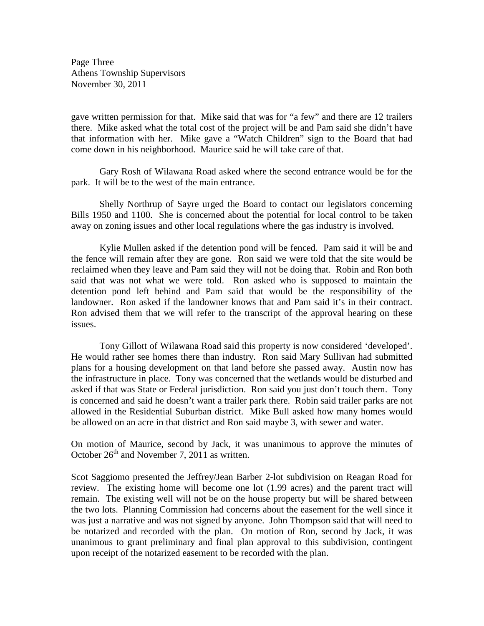Page Three Athens Township Supervisors November 30, 2011

gave written permission for that. Mike said that was for "a few" and there are 12 trailers there. Mike asked what the total cost of the project will be and Pam said she didn't have that information with her. Mike gave a "Watch Children" sign to the Board that had come down in his neighborhood. Maurice said he will take care of that.

Gary Rosh of Wilawana Road asked where the second entrance would be for the park. It will be to the west of the main entrance.

 Shelly Northrup of Sayre urged the Board to contact our legislators concerning Bills 1950 and 1100. She is concerned about the potential for local control to be taken away on zoning issues and other local regulations where the gas industry is involved.

 Kylie Mullen asked if the detention pond will be fenced. Pam said it will be and the fence will remain after they are gone. Ron said we were told that the site would be reclaimed when they leave and Pam said they will not be doing that. Robin and Ron both said that was not what we were told. Ron asked who is supposed to maintain the detention pond left behind and Pam said that would be the responsibility of the landowner. Ron asked if the landowner knows that and Pam said it's in their contract. Ron advised them that we will refer to the transcript of the approval hearing on these issues.

 Tony Gillott of Wilawana Road said this property is now considered 'developed'. He would rather see homes there than industry. Ron said Mary Sullivan had submitted plans for a housing development on that land before she passed away. Austin now has the infrastructure in place. Tony was concerned that the wetlands would be disturbed and asked if that was State or Federal jurisdiction. Ron said you just don't touch them. Tony is concerned and said he doesn't want a trailer park there. Robin said trailer parks are not allowed in the Residential Suburban district. Mike Bull asked how many homes would be allowed on an acre in that district and Ron said maybe 3, with sewer and water.

On motion of Maurice, second by Jack, it was unanimous to approve the minutes of October  $26<sup>th</sup>$  and November 7, 2011 as written.

Scot Saggiomo presented the Jeffrey/Jean Barber 2-lot subdivision on Reagan Road for review. The existing home will become one lot (1.99 acres) and the parent tract will remain. The existing well will not be on the house property but will be shared between the two lots. Planning Commission had concerns about the easement for the well since it was just a narrative and was not signed by anyone. John Thompson said that will need to be notarized and recorded with the plan. On motion of Ron, second by Jack, it was unanimous to grant preliminary and final plan approval to this subdivision, contingent upon receipt of the notarized easement to be recorded with the plan.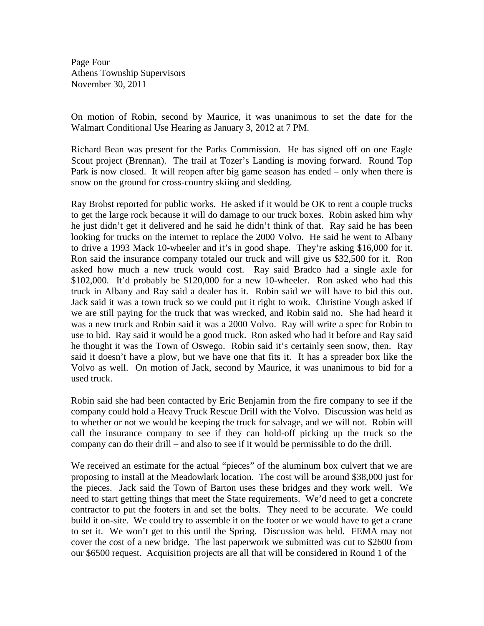Page Four Athens Township Supervisors November 30, 2011

On motion of Robin, second by Maurice, it was unanimous to set the date for the Walmart Conditional Use Hearing as January 3, 2012 at 7 PM.

Richard Bean was present for the Parks Commission. He has signed off on one Eagle Scout project (Brennan). The trail at Tozer's Landing is moving forward. Round Top Park is now closed. It will reopen after big game season has ended – only when there is snow on the ground for cross-country skiing and sledding.

Ray Brobst reported for public works. He asked if it would be OK to rent a couple trucks to get the large rock because it will do damage to our truck boxes. Robin asked him why he just didn't get it delivered and he said he didn't think of that. Ray said he has been looking for trucks on the internet to replace the 2000 Volvo. He said he went to Albany to drive a 1993 Mack 10-wheeler and it's in good shape. They're asking \$16,000 for it. Ron said the insurance company totaled our truck and will give us \$32,500 for it. Ron asked how much a new truck would cost. Ray said Bradco had a single axle for \$102,000. It'd probably be \$120,000 for a new 10-wheeler. Ron asked who had this truck in Albany and Ray said a dealer has it. Robin said we will have to bid this out. Jack said it was a town truck so we could put it right to work. Christine Vough asked if we are still paying for the truck that was wrecked, and Robin said no. She had heard it was a new truck and Robin said it was a 2000 Volvo. Ray will write a spec for Robin to use to bid. Ray said it would be a good truck. Ron asked who had it before and Ray said he thought it was the Town of Oswego. Robin said it's certainly seen snow, then. Ray said it doesn't have a plow, but we have one that fits it. It has a spreader box like the Volvo as well. On motion of Jack, second by Maurice, it was unanimous to bid for a used truck.

Robin said she had been contacted by Eric Benjamin from the fire company to see if the company could hold a Heavy Truck Rescue Drill with the Volvo. Discussion was held as to whether or not we would be keeping the truck for salvage, and we will not. Robin will call the insurance company to see if they can hold-off picking up the truck so the company can do their drill – and also to see if it would be permissible to do the drill.

We received an estimate for the actual "pieces" of the aluminum box culvert that we are proposing to install at the Meadowlark location. The cost will be around \$38,000 just for the pieces. Jack said the Town of Barton uses these bridges and they work well. We need to start getting things that meet the State requirements. We'd need to get a concrete contractor to put the footers in and set the bolts. They need to be accurate. We could build it on-site. We could try to assemble it on the footer or we would have to get a crane to set it. We won't get to this until the Spring. Discussion was held. FEMA may not cover the cost of a new bridge. The last paperwork we submitted was cut to \$2600 from our \$6500 request. Acquisition projects are all that will be considered in Round 1 of the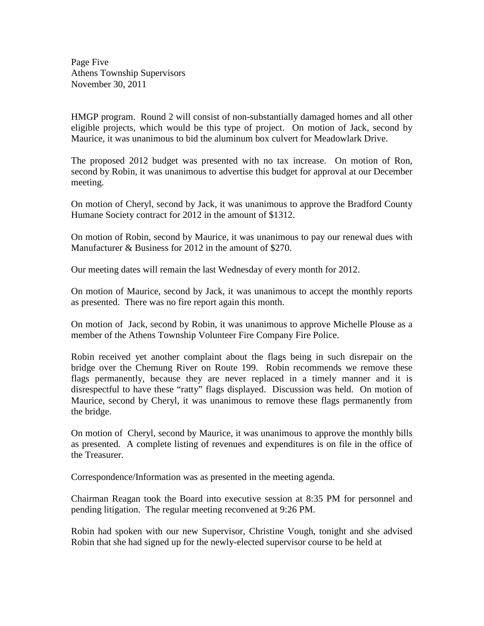Page Five Athens Township Supervisors November 30, 2011

HMGP program. Round 2 will consist of non-substantially damaged homes and all other eligible projects, which would be this type of project. On motion of Jack, second by Maurice, it was unanimous to bid the aluminum box culvert for Meadowlark Drive.

The proposed 2012 budget was presented with no tax increase. On motion of Ron, second by Robin, it was unanimous to advertise this budget for approval at our December meeting.

On motion of Cheryl, second by Jack, it was unanimous to approve the Bradford County Humane Society contract for 2012 in the amount of \$1312.

On motion of Robin, second by Maurice, it was unanimous to pay our renewal dues with Manufacturer & Business for 2012 in the amount of \$270.

Our meeting dates will remain the last Wednesday of every month for 2012.

On motion of Maurice, second by Jack, it was unanimous to accept the monthly reports as presented. There was no fire report again this month.

On motion of Jack, second by Robin, it was unanimous to approve Michelle Plouse as a member of the Athens Township Volunteer Fire Company Fire Police.

Robin received yet another complaint about the flags being in such disrepair on the bridge over the Chemung River on Route 199. Robin recommends we remove these flags permanently, because they are never replaced in a timely manner and it is disrespectful to have these "ratty" flags displayed. Discussion was held. On motion of Maurice, second by Cheryl, it was unanimous to remove these flags permanently from the bridge.

On motion of Cheryl, second by Maurice, it was unanimous to approve the monthly bills as presented. A complete listing of revenues and expenditures is on file in the office of the Treasurer.

Correspondence/Information was as presented in the meeting agenda.

Chairman Reagan took the Board into executive session at 8:35 PM for personnel and pending litigation. The regular meeting reconvened at 9:26 PM.

Robin had spoken with our new Supervisor, Christine Vough, tonight and she advised Robin that she had signed up for the newly-elected supervisor course to be held at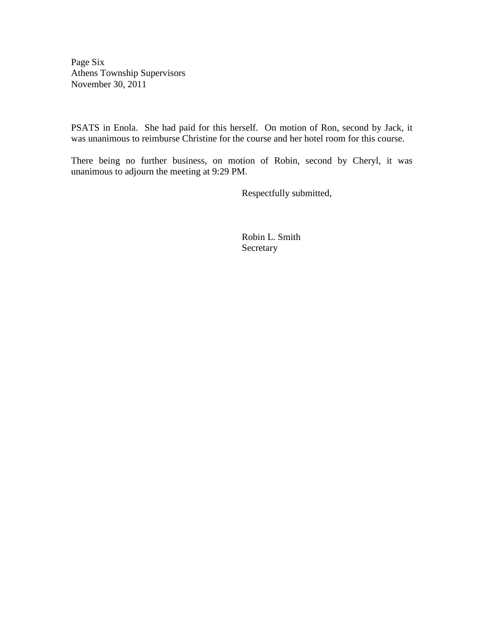Page Six Athens Township Supervisors November 30, 2011

PSATS in Enola. She had paid for this herself. On motion of Ron, second by Jack, it was unanimous to reimburse Christine for the course and her hotel room for this course.

There being no further business, on motion of Robin, second by Cheryl, it was unanimous to adjourn the meeting at 9:29 PM.

Respectfully submitted,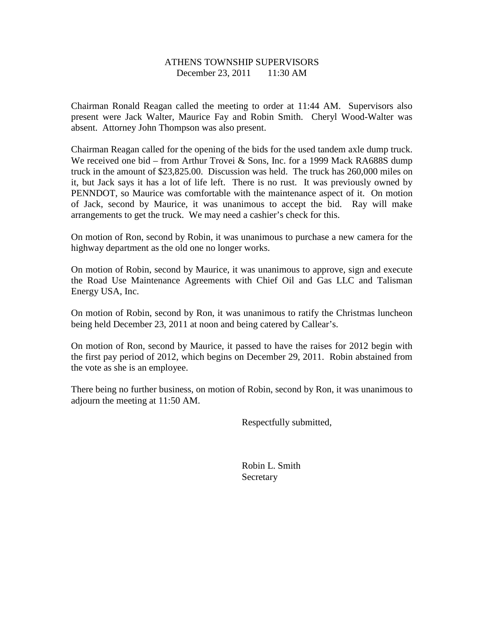# ATHENS TOWNSHIP SUPERVISORS December 23, 2011 11:30 AM

Chairman Ronald Reagan called the meeting to order at 11:44 AM. Supervisors also present were Jack Walter, Maurice Fay and Robin Smith. Cheryl Wood-Walter was absent. Attorney John Thompson was also present.

Chairman Reagan called for the opening of the bids for the used tandem axle dump truck. We received one bid – from Arthur Trovei  $&$  Sons, Inc. for a 1999 Mack RA688S dump truck in the amount of \$23,825.00. Discussion was held. The truck has 260,000 miles on it, but Jack says it has a lot of life left. There is no rust. It was previously owned by PENNDOT, so Maurice was comfortable with the maintenance aspect of it. On motion of Jack, second by Maurice, it was unanimous to accept the bid. Ray will make arrangements to get the truck. We may need a cashier's check for this.

On motion of Ron, second by Robin, it was unanimous to purchase a new camera for the highway department as the old one no longer works.

On motion of Robin, second by Maurice, it was unanimous to approve, sign and execute the Road Use Maintenance Agreements with Chief Oil and Gas LLC and Talisman Energy USA, Inc.

On motion of Robin, second by Ron, it was unanimous to ratify the Christmas luncheon being held December 23, 2011 at noon and being catered by Callear's.

On motion of Ron, second by Maurice, it passed to have the raises for 2012 begin with the first pay period of 2012, which begins on December 29, 2011. Robin abstained from the vote as she is an employee.

There being no further business, on motion of Robin, second by Ron, it was unanimous to adjourn the meeting at 11:50 AM.

Respectfully submitted,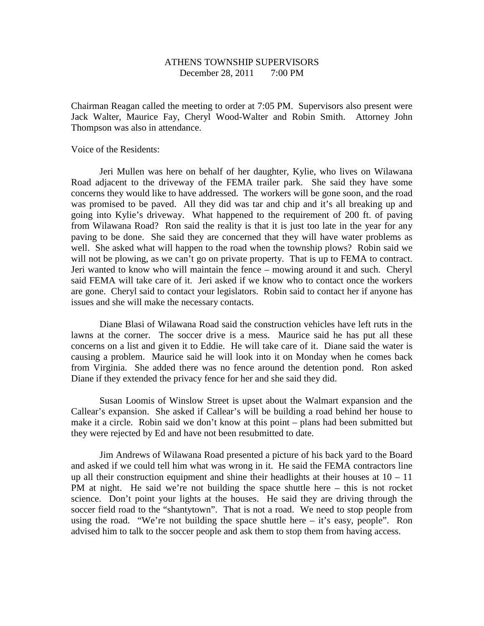# ATHENS TOWNSHIP SUPERVISORS December 28, 2011 7:00 PM

Chairman Reagan called the meeting to order at 7:05 PM. Supervisors also present were Jack Walter, Maurice Fay, Cheryl Wood-Walter and Robin Smith. Attorney John Thompson was also in attendance.

Voice of the Residents:

 Jeri Mullen was here on behalf of her daughter, Kylie, who lives on Wilawana Road adjacent to the driveway of the FEMA trailer park. She said they have some concerns they would like to have addressed. The workers will be gone soon, and the road was promised to be paved. All they did was tar and chip and it's all breaking up and going into Kylie's driveway. What happened to the requirement of 200 ft. of paving from Wilawana Road? Ron said the reality is that it is just too late in the year for any paving to be done. She said they are concerned that they will have water problems as well. She asked what will happen to the road when the township plows? Robin said we will not be plowing, as we can't go on private property. That is up to FEMA to contract. Jeri wanted to know who will maintain the fence – mowing around it and such. Cheryl said FEMA will take care of it. Jeri asked if we know who to contact once the workers are gone. Cheryl said to contact your legislators. Robin said to contact her if anyone has issues and she will make the necessary contacts.

 Diane Blasi of Wilawana Road said the construction vehicles have left ruts in the lawns at the corner. The soccer drive is a mess. Maurice said he has put all these concerns on a list and given it to Eddie. He will take care of it. Diane said the water is causing a problem. Maurice said he will look into it on Monday when he comes back from Virginia. She added there was no fence around the detention pond. Ron asked Diane if they extended the privacy fence for her and she said they did.

 Susan Loomis of Winslow Street is upset about the Walmart expansion and the Callear's expansion. She asked if Callear's will be building a road behind her house to make it a circle. Robin said we don't know at this point – plans had been submitted but they were rejected by Ed and have not been resubmitted to date.

 Jim Andrews of Wilawana Road presented a picture of his back yard to the Board and asked if we could tell him what was wrong in it. He said the FEMA contractors line up all their construction equipment and shine their headlights at their houses at  $10 - 11$ PM at night. He said we're not building the space shuttle here – this is not rocket science. Don't point your lights at the houses. He said they are driving through the soccer field road to the "shantytown". That is not a road. We need to stop people from using the road. "We're not building the space shuttle here – it's easy, people". Ron advised him to talk to the soccer people and ask them to stop them from having access.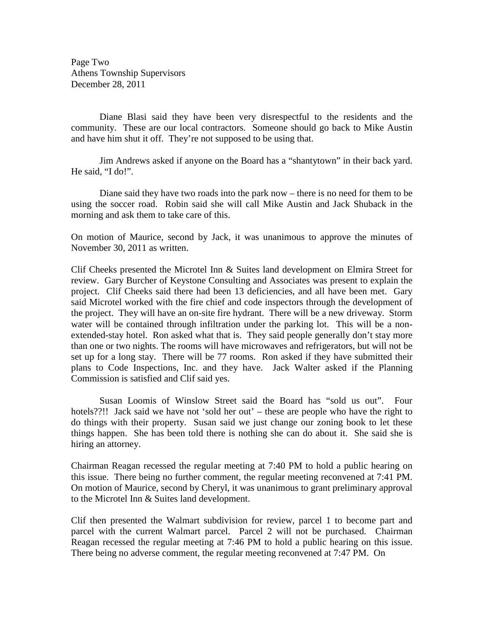Page Two Athens Township Supervisors December 28, 2011

 Diane Blasi said they have been very disrespectful to the residents and the community. These are our local contractors. Someone should go back to Mike Austin and have him shut it off. They're not supposed to be using that.

 Jim Andrews asked if anyone on the Board has a "shantytown" in their back yard. He said. "I do!".

 Diane said they have two roads into the park now – there is no need for them to be using the soccer road. Robin said she will call Mike Austin and Jack Shuback in the morning and ask them to take care of this.

On motion of Maurice, second by Jack, it was unanimous to approve the minutes of November 30, 2011 as written.

Clif Cheeks presented the Microtel Inn & Suites land development on Elmira Street for review. Gary Burcher of Keystone Consulting and Associates was present to explain the project. Clif Cheeks said there had been 13 deficiencies, and all have been met. Gary said Microtel worked with the fire chief and code inspectors through the development of the project. They will have an on-site fire hydrant. There will be a new driveway. Storm water will be contained through infiltration under the parking lot. This will be a nonextended-stay hotel. Ron asked what that is. They said people generally don't stay more than one or two nights. The rooms will have microwaves and refrigerators, but will not be set up for a long stay. There will be 77 rooms. Ron asked if they have submitted their plans to Code Inspections, Inc. and they have. Jack Walter asked if the Planning Commission is satisfied and Clif said yes.

 Susan Loomis of Winslow Street said the Board has "sold us out". Four hotels??!! Jack said we have not 'sold her out' – these are people who have the right to do things with their property. Susan said we just change our zoning book to let these things happen. She has been told there is nothing she can do about it. She said she is hiring an attorney.

Chairman Reagan recessed the regular meeting at 7:40 PM to hold a public hearing on this issue. There being no further comment, the regular meeting reconvened at 7:41 PM. On motion of Maurice, second by Cheryl, it was unanimous to grant preliminary approval to the Microtel Inn & Suites land development.

Clif then presented the Walmart subdivision for review, parcel 1 to become part and parcel with the current Walmart parcel. Parcel 2 will not be purchased. Chairman Reagan recessed the regular meeting at 7:46 PM to hold a public hearing on this issue. There being no adverse comment, the regular meeting reconvened at 7:47 PM. On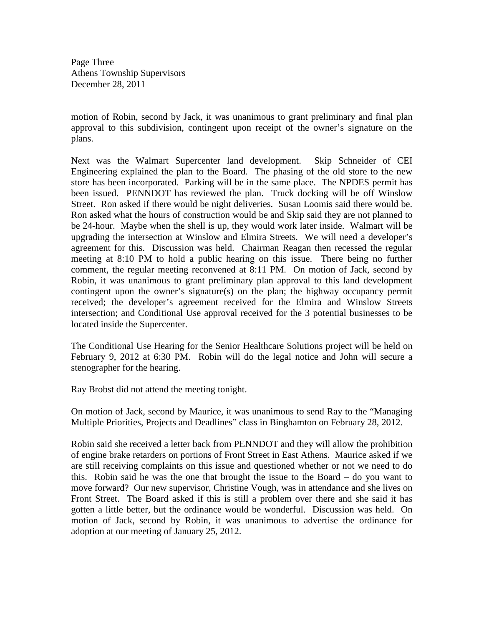Page Three Athens Township Supervisors December 28, 2011

motion of Robin, second by Jack, it was unanimous to grant preliminary and final plan approval to this subdivision, contingent upon receipt of the owner's signature on the plans.

Next was the Walmart Supercenter land development. Skip Schneider of CEI Engineering explained the plan to the Board. The phasing of the old store to the new store has been incorporated. Parking will be in the same place. The NPDES permit has been issued. PENNDOT has reviewed the plan. Truck docking will be off Winslow Street. Ron asked if there would be night deliveries. Susan Loomis said there would be. Ron asked what the hours of construction would be and Skip said they are not planned to be 24-hour. Maybe when the shell is up, they would work later inside. Walmart will be upgrading the intersection at Winslow and Elmira Streets. We will need a developer's agreement for this. Discussion was held. Chairman Reagan then recessed the regular meeting at 8:10 PM to hold a public hearing on this issue. There being no further comment, the regular meeting reconvened at 8:11 PM. On motion of Jack, second by Robin, it was unanimous to grant preliminary plan approval to this land development contingent upon the owner's signature(s) on the plan; the highway occupancy permit received; the developer's agreement received for the Elmira and Winslow Streets intersection; and Conditional Use approval received for the 3 potential businesses to be located inside the Supercenter.

The Conditional Use Hearing for the Senior Healthcare Solutions project will be held on February 9, 2012 at 6:30 PM. Robin will do the legal notice and John will secure a stenographer for the hearing.

Ray Brobst did not attend the meeting tonight.

On motion of Jack, second by Maurice, it was unanimous to send Ray to the "Managing Multiple Priorities, Projects and Deadlines" class in Binghamton on February 28, 2012.

Robin said she received a letter back from PENNDOT and they will allow the prohibition of engine brake retarders on portions of Front Street in East Athens. Maurice asked if we are still receiving complaints on this issue and questioned whether or not we need to do this. Robin said he was the one that brought the issue to the Board – do you want to move forward? Our new supervisor, Christine Vough, was in attendance and she lives on Front Street. The Board asked if this is still a problem over there and she said it has gotten a little better, but the ordinance would be wonderful. Discussion was held. On motion of Jack, second by Robin, it was unanimous to advertise the ordinance for adoption at our meeting of January 25, 2012.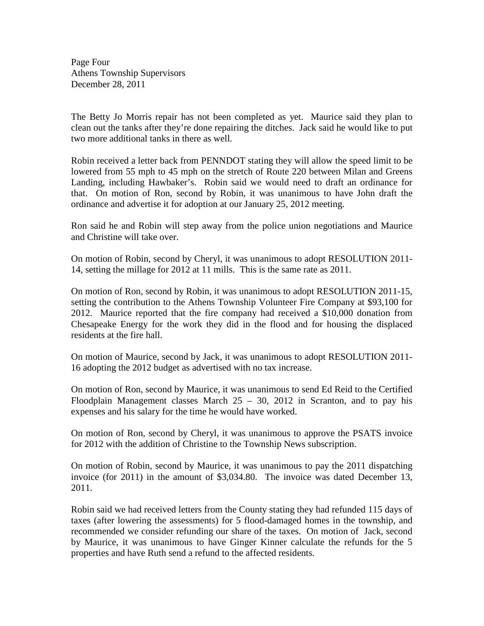Page Four Athens Township Supervisors December 28, 2011

The Betty Jo Morris repair has not been completed as yet. Maurice said they plan to clean out the tanks after they're done repairing the ditches. Jack said he would like to put two more additional tanks in there as well.

Robin received a letter back from PENNDOT stating they will allow the speed limit to be lowered from 55 mph to 45 mph on the stretch of Route 220 between Milan and Greens Landing, including Hawbaker's. Robin said we would need to draft an ordinance for that. On motion of Ron, second by Robin, it was unanimous to have John draft the ordinance and advertise it for adoption at our January 25, 2012 meeting.

Ron said he and Robin will step away from the police union negotiations and Maurice and Christine will take over.

On motion of Robin, second by Cheryl, it was unanimous to adopt RESOLUTION 2011- 14, setting the millage for 2012 at 11 mills. This is the same rate as 2011.

On motion of Ron, second by Robin, it was unanimous to adopt RESOLUTION 2011-15, setting the contribution to the Athens Township Volunteer Fire Company at \$93,100 for 2012. Maurice reported that the fire company had received a \$10,000 donation from Chesapeake Energy for the work they did in the flood and for housing the displaced residents at the fire hall.

On motion of Maurice, second by Jack, it was unanimous to adopt RESOLUTION 2011- 16 adopting the 2012 budget as advertised with no tax increase.

On motion of Ron, second by Maurice, it was unanimous to send Ed Reid to the Certified Floodplain Management classes March  $25 - 30$ ,  $2012$  in Scranton, and to pay his expenses and his salary for the time he would have worked.

On motion of Ron, second by Cheryl, it was unanimous to approve the PSATS invoice for 2012 with the addition of Christine to the Township News subscription.

On motion of Robin, second by Maurice, it was unanimous to pay the 2011 dispatching invoice (for 2011) in the amount of \$3,034.80. The invoice was dated December 13, 2011.

Robin said we had received letters from the County stating they had refunded 115 days of taxes (after lowering the assessments) for 5 flood-damaged homes in the township, and recommended we consider refunding our share of the taxes. On motion of Jack, second by Maurice, it was unanimous to have Ginger Kinner calculate the refunds for the 5 properties and have Ruth send a refund to the affected residents.